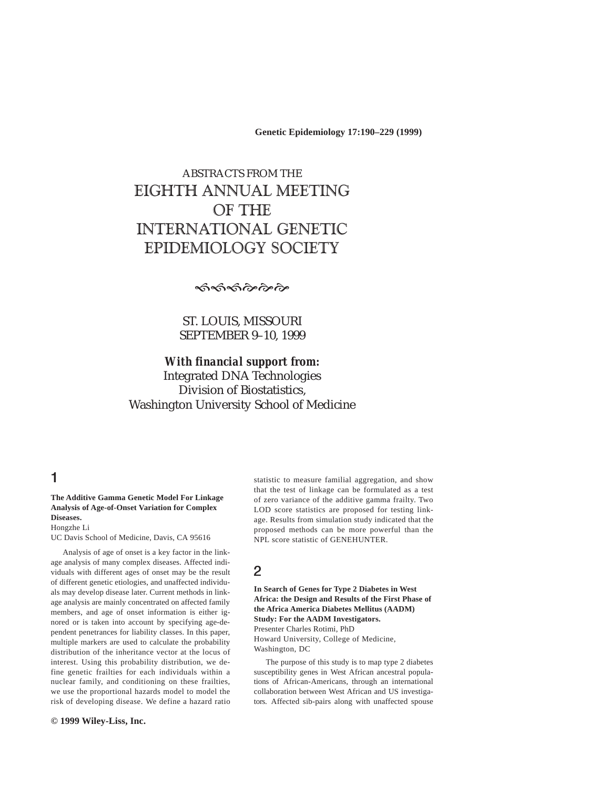**190 Abstracts Genetic Epidemiology 17:190–229 (1999)**

# ABSTRACTS FROM THE EIGHTH ANNUAL MEETING OF THE INTERNATIONAL GENETIC EPIDEMIOLOGY SOCIETY

مخامی کا کاه کردیکہ ا

ST. LOUIS, MISSOURI SEPTEMBER 9–10, 1999

*With financial support from:* Integrated DNA Technologies Division of Biostatistics, Washington University School of Medicine

## 1

### **The Additive Gamma Genetic Model For Linkage Analysis of Age-of-Onset Variation for Complex Diseases.**

Hongzhe Li UC Davis School of Medicine, Davis, CA 95616

Analysis of age of onset is a key factor in the linkage analysis of many complex diseases. Affected individuals with different ages of onset may be the result of different genetic etiologies, and unaffected individuals may develop disease later. Current methods in linkage analysis are mainly concentrated on affected family members, and age of onset information is either ignored or is taken into account by specifying age-dependent penetrances for liability classes. In this paper, multiple markers are used to calculate the probability distribution of the inheritance vector at the locus of interest. Using this probability distribution, we define genetic frailties for each individuals within a nuclear family, and conditioning on these frailties, we use the proportional hazards model to model the risk of developing disease. We define a hazard ratio

**© 1999 Wiley-Liss, Inc.**

statistic to measure familial aggregation, and show that the test of linkage can be formulated as a test of zero variance of the additive gamma frailty. Two LOD score statistics are proposed for testing linkage. Results from simulation study indicated that the proposed methods can be more powerful than the NPL score statistic of GENEHUNTER.

## 2

**In Search of Genes for Type 2 Diabetes in West Africa: the Design and Results of the First Phase of the Africa America Diabetes Mellitus (AADM) Study: For the AADM Investigators.** Presenter Charles Rotimi, PhD

Howard University, College of Medicine, Washington, DC

The purpose of this study is to map type 2 diabetes susceptibility genes in West African ancestral populations of African-Americans, through an international collaboration between West African and US investigators. Affected sib-pairs along with unaffected spouse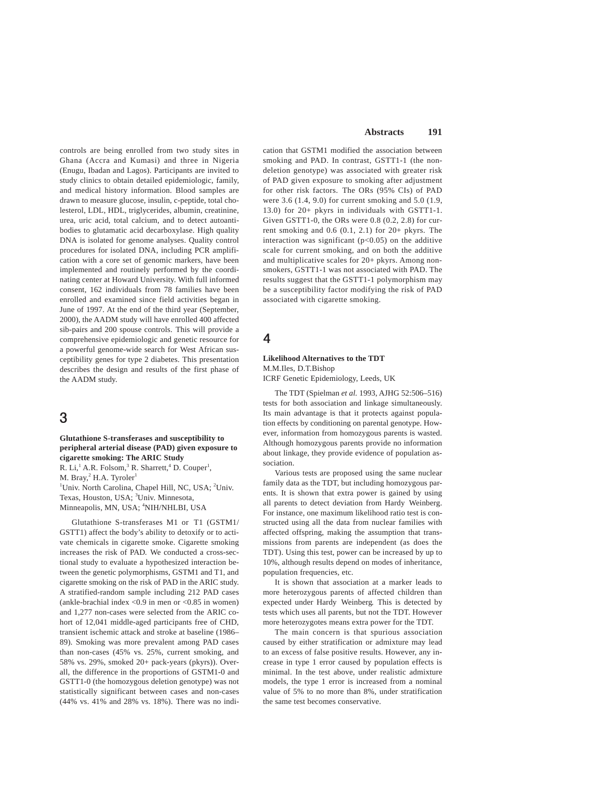controls are being enrolled from two study sites in Ghana (Accra and Kumasi) and three in Nigeria (Enugu, Ibadan and Lagos). Participants are invited to study clinics to obtain detailed epidemiologic, family, and medical history information. Blood samples are drawn to measure glucose, insulin, c-peptide, total cholesterol, LDL, HDL, triglycerides, albumin, creatinine, urea, uric acid, total calcium, and to detect autoantibodies to glutamatic acid decarboxylase. High quality DNA is isolated for genome analyses. Quality control procedures for isolated DNA, including PCR amplification with a core set of genomic markers, have been implemented and routinely performed by the coordinating center at Howard University. With full informed consent, 162 individuals from 78 families have been enrolled and examined since field activities began in June of 1997. At the end of the third year (September, 2000), the AADM study will have enrolled 400 affected sib-pairs and 200 spouse controls. This will provide a comprehensive epidemiologic and genetic resource for a powerful genome-wide search for West African susceptibility genes for type 2 diabetes. This presentation describes the design and results of the first phase of the AADM study.

# 3

### **Glutathione S-transferases and susceptibility to peripheral arterial disease (PAD) given exposure to cigarette smoking: The ARIC Study**

R. Li,<sup>1</sup> A.R. Folsom,<sup>3</sup> R. Sharrett,<sup>4</sup> D. Couper<sup>1</sup>, M. Bray,<sup>2</sup> H.A. Tyroler<sup>1</sup> <sup>1</sup>Univ. North Carolina, Chapel Hill, NC, USA; <sup>2</sup>Univ. Texas, Houston, USA; <sup>3</sup>Univ. Minnesota, Minneapolis, MN, USA; <sup>4</sup>NIH/NHLBI, USA

Glutathione S-transferases M1 or T1 (GSTM1/ GSTT1) affect the body's ability to detoxify or to activate chemicals in cigarette smoke. Cigarette smoking increases the risk of PAD. We conducted a cross-sectional study to evaluate a hypothesized interaction between the genetic polymorphisms, GSTM1 and T1, and cigarette smoking on the risk of PAD in the ARIC study. A stratified-random sample including 212 PAD cases (ankle-brachial index  $\langle 0.9 \rangle$  in men or  $\langle 0.85 \rangle$  in women) and 1,277 non-cases were selected from the ARIC cohort of 12,041 middle-aged participants free of CHD, transient ischemic attack and stroke at baseline (1986– 89). Smoking was more prevalent among PAD cases than non-cases (45% vs. 25%, current smoking, and 58% vs. 29%, smoked 20+ pack-years (pkyrs)). Overall, the difference in the proportions of GSTM1-0 and GSTT1-0 (the homozygous deletion genotype) was not statistically significant between cases and non-cases (44% vs. 41% and 28% vs. 18%). There was no indi-

### **Abstracts 191**

cation that GSTM1 modified the association between smoking and PAD. In contrast, GSTT1-1 (the nondeletion genotype) was associated with greater risk of PAD given exposure to smoking after adjustment for other risk factors. The ORs (95% CIs) of PAD were 3.6 (1.4, 9.0) for current smoking and 5.0 (1.9, 13.0) for 20+ pkyrs in individuals with GSTT1-1. Given GSTT1-0, the ORs were 0.8 (0.2, 2.8) for current smoking and 0.6 (0.1, 2.1) for 20+ pkyrs. The interaction was significant  $(p<0.05)$  on the additive scale for current smoking, and on both the additive and multiplicative scales for 20+ pkyrs. Among nonsmokers, GSTT1-1 was not associated with PAD. The results suggest that the GSTT1-1 polymorphism may be a susceptibility factor modifying the risk of PAD associated with cigarette smoking.

## 4

## **Likelihood Alternatives to the TDT** M.M.Iles, D.T.Bishop

ICRF Genetic Epidemiology, Leeds, UK

The TDT (Spielman *et al.* 1993, AJHG 52:506–516) tests for both association and linkage simultaneously. Its main advantage is that it protects against population effects by conditioning on parental genotype. However, information from homozygous parents is wasted. Although homozygous parents provide no information about linkage, they provide evidence of population association.

Various tests are proposed using the same nuclear family data as the TDT, but including homozygous parents. It is shown that extra power is gained by using all parents to detect deviation from Hardy Weinberg. For instance, one maximum likelihood ratio test is constructed using all the data from nuclear families with affected offspring, making the assumption that transmissions from parents are independent (as does the TDT). Using this test, power can be increased by up to 10%, although results depend on modes of inheritance, population frequencies, etc.

It is shown that association at a marker leads to more heterozygous parents of affected children than expected under Hardy Weinberg. This is detected by tests which uses all parents, but not the TDT. However more heterozygotes means extra power for the TDT.

The main concern is that spurious association caused by either stratification or admixture may lead to an excess of false positive results. However, any increase in type 1 error caused by population effects is minimal. In the test above, under realistic admixture models, the type 1 error is increased from a nominal value of 5% to no more than 8%, under stratification the same test becomes conservative.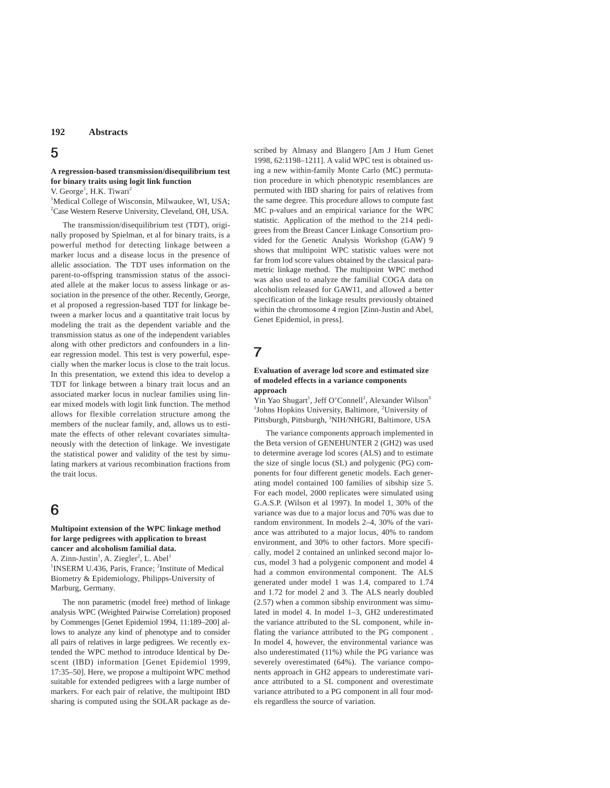## 5

### **A regression-based transmission/disequilibrium test for binary traits using logit link function** V. George<sup>1</sup>, H.K. Tiwari<sup>2</sup>

<sup>1</sup>Medical College of Wisconsin, Milwaukee, WI, USA; 2 Case Western Reserve University, Cleveland, OH, USA.

The transmission/disequilibrium test (TDT), originally proposed by Spielman, et al for binary traits, is a powerful method for detecting linkage between a marker locus and a disease locus in the presence of allelic association. The TDT uses information on the parent-to-offspring transmission status of the associated allele at the maker locus to assess linkage or association in the presence of the other. Recently, George, et al proposed a regression-based TDT for linkage between a marker locus and a quantitative trait locus by modeling the trait as the dependent variable and the transmission status as one of the independent variables along with other predictors and confounders in a linear regression model. This test is very powerful, especially when the marker locus is close to the trait locus. In this presentation, we extend this idea to develop a TDT for linkage between a binary trait locus and an associated marker locus in nuclear families using linear mixed models with logit link function. The method allows for flexible correlation structure among the members of the nuclear family, and, allows us to estimate the effects of other relevant covariates simultaneously with the detection of linkage. We investigate the statistical power and validity of the test by simulating markers at various recombination fractions from the trait locus.

# 6

### **Multipoint extension of the WPC linkage method for large pedigrees with application to breast cancer and alcoholism familial data.**

A. Zinn-Justin<sup>1</sup>, A. Ziegler<sup>2</sup>, L. Abel<sup>1</sup> <sup>1</sup>INSERM U.436, Paris, France; <sup>2</sup>Institute of Medical Biometry & Epidemiology, Philipps-University of Marburg, Germany.

The non parametric (model free) method of linkage analysis WPC (Weighted Pairwise Correlation) proposed by Commenges [Genet Epidemiol 1994, 11:189–200] allows to analyze any kind of phenotype and to consider all pairs of relatives in large pedigrees. We recently extended the WPC method to introduce Identical by Descent (IBD) information [Genet Epidemiol 1999, 17:35–50]. Here, we propose a multipoint WPC method suitable for extended pedigrees with a large number of markers. For each pair of relative, the multipoint IBD sharing is computed using the SOLAR package as described by Almasy and Blangero [Am J Hum Genet 1998, 62:1198–1211]. A valid WPC test is obtained using a new within-family Monte Carlo (MC) permutation procedure in which phenotypic resemblances are permuted with IBD sharing for pairs of relatives from the same degree. This procedure allows to compute fast MC p-values and an empirical variance for the WPC statistic. Application of the method to the 214 pedigrees from the Breast Cancer Linkage Consortium provided for the Genetic Analysis Workshop (GAW) 9 shows that multipoint WPC statistic values were not far from lod score values obtained by the classical parametric linkage method. The multipoint WPC method was also used to analyze the familial COGA data on alcoholism released for GAW11, and allowed a better specification of the linkage results previously obtained within the chromosome 4 region [Zinn-Justin and Abel, Genet Epidemiol, in press].

# 7

### **Evaluation of average lod score and estimated size of modeled effects in a variance components approach**

Yin Yao Shugart<sup>1</sup>, Jeff O'Connell<sup>2</sup>, Alexander Wilson<sup>3</sup> <sup>1</sup>Johns Hopkins University, Baltimore, <sup>2</sup>University of Pittsburgh, Pittsburgh, <sup>3</sup>NIH/NHGRI, Baltimore, USA

The variance components approach implemented in the Beta version of GENEHUNTER 2 (GH2) was used to determine average lod scores (ALS) and to estimate the size of single locus (SL) and polygenic (PG) components for four different genetic models. Each generating model contained 100 families of sibship size 5. For each model, 2000 replicates were simulated using G.A.S.P. (Wilson et al 1997). In model 1, 30% of the variance was due to a major locus and 70% was due to random environment. In models 2–4, 30% of the variance was attributed to a major locus, 40% to random environment, and 30% to other factors. More specifically, model 2 contained an unlinked second major locus, model 3 had a polygenic component and model 4 had a common environmental component. The ALS generated under model 1 was 1.4, compared to 1.74 and 1.72 for model 2 and 3. The ALS nearly doubled (2.57) when a common sibship environment was simulated in model 4. In model 1–3, GH2 underestimated the variance attributed to the SL component, while inflating the variance attributed to the PG component . In model 4, however, the environmental variance was also underestimated (11%) while the PG variance was severely overestimated (64%). The variance components approach in GH2 appears to underestimate variance attributed to a SL component and overestimate variance attributed to a PG component in all four models regardless the source of variation.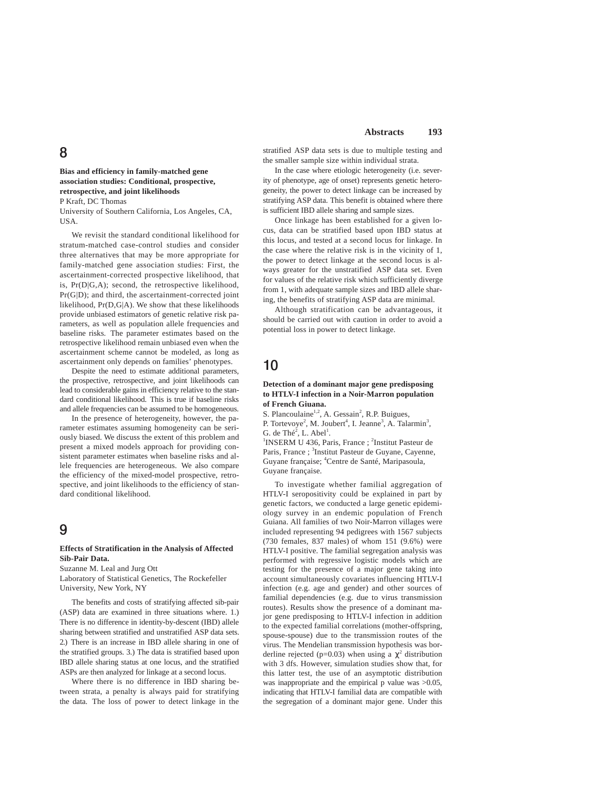### **Bias and efficiency in family-matched gene association studies: Conditional, prospective, retrospective, and joint likelihoods** P Kraft, DC Thomas

University of Southern California, Los Angeles, CA, USA.

We revisit the standard conditional likelihood for stratum-matched case-control studies and consider three alternatives that may be more appropriate for family-matched gene association studies: First, the ascertainment-corrected prospective likelihood, that is, Pr(D|G,A); second, the retrospective likelihood, Pr(G|D); and third, the ascertainment-corrected joint likelihood, Pr(D,G|A). We show that these likelihoods provide unbiased estimators of genetic relative risk parameters, as well as population allele frequencies and baseline risks. The parameter estimates based on the retrospective likelihood remain unbiased even when the ascertainment scheme cannot be modeled, as long as ascertainment only depends on families' phenotypes.

Despite the need to estimate additional parameters, the prospective, retrospective, and joint likelihoods can lead to considerable gains in efficiency relative to the standard conditional likelihood. This is true if baseline risks and allele frequencies can be assumed to be homogeneous.

In the presence of heterogeneity, however, the parameter estimates assuming homogeneity can be seriously biased. We discuss the extent of this problem and present a mixed models approach for providing consistent parameter estimates when baseline risks and allele frequencies are heterogeneous. We also compare the efficiency of the mixed-model prospective, retrospective, and joint likelihoods to the efficiency of standard conditional likelihood.

# 9

### **Effects of Stratification in the Analysis of Affected Sib-Pair Data.**

Suzanne M. Leal and Jurg Ott Laboratory of Statistical Genetics, The Rockefeller University, New York, NY

The benefits and costs of stratifying affected sib-pair (ASP) data are examined in three situations where. 1.) There is no difference in identity-by-descent (IBD) allele sharing between stratified and unstratified ASP data sets. 2.) There is an increase in IBD allele sharing in one of the stratified groups. 3.) The data is stratified based upon IBD allele sharing status at one locus, and the stratified ASPs are then analyzed for linkage at a second locus.

Where there is no difference in IBD sharing between strata, a penalty is always paid for stratifying the data. The loss of power to detect linkage in the stratified ASP data sets is due to multiple testing and the smaller sample size within individual strata.

In the case where etiologic heterogeneity (i.e. severity of phenotype, age of onset) represents genetic heterogeneity, the power to detect linkage can be increased by stratifying ASP data. This benefit is obtained where there is sufficient IBD allele sharing and sample sizes.

Once linkage has been established for a given locus, data can be stratified based upon IBD status at this locus, and tested at a second locus for linkage. In the case where the relative risk is in the vicinity of 1, the power to detect linkage at the second locus is always greater for the unstratified ASP data set. Even for values of the relative risk which sufficiently diverge from 1, with adequate sample sizes and IBD allele sharing, the benefits of stratifying ASP data are minimal.

Although stratification can be advantageous, it should be carried out with caution in order to avoid a potential loss in power to detect linkage.

# 10

#### **Detection of a dominant major gene predisposing to HTLV-I infection in a Noir-Marron population of French Giuana.**

S. Plancoulaine<sup>1,2</sup>, A. Gessain<sup>2</sup>, R.P. Buigues,

P. Tortevoye<sup>2</sup>, M. Joubert<sup>4</sup>, I. Jeanne<sup>3</sup>, A. Talarmin<sup>3</sup>, G. de Thé<sup>2</sup>, L. Abel<sup>1</sup>.

<sup>1</sup>INSERM U 436, Paris, France ; <sup>2</sup>Institut Pasteur de Paris, France ; <sup>3</sup>Institut Pasteur de Guyane, Cayenne, Guyane française; <sup>4</sup>Centre de Santé, Maripasoula, Guyane française.

To investigate whether familial aggregation of HTLV-I seropositivity could be explained in part by genetic factors, we conducted a large genetic epidemiology survey in an endemic population of French Guiana. All families of two Noir-Marron villages were included representing 94 pedigrees with 1567 subjects (730 females, 837 males) of whom 151 (9.6%) were HTLV-I positive. The familial segregation analysis was performed with regressive logistic models which are testing for the presence of a major gene taking into account simultaneously covariates influencing HTLV-I infection (e.g. age and gender) and other sources of familial dependencies (e.g. due to virus transmission routes). Results show the presence of a dominant major gene predisposing to HTLV-I infection in addition to the expected familial correlations (mother-offspring, spouse-spouse) due to the transmission routes of the virus. The Mendelian transmission hypothesis was borderline rejected (p=0.03) when using a  $\chi^2$  distribution with 3 dfs. However, simulation studies show that, for this latter test, the use of an asymptotic distribution was inappropriate and the empirical p value was  $>0.05$ , indicating that HTLV-I familial data are compatible with the segregation of a dominant major gene. Under this

# 8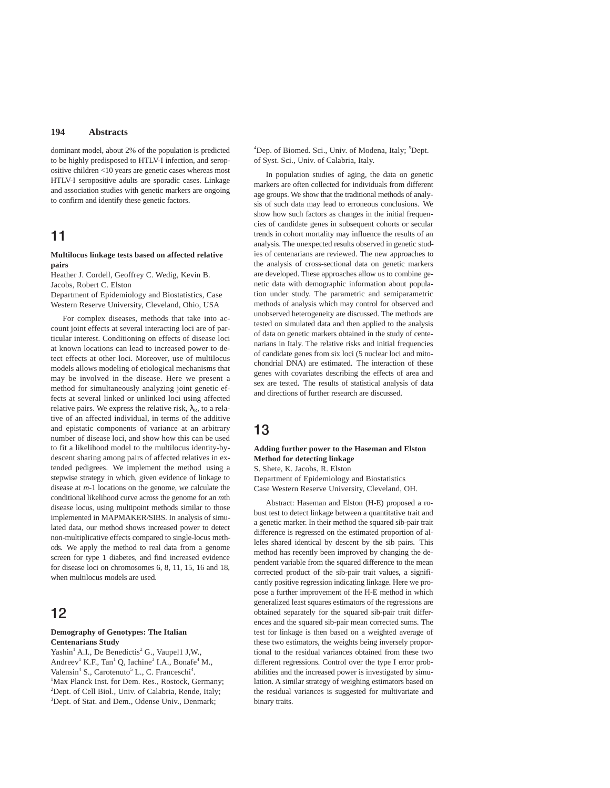dominant model, about 2% of the population is predicted to be highly predisposed to HTLV-I infection, and seropositive children <10 years are genetic cases whereas most HTLV-I seropositive adults are sporadic cases. Linkage and association studies with genetic markers are ongoing to confirm and identify these genetic factors.

## 11

### **Multilocus linkage tests based on affected relative pairs**

Heather J. Cordell, Geoffrey C. Wedig, Kevin B. Jacobs, Robert C. Elston

Department of Epidemiology and Biostatistics, Case Western Reserve University, Cleveland, Ohio, USA

For complex diseases, methods that take into account joint effects at several interacting loci are of particular interest. Conditioning on effects of disease loci at known locations can lead to increased power to detect effects at other loci. Moreover, use of multilocus models allows modeling of etiological mechanisms that may be involved in the disease. Here we present a method for simultaneously analyzing joint genetic effects at several linked or unlinked loci using affected relative pairs. We express the relative risk,  $\lambda_{\rm R}$ , to a relative of an affected individual, in terms of the additive and epistatic components of variance at an arbitrary number of disease loci, and show how this can be used to fit a likelihood model to the multilocus identity-bydescent sharing among pairs of affected relatives in extended pedigrees. We implement the method using a stepwise strategy in which, given evidence of linkage to disease at *m*-1 locations on the genome, we calculate the conditional likelihood curve across the genome for an *m*th disease locus, using multipoint methods similar to those implemented in MAPMAKER/SIBS. In analysis of simulated data, our method shows increased power to detect non-multiplicative effects compared to single-locus methods. We apply the method to real data from a genome screen for type 1 diabetes, and find increased evidence for disease loci on chromosomes 6, 8, 11, 15, 16 and 18, when multilocus models are used.

# 12

#### **Demography of Genotypes: The Italian Centenarians Study**

 $Yashin<sup>1</sup> A.I., De Benedictis<sup>2</sup> G., Vaupel1 J.W.,$ Andreev<sup>1</sup> K.F., Tan<sup>1</sup> Q, Iachine<sup>3</sup> I.A., Bonafe<sup>4</sup> M., Valensin<sup>4</sup> S., Carotenuto<sup>5</sup> L., C. Franceschi<sup>4</sup>. <sup>1</sup>Max Planck Inst. for Dem. Res., Rostock, Germany; <sup>2</sup>Dept. of Cell Biol., Univ. of Calabria, Rende, Italy; <sup>3</sup>Dept. of Stat. and Dem., Odense Univ., Denmark;

<sup>4</sup>Dep. of Biomed. Sci., Univ. of Modena, Italy; <sup>5</sup>Dept. of Syst. Sci., Univ. of Calabria, Italy.

In population studies of aging, the data on genetic markers are often collected for individuals from different age groups. We show that the traditional methods of analysis of such data may lead to erroneous conclusions. We show how such factors as changes in the initial frequencies of candidate genes in subsequent cohorts or secular trends in cohort mortality may influence the results of an analysis. The unexpected results observed in genetic studies of centenarians are reviewed. The new approaches to the analysis of cross-sectional data on genetic markers are developed. These approaches allow us to combine genetic data with demographic information about population under study. The parametric and semiparametric methods of analysis which may control for observed and unobserved heterogeneity are discussed. The methods are tested on simulated data and then applied to the analysis of data on genetic markers obtained in the study of centenarians in Italy. The relative risks and initial frequencies of candidate genes from six loci (5 nuclear loci and mitochondrial DNA) are estimated. The interaction of these genes with covariates describing the effects of area and sex are tested. The results of statistical analysis of data and directions of further research are discussed.

## 13

### **Adding further power to the Haseman and Elston Method for detecting linkage**

S. Shete, K. Jacobs, R. Elston Department of Epidemiology and Biostatistics Case Western Reserve University, Cleveland, OH.

Abstract: Haseman and Elston (H-E) proposed a robust test to detect linkage between a quantitative trait and a genetic marker. In their method the squared sib-pair trait difference is regressed on the estimated proportion of alleles shared identical by descent by the sib pairs. This method has recently been improved by changing the dependent variable from the squared difference to the mean corrected product of the sib-pair trait values, a significantly positive regression indicating linkage. Here we propose a further improvement of the H-E method in which generalized least squares estimators of the regressions are obtained separately for the squared sib-pair trait differences and the squared sib-pair mean corrected sums. The test for linkage is then based on a weighted average of these two estimators, the weights being inversely proportional to the residual variances obtained from these two different regressions. Control over the type I error probabilities and the increased power is investigated by simulation. A similar strategy of weighing estimators based on the residual variances is suggested for multivariate and binary traits.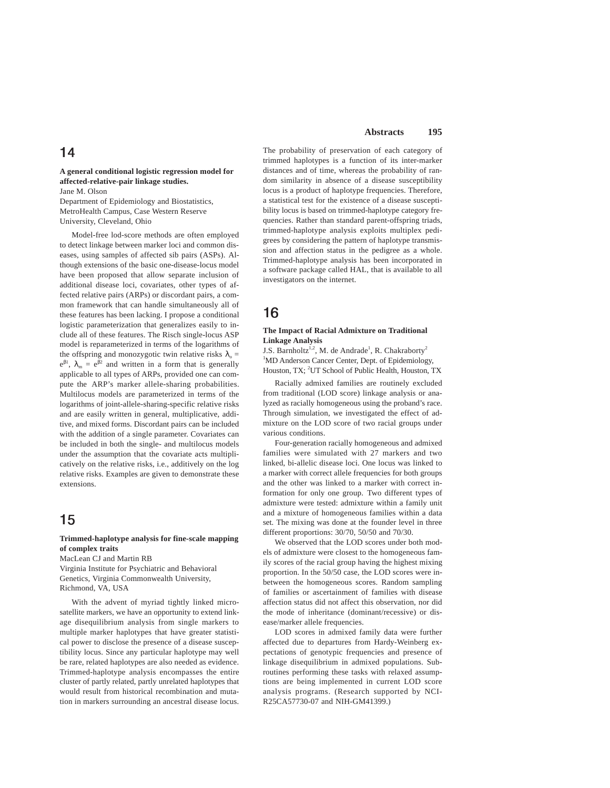# 14

### **A general conditional logistic regression model for affected-relative-pair linkage studies.** Jane M. Olson

Department of Epidemiology and Biostatistics, MetroHealth Campus, Case Western Reserve University, Cleveland, Ohio

Model-free lod-score methods are often employed to detect linkage between marker loci and common diseases, using samples of affected sib pairs (ASPs). Although extensions of the basic one-disease-locus model have been proposed that allow separate inclusion of additional disease loci, covariates, other types of affected relative pairs (ARPs) or discordant pairs, a common framework that can handle simultaneously all of these features has been lacking. I propose a conditional logistic parameterization that generalizes easily to include all of these features. The Risch single-locus ASP model is reparameterized in terms of the logarithms of the offspring and monozygotic twin relative risks  $\lambda_0 =$  $e^{\beta l}$ ,  $\lambda_m = e^{\beta 2}$  and written in a form that is generally applicable to all types of ARPs, provided one can compute the ARP's marker allele-sharing probabilities. Multilocus models are parameterized in terms of the logarithms of joint-allele-sharing-specific relative risks and are easily written in general, multiplicative, additive, and mixed forms. Discordant pairs can be included with the addition of a single parameter. Covariates can be included in both the single- and multilocus models under the assumption that the covariate acts multiplicatively on the relative risks, i.e., additively on the log relative risks. Examples are given to demonstrate these extensions.

# 15

### **Trimmed-haplotype analysis for fine-scale mapping of complex traits**

MacLean CJ and Martin RB Virginia Institute for Psychiatric and Behavioral Genetics, Virginia Commonwealth University, Richmond, VA, USA

With the advent of myriad tightly linked microsatellite markers, we have an opportunity to extend linkage disequilibrium analysis from single markers to multiple marker haplotypes that have greater statistical power to disclose the presence of a disease susceptibility locus. Since any particular haplotype may well be rare, related haplotypes are also needed as evidence. Trimmed-haplotype analysis encompasses the entire cluster of partly related, partly unrelated haplotypes that would result from historical recombination and mutation in markers surrounding an ancestral disease locus.

### **Abstracts 195**

The probability of preservation of each category of trimmed haplotypes is a function of its inter-marker distances and of time, whereas the probability of random similarity in absence of a disease susceptibility locus is a product of haplotype frequencies. Therefore, a statistical test for the existence of a disease susceptibility locus is based on trimmed-haplotype category frequencies. Rather than standard parent-offspring triads, trimmed-haplotype analysis exploits multiplex pedigrees by considering the pattern of haplotype transmission and affection status in the pedigree as a whole. Trimmed-haplotype analysis has been incorporated in a software package called HAL, that is available to all investigators on the internet.

## 16

#### **The Impact of Racial Admixture on Traditional Linkage Analysis**

J.S. Barnholtz<sup>1,2</sup>, M. de Andrade<sup>1</sup>, R. Chakraborty<sup>2</sup> <sup>1</sup>MD Anderson Cancer Center, Dept. of Epidemiology, Houston, TX; <sup>2</sup>UT School of Public Health, Houston, TX

Racially admixed families are routinely excluded from traditional (LOD score) linkage analysis or analyzed as racially homogeneous using the proband's race. Through simulation, we investigated the effect of admixture on the LOD score of two racial groups under various conditions.

Four-generation racially homogeneous and admixed families were simulated with 27 markers and two linked, bi-allelic disease loci. One locus was linked to a marker with correct allele frequencies for both groups and the other was linked to a marker with correct information for only one group. Two different types of admixture were tested: admixture within a family unit and a mixture of homogeneous families within a data set. The mixing was done at the founder level in three different proportions: 30/70, 50/50 and 70/30.

We observed that the LOD scores under both models of admixture were closest to the homogeneous family scores of the racial group having the highest mixing proportion. In the 50/50 case, the LOD scores were inbetween the homogeneous scores. Random sampling of families or ascertainment of families with disease affection status did not affect this observation, nor did the mode of inheritance (dominant/recessive) or disease/marker allele frequencies.

LOD scores in admixed family data were further affected due to departures from Hardy-Weinberg expectations of genotypic frequencies and presence of linkage disequilibrium in admixed populations. Subroutines performing these tasks with relaxed assumptions are being implemented in current LOD score analysis programs. (Research supported by NCI-R25CA57730-07 and NIH-GM41399.)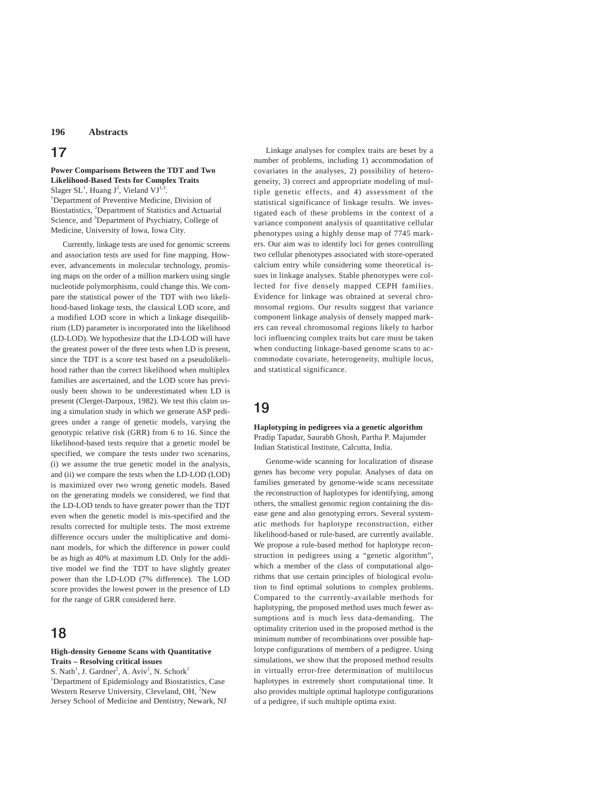## 17

### **Power Comparisons Between the TDT and Two Likelihood-Based Tests for Complex Traits**

Slager  $SL<sup>1</sup>$ , Huang J<sup>2</sup>, Vieland VJ<sup>1,3</sup>. <sup>1</sup>Department of Preventive Medicine, Division of Biostatistics, <sup>2</sup> Department of Statistics and Actuarial Science, and <sup>3</sup>Department of Psychiatry, College of Medicine, University of Iowa, Iowa City.

Currently, linkage tests are used for genomic screens and association tests are used for fine mapping. However, advancements in molecular technology, promising maps on the order of a million markers using single nucleotide polymorphisms, could change this. We compare the statistical power of the TDT with two likelihood-based linkage tests, the classical LOD score, and a modified LOD score in which a linkage disequilibrium (LD) parameter is incorporated into the likelihood (LD-LOD). We hypothesize that the LD-LOD will have the greatest power of the three tests when LD is present, since the TDT is a score test based on a pseudolikelihood rather than the correct likelihood when multiplex families are ascertained, and the LOD score has previously been shown to be underestimated when LD is present (Clerget-Darpoux, 1982). We test this claim using a simulation study in which we generate ASP pedigrees under a range of genetic models, varying the genotypic relative risk (GRR) from 6 to 16. Since the likelihood-based tests require that a genetic model be specified, we compare the tests under two scenarios, (i) we assume the true genetic model in the analysis, and (ii) we compare the tests when the LD-LOD (LOD) is maximized over two wrong genetic models. Based on the generating models we considered, we find that the LD-LOD tends to have greater power than the TDT even when the genetic model is mis-specified and the results corrected for multiple tests. The most extreme difference occurs under the multiplicative and dominant models, for which the difference in power could be as high as 40% at maximum LD. Only for the additive model we find the TDT to have slightly greater power than the LD-LOD (7% difference). The LOD score provides the lowest power in the presence of LD for the range of GRR considered here.

## 18

### **High-density Genome Scans with Quantitative Traits – Resolving critical issues**

S. Nath<sup>1</sup>, J. Gardner<sup>2</sup>, A. Aviv<sup>2</sup>, N. Schork<sup>1</sup> <sup>1</sup>Department of Epidemiology and Biostatistics, Case Western Reserve University, Cleveland, OH, <sup>2</sup>New Jersey School of Medicine and Dentistry, Newark, NJ

Linkage analyses for complex traits are beset by a number of problems, including 1) accommodation of covariates in the analyses, 2) possibility of heterogeneity, 3) correct and appropriate modeling of multiple genetic effects, and 4) assessment of the statistical significance of linkage results. We investigated each of these problems in the context of a variance component analysis of quantitative cellular phenotypes using a highly dense map of 7745 markers. Our aim was to identify loci for genes controlling two cellular phenotypes associated with store-operated calcium entry while considering some theoretical issues in linkage analyses. Stable phenotypes were collected for five densely mapped CEPH families. Evidence for linkage was obtained at several chromosomal regions. Our results suggest that variance component linkage analysis of densely mapped markers can reveal chromosomal regions likely to harbor loci influencing complex traits but care must be taken when conducting linkage-based genome scans to accommodate covariate, heterogeneity, multiple locus, and statistical significance.

## 19

**Haplotyping in pedigrees via a genetic algorithm** Pradip Tapadar, Saurabh Ghosh, Partha P. Majumder Indian Statistical Institute, Calcutta, India.

Genome-wide scanning for localization of disease genes has become very popular. Analyses of data on families generated by genome-wide scans necessitate the reconstruction of haplotypes for identifying, among others, the smallest genomic region containing the disease gene and also genotyping errors. Several systematic methods for haplotype reconstruction, either likelihood-based or rule-based, are currently available. We propose a rule-based method for haplotype reconstruction in pedigrees using a "genetic algorithm", which a member of the class of computational algorithms that use certain principles of biological evolution to find optimal solutions to complex problems. Compared to the currently-available methods for haplotyping, the proposed method uses much fewer assumptions and is much less data-demanding. The optimality criterion used in the proposed method is the minimum number of recombinations over possible haplotype configurations of members of a pedigree. Using simulations, we show that the proposed method results in virtually error-free determination of multilocus haplotypes in extremely short computational time. It also provides multiple optimal haplotype configurations of a pedigree, if such multiple optima exist.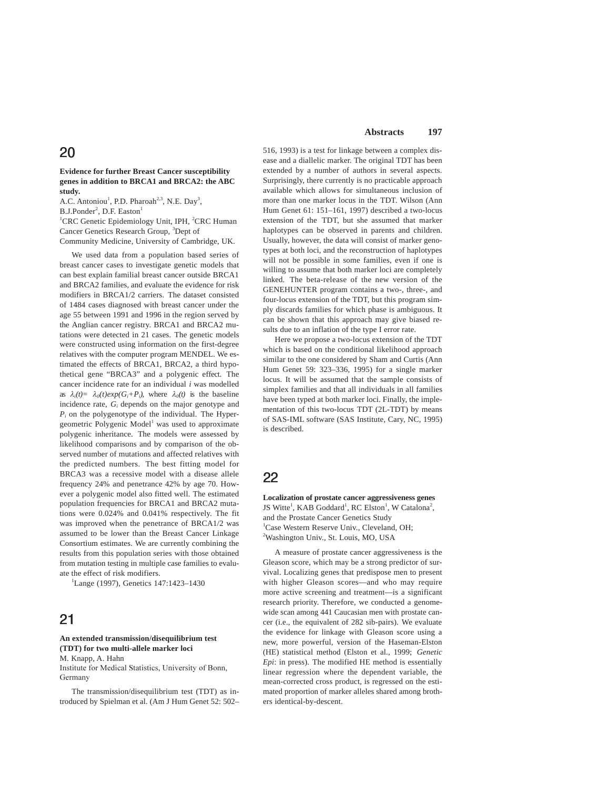## 20

### **Evidence for further Breast Cancer susceptibility genes in addition to BRCA1 and BRCA2: the ABC study.**

A.C. Antoniou<sup>1</sup>, P.D. Pharoah<sup>2,3</sup>, N.E. Day<sup>3</sup>, B.J.Ponder<sup>2</sup>, D.F. Easton<sup>1</sup>

<sup>1</sup>CRC Genetic Epidemiology Unit, IPH, <sup>2</sup>CRC Human Cancer Genetics Research Group, <sup>3</sup>Dept of Community Medicine, University of Cambridge, UK.

We used data from a population based series of breast cancer cases to investigate genetic models that can best explain familial breast cancer outside BRCA1 and BRCA2 families, and evaluate the evidence for risk modifiers in BRCA1/2 carriers. The dataset consisted of 1484 cases diagnosed with breast cancer under the age 55 between 1991 and 1996 in the region served by the Anglian cancer registry. BRCA1 and BRCA2 mutations were detected in 21 cases. The genetic models were constructed using information on the first-degree relatives with the computer program MENDEL. We estimated the effects of BRCA1, BRCA2, a third hypothetical gene "BRCA3" and a polygenic effect. The cancer incidence rate for an individual *i* was modelled as  $\lambda_i(t) = \lambda_0(t) exp(G_i + P_i)$ , where  $\lambda_0(t)$  is the baseline incidence rate, *Gi* depends on the major genotype and *Pi* on the polygenotype of the individual. The Hypergeometric Polygenic Model<sup>1</sup> was used to approximate polygenic inheritance. The models were assessed by likelihood comparisons and by comparison of the observed number of mutations and affected relatives with the predicted numbers. The best fitting model for BRCA3 was a recessive model with a disease allele frequency 24% and penetrance 42% by age 70. However a polygenic model also fitted well. The estimated population frequencies for BRCA1 and BRCA2 mutations were 0.024% and 0.041% respectively. The fit was improved when the penetrance of BRCA1/2 was assumed to be lower than the Breast Cancer Linkage Consortium estimates. We are currently combining the results from this population series with those obtained from mutation testing in multiple case families to evaluate the effect of risk modifiers.

1 Lange (1997), Genetics 147:1423–1430

# 21

### **An extended transmission/disequilibrium test (TDT) for two multi-allele marker loci**

M. Knapp, A. Hahn

Institute for Medical Statistics, University of Bonn, Germany

The transmission/disequilibrium test (TDT) as introduced by Spielman et al. (Am J Hum Genet 52: 502–

### **Abstracts 197**

516, 1993) is a test for linkage between a complex disease and a diallelic marker. The original TDT has been extended by a number of authors in several aspects. Surprisingly, there currently is no practicable approach available which allows for simultaneous inclusion of more than one marker locus in the TDT. Wilson (Ann Hum Genet 61: 151–161, 1997) described a two-locus extension of the TDT, but she assumed that marker haplotypes can be observed in parents and children. Usually, however, the data will consist of marker genotypes at both loci, and the reconstruction of haplotypes will not be possible in some families, even if one is willing to assume that both marker loci are completely linked. The beta-release of the new version of the GENEHUNTER program contains a two-, three-, and four-locus extension of the TDT, but this program simply discards families for which phase is ambiguous. It can be shown that this approach may give biased results due to an inflation of the type I error rate.

Here we propose a two-locus extension of the TDT which is based on the conditional likelihood approach similar to the one considered by Sham and Curtis (Ann Hum Genet 59: 323–336, 1995) for a single marker locus. It will be assumed that the sample consists of simplex families and that all individuals in all families have been typed at both marker loci. Finally, the implementation of this two-locus TDT (2L-TDT) by means of SAS-IML software (SAS Institute, Cary, NC, 1995) is described.

## 22

**Localization of prostate cancer aggressiveness genes** JS Witte<sup>1</sup>, KAB Goddard<sup>1</sup>, RC Elston<sup>1</sup>, W Catalona<sup>2</sup>, and the Prostate Cancer Genetics Study 1 Case Western Reserve Univ., Cleveland, OH; <sup>2</sup>Washington Univ., St. Louis, MO, USA

A measure of prostate cancer aggressiveness is the Gleason score, which may be a strong predictor of survival. Localizing genes that predispose men to present with higher Gleason scores—and who may require more active screening and treatment—is a significant research priority. Therefore, we conducted a genomewide scan among 441 Caucasian men with prostate cancer (i.e., the equivalent of 282 sib-pairs). We evaluate the evidence for linkage with Gleason score using a new, more powerful, version of the Haseman-Elston (HE) statistical method (Elston et al., 1999; *Genetic Epi*: in press). The modified HE method is essentially linear regression where the dependent variable, the mean-corrected cross product, is regressed on the estimated proportion of marker alleles shared among brothers identical-by-descent.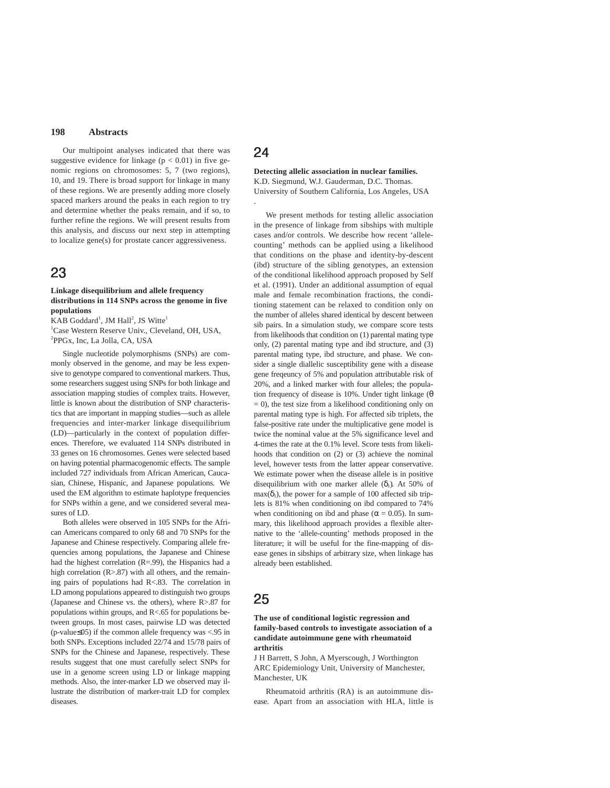Our multipoint analyses indicated that there was suggestive evidence for linkage  $(p < 0.01)$  in five genomic regions on chromosomes: 5, 7 (two regions), 10, and 19. There is broad support for linkage in many of these regions. We are presently adding more closely spaced markers around the peaks in each region to try and determine whether the peaks remain, and if so, to further refine the regions. We will present results from this analysis, and discuss our next step in attempting to localize gene(s) for prostate cancer aggressiveness.

## 23

### **Linkage disequilibrium and allele frequency distributions in 114 SNPs across the genome in five populations**

 $KAB$  Goddard<sup>1</sup>, JM Hall<sup>2</sup>, JS Witte<sup>1</sup>

1 Case Western Reserve Univ., Cleveland, OH, USA, 2 PPGx, Inc, La Jolla, CA, USA

Single nucleotide polymorphisms (SNPs) are commonly observed in the genome, and may be less expensive to genotype compared to conventional markers. Thus, some researchers suggest using SNPs for both linkage and association mapping studies of complex traits. However, little is known about the distribution of SNP characteristics that are important in mapping studies—such as allele frequencies and inter-marker linkage disequilibrium (LD)—particularly in the context of population differences. Therefore, we evaluated 114 SNPs distributed in 33 genes on 16 chromosomes. Genes were selected based on having potential pharmacogenomic effects. The sample included 727 individuals from African American, Caucasian, Chinese, Hispanic, and Japanese populations. We used the EM algorithm to estimate haplotype frequencies for SNPs within a gene, and we considered several measures of LD.

Both alleles were observed in 105 SNPs for the African Americans compared to only 68 and 70 SNPs for the Japanese and Chinese respectively. Comparing allele frequencies among populations, the Japanese and Chinese had the highest correlation (R=.99), the Hispanics had a high correlation (R>.87) with all others, and the remaining pairs of populations had R<.83. The correlation in LD among populations appeared to distinguish two groups (Japanese and Chinese vs. the others), where R>.87 for populations within groups, and R<.65 for populations between groups. In most cases, pairwise LD was detected (p-value≤05) if the common allele frequency was <.95 in both SNPs. Exceptions included 22/74 and 15/78 pairs of SNPs for the Chinese and Japanese, respectively. These results suggest that one must carefully select SNPs for use in a genome screen using LD or linkage mapping methods. Also, the inter-marker LD we observed may illustrate the distribution of marker-trait LD for complex diseases.

# 24

### **Detecting allelic association in nuclear families.** K.D. Siegmund, W.J. Gauderman, D.C. Thomas.

University of Southern California, Los Angeles, USA .

We present methods for testing allelic association in the presence of linkage from sibships with multiple cases and/or controls. We describe how recent 'allelecounting' methods can be applied using a likelihood that conditions on the phase and identity-by-descent (ibd) structure of the sibling genotypes, an extension of the conditional likelihood approach proposed by Self et al. (1991). Under an additional assumption of equal male and female recombination fractions, the conditioning statement can be relaxed to condition only on the number of alleles shared identical by descent between sib pairs. In a simulation study, we compare score tests from likelihoods that condition on (1) parental mating type only, (2) parental mating type and ibd structure, and (3) parental mating type, ibd structure, and phase. We consider a single diallelic susceptibility gene with a disease gene freqeuncy of 5% and population attributable risk of 20%, and a linked marker with four alleles; the population frequency of disease is 10%. Under tight linkage (θ  $= 0$ ), the test size from a likelihood conditioning only on parental mating type is high. For affected sib triplets, the false-positive rate under the multiplicative gene model is twice the nominal value at the 5% significance level and 4-times the rate at the 0.1% level. Score tests from likelihoods that condition on (2) or (3) achieve the nominal level, however tests from the latter appear conservative. We estimate power when the disease allele is in positive disequilibrium with one marker allele  $(\delta_1)$ . At 50% of  $max(\delta_1)$ , the power for a sample of 100 affected sib triplets is 81% when conditioning on ibd compared to 74% when conditioning on ibd and phase ( $\alpha = 0.05$ ). In summary, this likelihood approach provides a flexible alternative to the 'allele-counting' methods proposed in the literature; it will be useful for the fine-mapping of disease genes in sibships of arbitrary size, when linkage has already been established.

## 25

### **The use of conditional logistic regression and family-based controls to investigate association of a candidate autoimmune gene with rheumatoid arthritis**

J H Barrett, S John, A Myerscough, J Worthington ARC Epidemiology Unit, University of Manchester, Manchester, UK

Rheumatoid arthritis (RA) is an autoimmune disease. Apart from an association with HLA, little is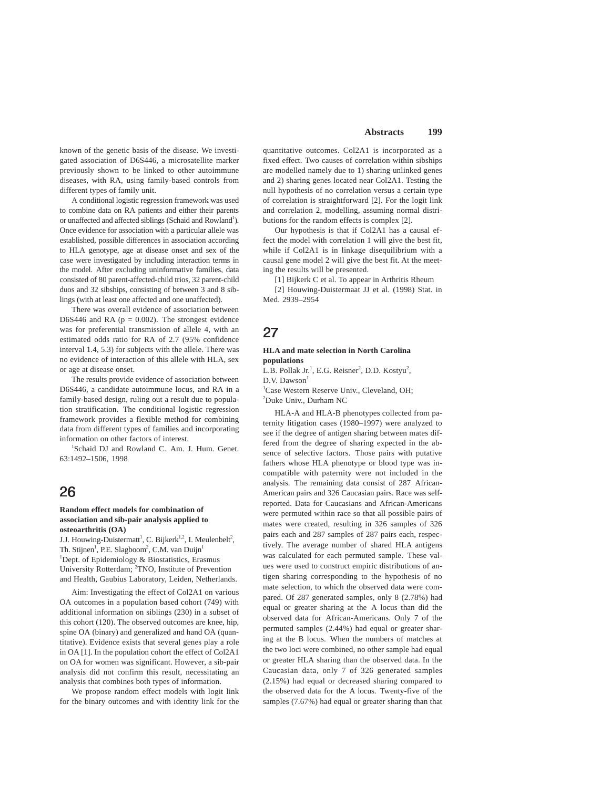known of the genetic basis of the disease. We investigated association of D6S446, a microsatellite marker previously shown to be linked to other autoimmune diseases, with RA, using family-based controls from different types of family unit.

A conditional logistic regression framework was used to combine data on RA patients and either their parents or unaffected and affected siblings (Schaid and Rowland<sup>1</sup>). Once evidence for association with a particular allele was established, possible differences in association according to HLA genotype, age at disease onset and sex of the case were investigated by including interaction terms in the model. After excluding uninformative families, data consisted of 80 parent-affected-child trios, 32 parent-child duos and 32 sibships, consisting of between 3 and 8 siblings (with at least one affected and one unaffected).

There was overall evidence of association between D6S446 and RA ( $p = 0.002$ ). The strongest evidence was for preferential transmission of allele 4, with an estimated odds ratio for RA of 2.7 (95% confidence interval 1.4, 5.3) for subjects with the allele. There was no evidence of interaction of this allele with HLA, sex or age at disease onset.

The results provide evidence of association between D6S446, a candidate autoimmune locus, and RA in a family-based design, ruling out a result due to population stratification. The conditional logistic regression framework provides a flexible method for combining data from different types of families and incorporating information on other factors of interest.

1 Schaid DJ and Rowland C. Am. J. Hum. Genet. 63:1492–1506, 1998

## 26

#### **Random effect models for combination of association and sib-pair analysis applied to osteoarthritis (OA)**

J.J. Houwing-Duistermatt<sup>1</sup>, C. Bijkerk<sup>1,2</sup>, I. Meulenbelt<sup>2</sup>, Th. Stijnen<sup>1</sup>, P.E. Slagboom<sup>2</sup>, C.M. van Duijn<sup>1</sup> <sup>1</sup>Dept. of Epidemiology & Biostatistics, Erasmus University Rotterdam; <sup>2</sup>TNO, Institute of Prevention and Health, Gaubius Laboratory, Leiden, Netherlands.

Aim: Investigating the effect of Col2A1 on various OA outcomes in a population based cohort (749) with additional information on siblings (230) in a subset of this cohort (120). The observed outcomes are knee, hip, spine OA (binary) and generalized and hand OA (quantitative). Evidence exists that several genes play a role in OA [1]. In the population cohort the effect of Col2A1 on OA for women was significant. However, a sib-pair analysis did not confirm this result, necessitating an analysis that combines both types of information.

We propose random effect models with logit link for the binary outcomes and with identity link for the quantitative outcomes. Col2A1 is incorporated as a fixed effect. Two causes of correlation within sibships are modelled namely due to 1) sharing unlinked genes and 2) sharing genes located near Col2A1. Testing the null hypothesis of no correlation versus a certain type of correlation is straightforward [2]. For the logit link and correlation 2, modelling, assuming normal distributions for the random effects is complex [2].

Our hypothesis is that if Col2A1 has a causal effect the model with correlation 1 will give the best fit, while if Col2A1 is in linkage disequilibrium with a causal gene model 2 will give the best fit. At the meeting the results will be presented.

[1] Bijkerk C et al. To appear in Arthritis Rheum

[2] Houwing-Duistermaat JJ et al. (1998) Stat. in Med. 2939–2954

# 27

### **HLA and mate selection in North Carolina populations**

L.B. Pollak Jr.<sup>1</sup>, E.G. Reisner<sup>2</sup>, D.D. Kostyu<sup>2</sup>, D.V. Dawson<sup>1</sup>

1 Case Western Reserve Univ., Cleveland, OH; 2 Duke Univ., Durham NC

HLA-A and HLA-B phenotypes collected from paternity litigation cases (1980–1997) were analyzed to see if the degree of antigen sharing between mates differed from the degree of sharing expected in the absence of selective factors. Those pairs with putative fathers whose HLA phenotype or blood type was incompatible with paternity were not included in the analysis. The remaining data consist of 287 African-American pairs and 326 Caucasian pairs. Race was selfreported. Data for Caucasians and African-Americans were permuted within race so that all possible pairs of mates were created, resulting in 326 samples of 326 pairs each and 287 samples of 287 pairs each, respectively. The average number of shared HLA antigens was calculated for each permuted sample. These values were used to construct empiric distributions of antigen sharing corresponding to the hypothesis of no mate selection, to which the observed data were compared. Of 287 generated samples, only 8 (2.78%) had equal or greater sharing at the A locus than did the observed data for African-Americans. Only 7 of the permuted samples (2.44%) had equal or greater sharing at the B locus. When the numbers of matches at the two loci were combined, no other sample had equal or greater HLA sharing than the observed data. In the Caucasian data, only 7 of 326 generated samples (2.15%) had equal or decreased sharing compared to the observed data for the A locus. Twenty-five of the samples (7.67%) had equal or greater sharing than that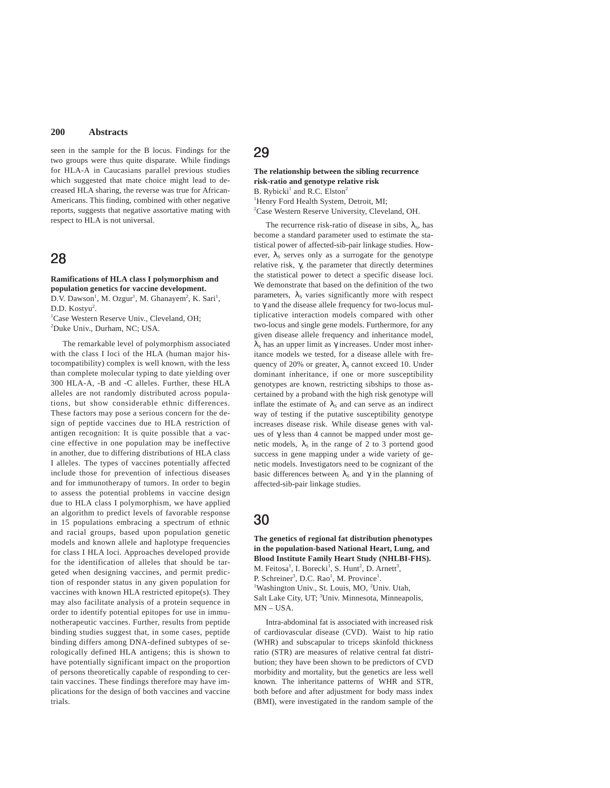seen in the sample for the B locus. Findings for the two groups were thus quite disparate. While findings for HLA-A in Caucasians parallel previous studies which suggested that mate choice might lead to decreased HLA sharing, the reverse was true for African-Americans. This finding, combined with other negative reports, suggests that negative assortative mating with respect to HLA is not universal.

## 28

**Ramifications of HLA class I polymorphism and population genetics for vaccine development.** D.V. Dawson<sup>1</sup>, M. Ozgur<sup>1</sup>, M. Ghanayem<sup>2</sup>, K. Sari<sup>1</sup>, D.D. Kostyu<sup>2</sup>.

1 Case Western Reserve Univ., Cleveland, OH; 2 Duke Univ., Durham, NC; USA.

The remarkable level of polymorphism associated with the class I loci of the HLA (human major histocompatibility) complex is well known, with the less than complete molecular typing to date yielding over 300 HLA-A, -B and -C alleles. Further, these HLA alleles are not randomly distributed across populations, but show considerable ethnic differences. These factors may pose a serious concern for the design of peptide vaccines due to HLA restriction of antigen recognition: It is quite possible that a vaccine effective in one population may be ineffective in another, due to differing distributions of HLA class I alleles. The types of vaccines potentially affected include those for prevention of infectious diseases and for immunotherapy of tumors. In order to begin to assess the potential problems in vaccine design due to HLA class I polymorphism, we have applied an algorithm to predict levels of favorable response in 15 populations embracing a spectrum of ethnic and racial groups, based upon population genetic models and known allele and haplotype frequencies for class I HLA loci. Approaches developed provide for the identification of alleles that should be targeted when designing vaccines, and permit prediction of responder status in any given population for vaccines with known HLA restricted epitope(s). They may also facilitate analysis of a protein sequence in order to identify potential epitopes for use in immunotherapeutic vaccines. Further, results from peptide binding studies suggest that, in some cases, peptide binding differs among DNA-defined subtypes of serologically defined HLA antigens; this is shown to have potentially significant impact on the proportion of persons theoretically capable of responding to certain vaccines. These findings therefore may have implications for the design of both vaccines and vaccine trials.

## 29

**The relationship between the sibling recurrence risk-ratio and genotype relative risk** B. Rybicki<sup>1</sup> and R.C. Elston<sup>2</sup> <sup>1</sup>Henry Ford Health System, Detroit, MI; 2 Case Western Reserve University, Cleveland, OH.

The recurrence risk-ratio of disease in sibs,  $\lambda_s$ , has become a standard parameter used to estimate the statistical power of affected-sib-pair linkage studies. However,  $\lambda_s$  serves only as a surrogate for the genotype relative risk, γ, the parameter that directly determines the statistical power to detect a specific disease loci. We demonstrate that based on the definition of the two parameters,  $\lambda_s$  varies significantly more with respect to γ and the disease allele frequency for two-locus multiplicative interaction models compared with other two-locus and single gene models. Furthermore, for any given disease allele frequency and inheritance model,  $\lambda_{\rm s}$  has an upper limit as  $\gamma$  increases. Under most inheritance models we tested, for a disease allele with frequency of 20% or greater,  $\lambda_s$  cannot exceed 10. Under dominant inheritance, if one or more susceptibility genotypes are known, restricting sibships to those ascertained by a proband with the high risk genotype will inflate the estimate of  $\lambda_s$  and can serve as an indirect way of testing if the putative susceptibility genotype increases disease risk. While disease genes with values of γ less than 4 cannot be mapped under most genetic models,  $\lambda_s$  in the range of 2 to 3 portend good success in gene mapping under a wide variety of genetic models. Investigators need to be cognizant of the basic differences between  $\lambda_s$  and  $\gamma$  in the planning of affected-sib-pair linkage studies.

# 30

**The genetics of regional fat distribution phenotypes in the population-based National Heart, Lung, and Blood Institute Family Heart Study (NHLBI-FHS).** M. Feitosa<sup>1</sup>, I. Borecki<sup>1</sup>, S. Hunt<sup>2</sup>, D. Arnett<sup>3</sup>,

P. Schreiner<sup>3</sup>, D.C. Rao<sup>1</sup>, M. Province<sup>1</sup>.

<sup>1</sup>Washington Univ., St. Louis, MO, <sup>2</sup>Univ. Utah, Salt Lake City, UT; <sup>3</sup>Univ. Minnesota, Minneapolis, MN – USA.

Intra-abdominal fat is associated with increased risk of cardiovascular disease (CVD). Waist to hip ratio (WHR) and subscapular to triceps skinfold thickness ratio (STR) are measures of relative central fat distribution; they have been shown to be predictors of CVD morbidity and mortality, but the genetics are less well known. The inheritance patterns of WHR and STR, both before and after adjustment for body mass index (BMI), were investigated in the random sample of the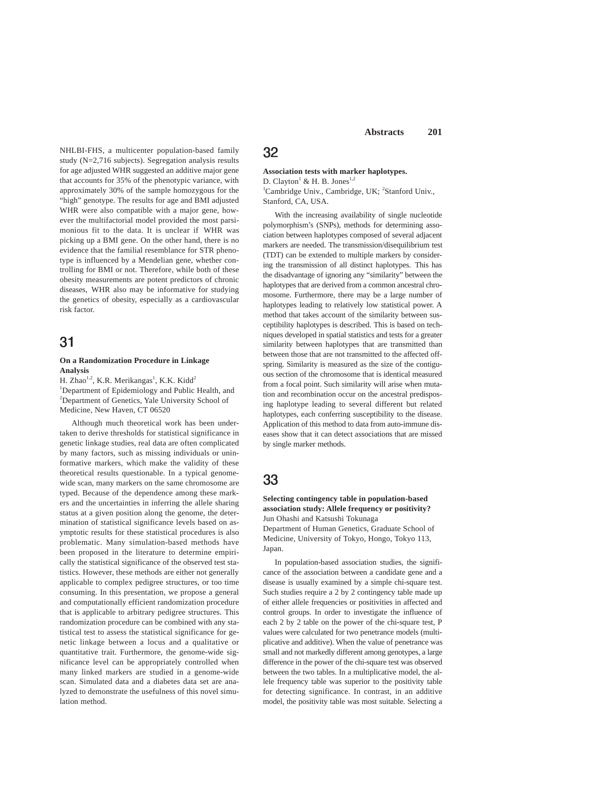NHLBI-FHS, a multicenter population-based family study (N=2,716 subjects). Segregation analysis results for age adjusted WHR suggested an additive major gene that accounts for 35% of the phenotypic variance, with approximately 30% of the sample homozygous for the "high" genotype. The results for age and BMI adjusted WHR were also compatible with a major gene, however the multifactorial model provided the most parsimonious fit to the data. It is unclear if WHR was picking up a BMI gene. On the other hand, there is no evidence that the familial resemblance for STR phenotype is influenced by a Mendelian gene, whether controlling for BMI or not. Therefore, while both of these obesity measurements are potent predictors of chronic diseases, WHR also may be informative for studying the genetics of obesity, especially as a cardiovascular risk factor.

## 31

### **On a Randomization Procedure in Linkage Analysis**

H. Zhao<sup>1,2</sup>, K.R. Merikangas<sup>1</sup>, K.K. Kidd<sup>2</sup> <sup>1</sup>Department of Epidemiology and Public Health, and <sup>2</sup>Department of Genetics, Yale University School of Medicine, New Haven, CT 06520

Although much theoretical work has been undertaken to derive thresholds for statistical significance in genetic linkage studies, real data are often complicated by many factors, such as missing individuals or uninformative markers, which make the validity of these theoretical results questionable. In a typical genomewide scan, many markers on the same chromosome are typed. Because of the dependence among these markers and the uncertainties in inferring the allele sharing status at a given position along the genome, the determination of statistical significance levels based on asymptotic results for these statistical procedures is also problematic. Many simulation-based methods have been proposed in the literature to determine empirically the statistical significance of the observed test statistics. However, these methods are either not generally applicable to complex pedigree structures, or too time consuming. In this presentation, we propose a general and computationally efficient randomization procedure that is applicable to arbitrary pedigree structures. This randomization procedure can be combined with any statistical test to assess the statistical significance for genetic linkage between a locus and a qualitative or quantitative trait. Furthermore, the genome-wide significance level can be appropriately controlled when many linked markers are studied in a genome-wide scan. Simulated data and a diabetes data set are analyzed to demonstrate the usefulness of this novel simulation method.

# 32

### **Association tests with marker haplotypes.**

D. Clayton<sup>1</sup> & H. B. Jones<sup>1,2</sup>

<sup>1</sup>Cambridge Univ., Cambridge, UK; <sup>2</sup>Stanford Univ., Stanford, CA, USA.

With the increasing availability of single nucleotide polymorphism's (SNPs), methods for determining association between haplotypes composed of several adjacent markers are needed. The transmission/disequilibrium test (TDT) can be extended to multiple markers by considering the transmission of all distinct haplotypes. This has the disadvantage of ignoring any "similarity" between the haplotypes that are derived from a common ancestral chromosome. Furthermore, there may be a large number of haplotypes leading to relatively low statistical power. A method that takes account of the similarity between susceptibility haplotypes is described. This is based on techniques developed in spatial statistics and tests for a greater similarity between haplotypes that are transmitted than between those that are not transmitted to the affected offspring. Similarity is measured as the size of the contiguous section of the chromosome that is identical measured from a focal point. Such similarity will arise when mutation and recombination occur on the ancestral predisposing haplotype leading to several different but related haplotypes, each conferring susceptibility to the disease. Application of this method to data from auto-immune diseases show that it can detect associations that are missed by single marker methods.

## 33

### **Selecting contingency table in population-based association study: Allele frequency or positivity?** Jun Ohashi and Katsushi Tokunaga

Department of Human Genetics, Graduate School of Medicine, University of Tokyo, Hongo, Tokyo 113, Japan.

In population-based association studies, the significance of the association between a candidate gene and a disease is usually examined by a simple chi-square test. Such studies require a 2 by 2 contingency table made up of either allele frequencies or positivities in affected and control groups. In order to investigate the influence of each 2 by 2 table on the power of the chi-square test, P values were calculated for two penetrance models (multiplicative and additive). When the value of penetrance was small and not markedly different among genotypes, a large difference in the power of the chi-square test was observed between the two tables. In a multiplicative model, the allele frequency table was superior to the positivity table for detecting significance. In contrast, in an additive model, the positivity table was most suitable. Selecting a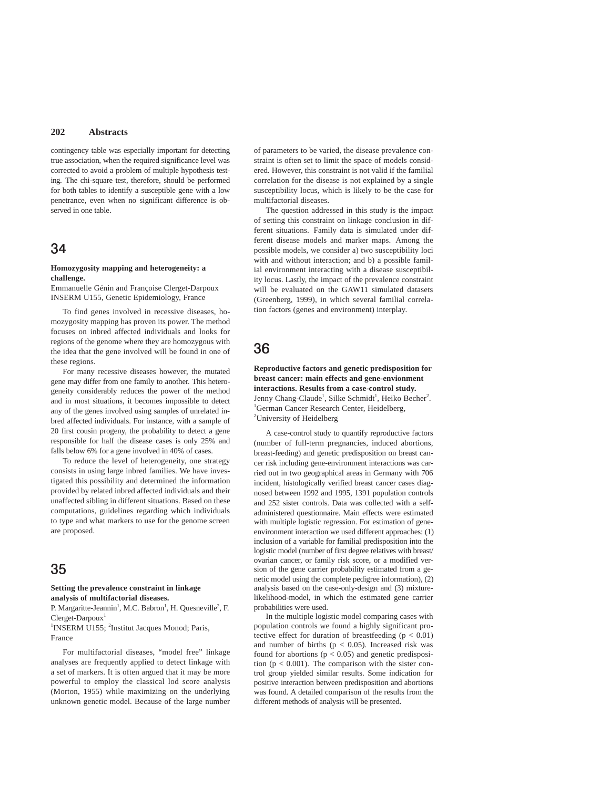contingency table was especially important for detecting true association, when the required significance level was corrected to avoid a problem of multiple hypothesis testing. The chi-square test, therefore, should be performed for both tables to identify a susceptible gene with a low penetrance, even when no significant difference is observed in one table.

## 34

#### **Homozygosity mapping and heterogeneity: a challenge.**

Emmanuelle Génin and Françoise Clerget-Darpoux INSERM U155, Genetic Epidemiology, France

To find genes involved in recessive diseases, homozygosity mapping has proven its power. The method focuses on inbred affected individuals and looks for regions of the genome where they are homozygous with the idea that the gene involved will be found in one of these regions.

For many recessive diseases however, the mutated gene may differ from one family to another. This heterogeneity considerably reduces the power of the method and in most situations, it becomes impossible to detect any of the genes involved using samples of unrelated inbred affected individuals. For instance, with a sample of 20 first cousin progeny, the probability to detect a gene responsible for half the disease cases is only 25% and falls below 6% for a gene involved in 40% of cases.

To reduce the level of heterogeneity, one strategy consists in using large inbred families. We have investigated this possibility and determined the information provided by related inbred affected individuals and their unaffected sibling in different situations. Based on these computations, guidelines regarding which individuals to type and what markers to use for the genome screen are proposed.

## 35

### **Setting the prevalence constraint in linkage analysis of multifactorial diseases.**

P. Margaritte-Jeannin<sup>1</sup>, M.C. Babron<sup>1</sup>, H. Quesneville<sup>2</sup>, F.  $C \leq C \leq D \leq C \leq \frac{1}{2}$ 

<sup>1</sup>INSERM U155; <sup>2</sup>Institut Jacques Monod; Paris, France

For multifactorial diseases, "model free" linkage analyses are frequently applied to detect linkage with a set of markers. It is often argued that it may be more powerful to employ the classical lod score analysis (Morton, 1955) while maximizing on the underlying unknown genetic model. Because of the large number

of parameters to be varied, the disease prevalence constraint is often set to limit the space of models considered. However, this constraint is not valid if the familial correlation for the disease is not explained by a single susceptibility locus, which is likely to be the case for multifactorial diseases.

The question addressed in this study is the impact of setting this constraint on linkage conclusion in different situations. Family data is simulated under different disease models and marker maps. Among the possible models, we consider a) two susceptibility loci with and without interaction; and b) a possible familial environment interacting with a disease susceptibility locus. Lastly, the impact of the prevalence constraint will be evaluated on the GAW11 simulated datasets (Greenberg, 1999), in which several familial correlation factors (genes and environment) interplay.

## 36

**Reproductive factors and genetic predisposition for breast cancer: main effects and gene-envionment interactions. Results from a case-control study.** Jenny Chang-Claude<sup>1</sup>, Silke Schmidt<sup>1</sup>, Heiko Becher<sup>2</sup>. 1 German Cancer Research Center, Heidelberg, <sup>2</sup>University of Heidelberg

A case-control study to quantify reproductive factors (number of full-term pregnancies, induced abortions, breast-feeding) and genetic predisposition on breast cancer risk including gene-environment interactions was carried out in two geographical areas in Germany with 706 incident, histologically verified breast cancer cases diagnosed between 1992 and 1995, 1391 population controls and 252 sister controls. Data was collected with a selfadministered questionnaire. Main effects were estimated with multiple logistic regression. For estimation of geneenvironment interaction we used different approaches: (1) inclusion of a variable for familial predisposition into the logistic model (number of first degree relatives with breast/ ovarian cancer, or family risk score, or a modified version of the gene carrier probability estimated from a genetic model using the complete pedigree information), (2) analysis based on the case-only-design and (3) mixturelikelihood-model, in which the estimated gene carrier probabilities were used.

In the multiple logistic model comparing cases with population controls we found a highly significant protective effect for duration of breastfeeding  $(p < 0.01)$ and number of births ( $p < 0.05$ ). Increased risk was found for abortions ( $p < 0.05$ ) and genetic predisposition ( $p < 0.001$ ). The comparison with the sister control group yielded similar results. Some indication for positive interaction between predisposition and abortions was found. A detailed comparison of the results from the different methods of analysis will be presented.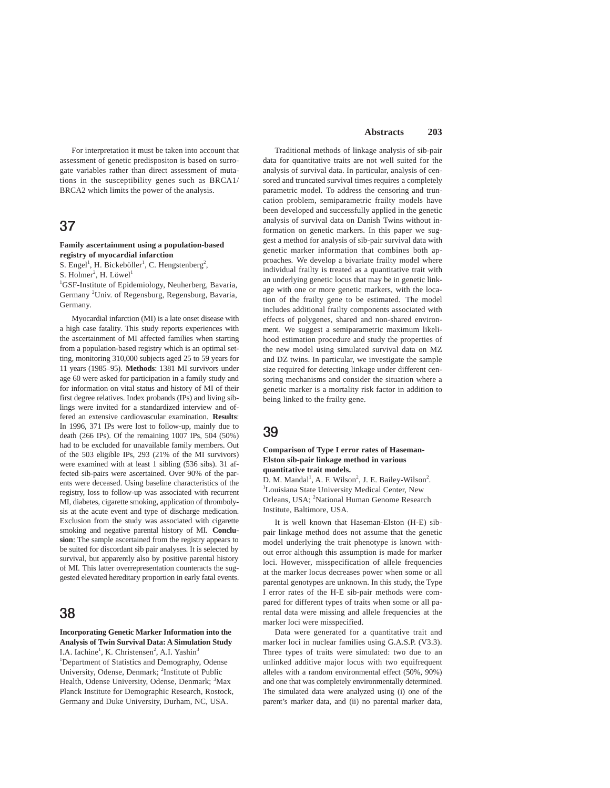For interpretation it must be taken into account that assessment of genetic predispositon is based on surrogate variables rather than direct assessment of mutations in the susceptibility genes such as BRCA1/ BRCA2 which limits the power of the analysis.

# 37

### **Family ascertainment using a population-based registry of myocardial infarction**

S. Engel<sup>1</sup>, H. Bickeböller<sup>1</sup>, C. Hengstenberg<sup>2</sup>,

 $S.$  Holmer<sup>2</sup>, H. Löwel<sup>1</sup>

<sup>1</sup>GSF-Institute of Epidemiology, Neuherberg, Bavaria, Germany <sup>2</sup>Univ. of Regensburg, Regensburg, Bavaria, Germany.

Myocardial infarction (MI) is a late onset disease with a high case fatality. This study reports experiences with the ascertainment of MI affected families when starting from a population-based registry which is an optimal setting, monitoring 310,000 subjects aged 25 to 59 years for 11 years (1985–95). **Methods**: 1381 MI survivors under age 60 were asked for participation in a family study and for information on vital status and history of MI of their first degree relatives. Index probands (IPs) and living siblings were invited for a standardized interview and offered an extensive cardiovascular examination. **Results**: In 1996, 371 IPs were lost to follow-up, mainly due to death (266 IPs). Of the remaining 1007 IPs, 504 (50%) had to be excluded for unavailable family members. Out of the 503 eligible IPs, 293 (21% of the MI survivors) were examined with at least 1 sibling (536 sibs). 31 affected sib-pairs were ascertained. Over 90% of the parents were deceased. Using baseline characteristics of the registry, loss to follow-up was associated with recurrent MI, diabetes, cigarette smoking, application of thrombolysis at the acute event and type of discharge medication. Exclusion from the study was associated with cigarette smoking and negative parental history of MI. **Conclusion**: The sample ascertained from the registry appears to be suited for discordant sib pair analyses. It is selected by survival, but apparently also by positive parental history of MI. This latter overrepresentation counteracts the suggested elevated hereditary proportion in early fatal events.

## 38

### **Incorporating Genetic Marker Information into the Analysis of Twin Survival Data: A Simulation Study** I.A. Iachine<sup>1</sup>, K. Christensen<sup>2</sup>, A.I. Yashin<sup>3</sup>

<sup>1</sup>Department of Statistics and Demography, Odense University, Odense, Denmark; <sup>2</sup>Institute of Public Health, Odense University, Odense, Denmark; <sup>3</sup>Max Planck Institute for Demographic Research, Rostock, Germany and Duke University, Durham, NC, USA.

### **Abstracts 203**

Traditional methods of linkage analysis of sib-pair data for quantitative traits are not well suited for the analysis of survival data. In particular, analysis of censored and truncated survival times requires a completely parametric model. To address the censoring and truncation problem, semiparametric frailty models have been developed and successfully applied in the genetic analysis of survival data on Danish Twins without information on genetic markers. In this paper we suggest a method for analysis of sib-pair survival data with genetic marker information that combines both approaches. We develop a bivariate frailty model where individual frailty is treated as a quantitative trait with an underlying genetic locus that may be in genetic linkage with one or more genetic markers, with the location of the frailty gene to be estimated. The model includes additional frailty components associated with effects of polygenes, shared and non-shared environment. We suggest a semiparametric maximum likelihood estimation procedure and study the properties of the new model using simulated survival data on MZ and DZ twins. In particular, we investigate the sample size required for detecting linkage under different censoring mechanisms and consider the situation where a genetic marker is a mortality risk factor in addition to being linked to the frailty gene.

## 39

#### **Comparison of Type I error rates of Haseman-Elston sib-pair linkage method in various quantitative trait models.**

D. M. Mandal<sup>1</sup>, A. F. Wilson<sup>2</sup>, J. E. Bailey-Wilson<sup>2</sup>. 1 Louisiana State University Medical Center, New Orleans, USA; <sup>2</sup>National Human Genome Research Institute, Baltimore, USA.

It is well known that Haseman-Elston (H-E) sibpair linkage method does not assume that the genetic model underlying the trait phenotype is known without error although this assumption is made for marker loci. However, misspecification of allele frequencies at the marker locus decreases power when some or all parental genotypes are unknown. In this study, the Type I error rates of the H-E sib-pair methods were compared for different types of traits when some or all parental data were missing and allele frequencies at the marker loci were misspecified.

Data were generated for a quantitative trait and marker loci in nuclear families using G.A.S.P. (V3.3). Three types of traits were simulated: two due to an unlinked additive major locus with two equifrequent alleles with a random environmental effect (50%, 90%) and one that was completely environmentally determined. The simulated data were analyzed using (i) one of the parent's marker data, and (ii) no parental marker data,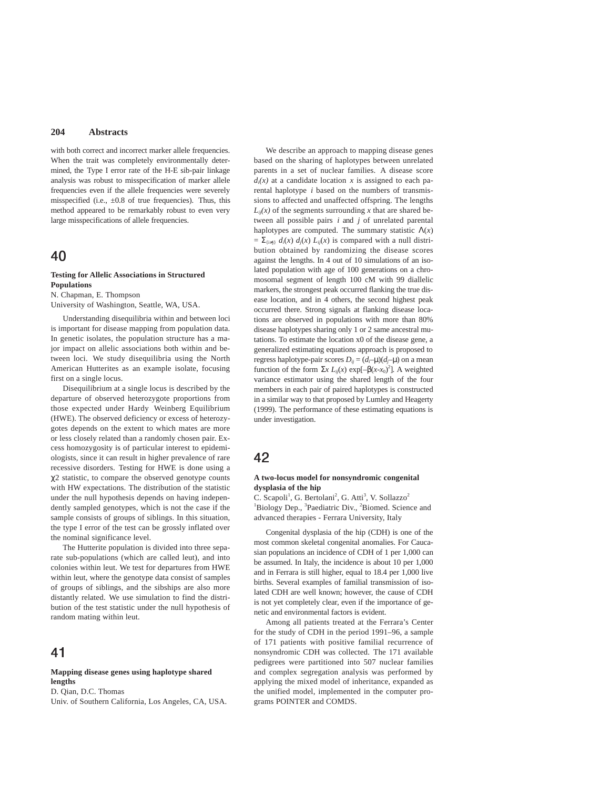with both correct and incorrect marker allele frequencies. When the trait was completely environmentally determined, the Type I error rate of the H-E sib-pair linkage analysis was robust to misspecification of marker allele frequencies even if the allele frequencies were severely misspecified (i.e.,  $\pm 0.8$  of true frequencies). Thus, this method appeared to be remarkably robust to even very large misspecifications of allele frequencies.

## 40

#### **Testing for Allelic Associations in Structured Populations**

N. Chapman, E. Thompson

University of Washington, Seattle, WA, USA.

Understanding disequilibria within and between loci is important for disease mapping from population data. In genetic isolates, the population structure has a major impact on allelic associations both within and between loci. We study disequilibria using the North American Hutterites as an example isolate, focusing first on a single locus.

Disequilibrium at a single locus is described by the departure of observed heterozygote proportions from those expected under Hardy Weinberg Equilibrium (HWE). The observed deficiency or excess of heterozygotes depends on the extent to which mates are more or less closely related than a randomly chosen pair. Excess homozygosity is of particular interest to epidemiologists, since it can result in higher prevalence of rare recessive disorders. Testing for HWE is done using a χ2 statistic, to compare the observed genotype counts with HW expectations. The distribution of the statistic under the null hypothesis depends on having independently sampled genotypes, which is not the case if the sample consists of groups of siblings. In this situation, the type I error of the test can be grossly inflated over the nominal significance level.

The Hutterite population is divided into three separate sub-populations (which are called leut), and into colonies within leut. We test for departures from HWE within leut, where the genotype data consist of samples of groups of siblings, and the sibships are also more distantly related. We use simulation to find the distribution of the test statistic under the null hypothesis of random mating within leut.

# 41

### **Mapping disease genes using haplotype shared lengths**

D. Qian, D.C. Thomas

Univ. of Southern California, Los Angeles, CA, USA.

We describe an approach to mapping disease genes based on the sharing of haplotypes between unrelated parents in a set of nuclear families. A disease score  $d_i(x)$  at a candidate location *x* is assigned to each parental haplotype *i* based on the numbers of transmissions to affected and unaffected offspring. The lengths  $L_i(x)$  of the segments surrounding x that are shared between all possible pairs *i* and *j* of unrelated parental haplotypes are computed. The summary statistic  $\Lambda(x)$  $= \sum_{\{i \neq j\}} d_i(x) d_j(x) L_{ij}(x)$  is compared with a null distribution obtained by randomizing the disease scores against the lengths. In 4 out of 10 simulations of an isolated population with age of 100 generations on a chromosomal segment of length 100 cM with 99 diallelic markers, the strongest peak occurred flanking the true disease location, and in 4 others, the second highest peak occurred there. Strong signals at flanking disease locations are observed in populations with more than 80% disease haplotypes sharing only 1 or 2 same ancestral mutations. To estimate the location x0 of the disease gene, a generalized estimating equations approach is proposed to regress haplotype-pair scores  $D_{ii} = (d_i - \mu)(d_i - \mu)$  on a mean function of the form  $\Sigma x L_{ij}(x) \exp[-\beta(x-x_0)^2]$ . A weighted variance estimator using the shared length of the four members in each pair of paired haplotypes is constructed in a similar way to that proposed by Lumley and Heagerty (1999). The performance of these estimating equations is under investigation.

## 42

#### **A two-locus model for nonsyndromic congenital dysplasia of the hip**

C. Scapoli<sup>1</sup>, G. Bertolani<sup>2</sup>, G. Atti<sup>3</sup>, V. Sollazzo<sup>2</sup> <sup>1</sup>Biology Dep., <sup>3</sup>Paediatric Div., <sup>2</sup>Biomed. Science and advanced therapies - Ferrara University, Italy

Congenital dysplasia of the hip (CDH) is one of the most common skeletal congenital anomalies. For Caucasian populations an incidence of CDH of 1 per 1,000 can be assumed. In Italy, the incidence is about 10 per 1,000 and in Ferrara is still higher, equal to 18.4 per 1,000 live births. Several examples of familial transmission of isolated CDH are well known; however, the cause of CDH is not yet completely clear, even if the importance of genetic and environmental factors is evident.

Among all patients treated at the Ferrara's Center for the study of CDH in the period 1991–96, a sample of 171 patients with positive familial recurrence of nonsyndromic CDH was collected. The 171 available pedigrees were partitioned into 507 nuclear families and complex segregation analysis was performed by applying the mixed model of inheritance, expanded as the unified model, implemented in the computer programs POINTER and COMDS.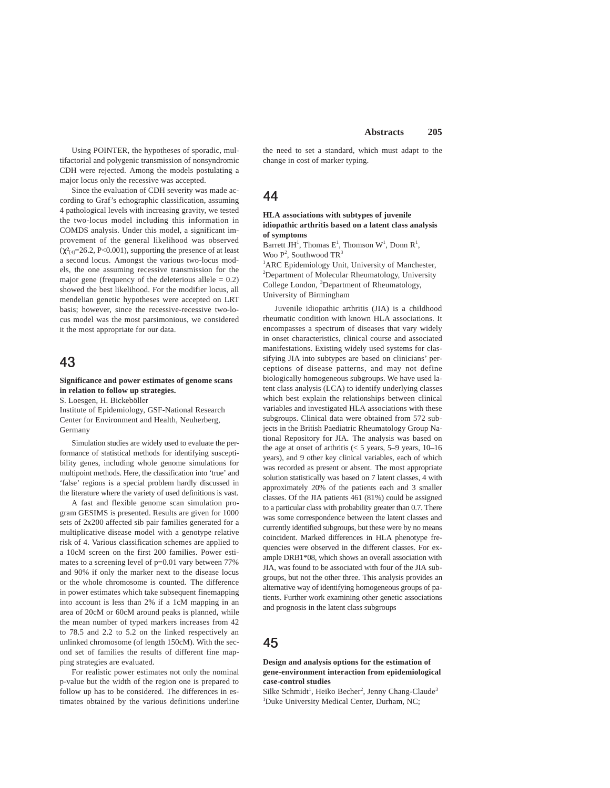Using POINTER, the hypotheses of sporadic, multifactorial and polygenic transmission of nonsyndromic CDH were rejected. Among the models postulating a major locus only the recessive was accepted.

Since the evaluation of CDH severity was made according to Graf's echographic classification, assuming 4 pathological levels with increasing gravity, we tested the two-locus model including this information in COMDS analysis. Under this model, a significant improvement of the general likelihood was observed  $(\chi^2_{\text{H}}=26.2, \text{P}<0.001)$ , supporting the presence of at least a second locus. Amongst the various two-locus models, the one assuming recessive transmission for the major gene (frequency of the deleterious allele  $= 0.2$ ) showed the best likelihood. For the modifier locus, all mendelian genetic hypotheses were accepted on LRT basis; however, since the recessive-recessive two-locus model was the most parsimonious, we considered it the most appropriate for our data.

## 43

### **Significance and power estimates of genome scans in relation to follow up strategies.** S. Loesgen, H. Bickeböller Institute of Epidemiology, GSF-National Research Center for Environment and Health, Neuherberg,

Germany

Simulation studies are widely used to evaluate the performance of statistical methods for identifying susceptibility genes, including whole genome simulations for multipoint methods. Here, the classification into 'true' and 'false' regions is a special problem hardly discussed in the literature where the variety of used definitions is vast.

A fast and flexible genome scan simulation program GESIMS is presented. Results are given for 1000 sets of 2x200 affected sib pair families generated for a multiplicative disease model with a genotype relative risk of 4. Various classification schemes are applied to a 10cM screen on the first 200 families. Power estimates to a screening level of  $p=0.01$  vary between 77% and 90% if only the marker next to the disease locus or the whole chromosome is counted. The difference in power estimates which take subsequent finemapping into account is less than 2% if a 1cM mapping in an area of 20cM or 60cM around peaks is planned, while the mean number of typed markers increases from 42 to 78.5 and 2.2 to 5.2 on the linked respectively an unlinked chromosome (of length 150cM). With the second set of families the results of different fine mapping strategies are evaluated.

For realistic power estimates not only the nominal p-value but the width of the region one is prepared to follow up has to be considered. The differences in estimates obtained by the various definitions underline the need to set a standard, which must adapt to the change in cost of marker typing.

## 44

### **HLA associations with subtypes of juvenile idiopathic arthritis based on a latent class analysis of symptoms**

Barrett JH<sup>1</sup>, Thomas E<sup>1</sup>, Thomson W<sup>1</sup>, Donn R<sup>1</sup>, Woo  $P^2$ , Southwood  $TR^3$ 

<sup>1</sup>ARC Epidemiology Unit, University of Manchester, <sup>2</sup>Department of Molecular Rheumatology, University College London, <sup>3</sup>Department of Rheumatology, University of Birmingham

Juvenile idiopathic arthritis (JIA) is a childhood rheumatic condition with known HLA associations. It encompasses a spectrum of diseases that vary widely in onset characteristics, clinical course and associated manifestations. Existing widely used systems for classifying JIA into subtypes are based on clinicians' perceptions of disease patterns, and may not define biologically homogeneous subgroups. We have used latent class analysis (LCA) to identify underlying classes which best explain the relationships between clinical variables and investigated HLA associations with these subgroups. Clinical data were obtained from 572 subjects in the British Paediatric Rheumatology Group National Repository for JIA. The analysis was based on the age at onset of arthritis (< 5 years, 5–9 years, 10–16 years), and 9 other key clinical variables, each of which was recorded as present or absent. The most appropriate solution statistically was based on 7 latent classes, 4 with approximately 20% of the patients each and 3 smaller classes. Of the JIA patients 461 (81%) could be assigned to a particular class with probability greater than 0.7. There was some correspondence between the latent classes and currently identified subgroups, but these were by no means coincident. Marked differences in HLA phenotype frequencies were observed in the different classes. For example DRB1\*08, which shows an overall association with JIA, was found to be associated with four of the JIA subgroups, but not the other three. This analysis provides an alternative way of identifying homogeneous groups of patients. Further work examining other genetic associations and prognosis in the latent class subgroups

## 45

### **Design and analysis options for the estimation of gene-environment interaction from epidemiological case-control studies**

Silke Schmidt<sup>1</sup>, Heiko Becher<sup>2</sup>, Jenny Chang-Claude<sup>3</sup> <sup>1</sup>Duke University Medical Center, Durham, NC;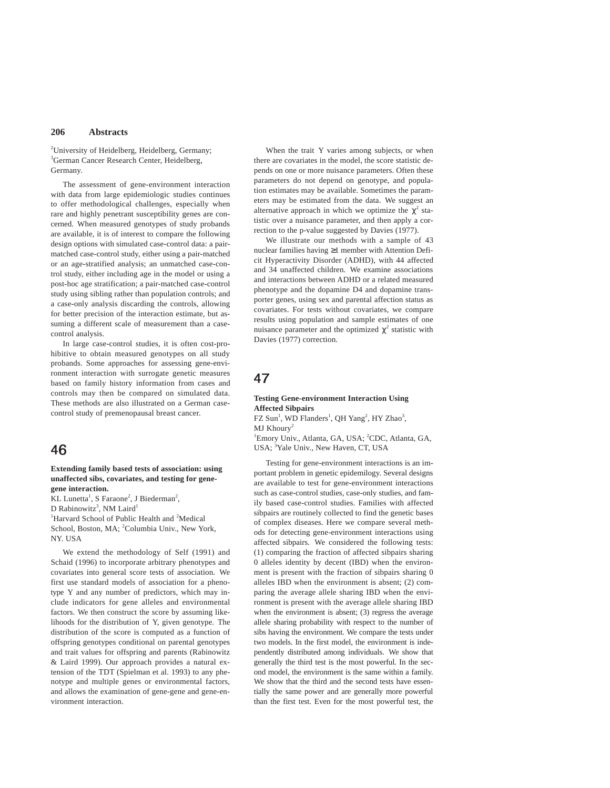<sup>2</sup>University of Heidelberg, Heidelberg, Germany; 3 German Cancer Research Center, Heidelberg, Germany.

The assessment of gene-environment interaction with data from large epidemiologic studies continues to offer methodological challenges, especially when rare and highly penetrant susceptibility genes are concerned. When measured genotypes of study probands are available, it is of interest to compare the following design options with simulated case-control data: a pairmatched case-control study, either using a pair-matched or an age-stratified analysis; an unmatched case-control study, either including age in the model or using a post-hoc age stratification; a pair-matched case-control study using sibling rather than population controls; and a case-only analysis discarding the controls, allowing for better precision of the interaction estimate, but assuming a different scale of measurement than a casecontrol analysis.

In large case-control studies, it is often cost-prohibitive to obtain measured genotypes on all study probands. Some approaches for assessing gene-environment interaction with surrogate genetic measures based on family history information from cases and controls may then be compared on simulated data. These methods are also illustrated on a German casecontrol study of premenopausal breast cancer.

# 46

**Extending family based tests of association: using unaffected sibs, covariates, and testing for genegene interaction.**

KL Lunetta<sup>1</sup>, S Faraone<sup>2</sup>, J Biederman<sup>2</sup>,

D Rabinowitz<sup>3</sup>, NM Laird<sup>1</sup>

<sup>1</sup>Harvard School of Public Health and <sup>2</sup>Medical School, Boston, MA; <sup>2</sup>Columbia Univ., New York, NY. USA

We extend the methodology of Self (1991) and Schaid (1996) to incorporate arbitrary phenotypes and covariates into general score tests of association. We first use standard models of association for a phenotype Y and any number of predictors, which may include indicators for gene alleles and environmental factors. We then construct the score by assuming likelihoods for the distribution of Y, given genotype. The distribution of the score is computed as a function of offspring genotypes conditional on parental genotypes and trait values for offspring and parents (Rabinowitz & Laird 1999). Our approach provides a natural extension of the TDT (Spielman et al. 1993) to any phenotype and multiple genes or environmental factors, and allows the examination of gene-gene and gene-environment interaction.

When the trait Y varies among subjects, or when there are covariates in the model, the score statistic depends on one or more nuisance parameters. Often these parameters do not depend on genotype, and population estimates may be available. Sometimes the parameters may be estimated from the data. We suggest an alternative approach in which we optimize the  $\chi^2$  statistic over a nuisance parameter, and then apply a correction to the p-value suggested by Davies (1977).

We illustrate our methods with a sample of 43 nuclear families having ≥1 member with Attention Deficit Hyperactivity Disorder (ADHD), with 44 affected and 34 unaffected children. We examine associations and interactions between ADHD or a related measured phenotype and the dopamine D4 and dopamine transporter genes, using sex and parental affection status as covariates. For tests without covariates, we compare results using population and sample estimates of one nuisance parameter and the optimized  $\chi^2$  statistic with Davies (1977) correction.

## 47

### **Testing Gene-environment Interaction Using Affected Sibpairs**

 $FZ$  Sun<sup>1</sup>, WD Flanders<sup>1</sup>, QH Yang<sup>2</sup>, HY Zhao<sup>3</sup>, MJ Khourv<sup>2</sup>

<sup>1</sup>Emory Univ., Atlanta, GA, USA; <sup>2</sup>CDC, Atlanta, GA, USA; <sup>3</sup>Yale Univ., New Haven, CT, USA

Testing for gene-environment interactions is an important problem in genetic epidemilogy. Several designs are available to test for gene-environment interactions such as case-control studies, case-only studies, and family based case-control studies. Families with affected sibpairs are routinely collected to find the genetic bases of complex diseases. Here we compare several methods for detecting gene-environment interactions using affected sibpairs. We considered the following tests: (1) comparing the fraction of affected sibpairs sharing 0 alleles identity by decent (IBD) when the environment is present with the fraction of sibpairs sharing 0 alleles IBD when the environment is absent; (2) comparing the average allele sharing IBD when the environment is present with the average allele sharing IBD when the environment is absent; (3) regress the average allele sharing probability with respect to the number of sibs having the environment. We compare the tests under two models. In the first model, the environment is independently distributed among individuals. We show that generally the third test is the most powerful. In the second model, the environment is the same within a family. We show that the third and the second tests have essentially the same power and are generally more powerful than the first test. Even for the most powerful test, the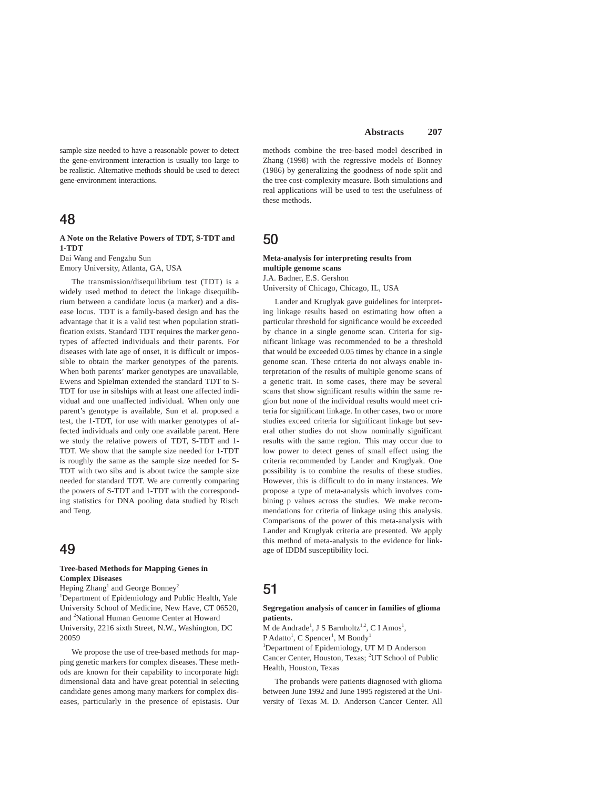sample size needed to have a reasonable power to detect the gene-environment interaction is usually too large to be realistic. Alternative methods should be used to detect gene-environment interactions.

## 48

### **A Note on the Relative Powers of TDT, S-TDT and 1-TDT**

Dai Wang and Fengzhu Sun Emory University, Atlanta, GA, USA

The transmission/disequilibrium test (TDT) is a widely used method to detect the linkage disequilibrium between a candidate locus (a marker) and a disease locus. TDT is a family-based design and has the advantage that it is a valid test when population stratification exists. Standard TDT requires the marker genotypes of affected individuals and their parents. For diseases with late age of onset, it is difficult or impossible to obtain the marker genotypes of the parents. When both parents' marker genotypes are unavailable, Ewens and Spielman extended the standard TDT to S-TDT for use in sibships with at least one affected individual and one unaffected individual. When only one parent's genotype is available, Sun et al. proposed a test, the 1-TDT, for use with marker genotypes of affected individuals and only one available parent. Here we study the relative powers of TDT, S-TDT and 1- TDT. We show that the sample size needed for 1-TDT is roughly the same as the sample size needed for S-TDT with two sibs and is about twice the sample size needed for standard TDT. We are currently comparing the powers of S-TDT and 1-TDT with the corresponding statistics for DNA pooling data studied by Risch and Teng.

## 49

### **Tree-based Methods for Mapping Genes in Complex Diseases**

Heping Zhang<sup>1</sup> and George Bonney<sup>2</sup>

<sup>1</sup>Department of Epidemiology and Public Health, Yale University School of Medicine, New Have, CT 06520, and <sup>2</sup>National Human Genome Center at Howard University, 2216 sixth Street, N.W., Washington, DC 20059

We propose the use of tree-based methods for mapping genetic markers for complex diseases. These methods are known for their capability to incorporate high dimensional data and have great potential in selecting candidate genes among many markers for complex diseases, particularly in the presence of epistasis. Our

### **Abstracts 207**

methods combine the tree-based model described in Zhang (1998) with the regressive models of Bonney (1986) by generalizing the goodness of node split and the tree cost-complexity measure. Both simulations and real applications will be used to test the usefulness of these methods.

## 50

### **Meta-analysis for interpreting results from multiple genome scans**

J.A. Badner, E.S. Gershon University of Chicago, Chicago, IL, USA

Lander and Kruglyak gave guidelines for interpreting linkage results based on estimating how often a particular threshold for significance would be exceeded by chance in a single genome scan. Criteria for significant linkage was recommended to be a threshold that would be exceeded 0.05 times by chance in a single genome scan. These criteria do not always enable interpretation of the results of multiple genome scans of a genetic trait. In some cases, there may be several scans that show significant results within the same region but none of the individual results would meet criteria for significant linkage. In other cases, two or more studies exceed criteria for significant linkage but several other studies do not show nominally significant results with the same region. This may occur due to low power to detect genes of small effect using the criteria recommended by Lander and Kruglyak. One possibility is to combine the results of these studies. However, this is difficult to do in many instances. We propose a type of meta-analysis which involves combining p values across the studies. We make recommendations for criteria of linkage using this analysis. Comparisons of the power of this meta-analysis with Lander and Kruglyak criteria are presented. We apply this method of meta-analysis to the evidence for linkage of IDDM susceptibility loci.

## 51

#### **Segregation analysis of cancer in families of glioma patients.**

M de Andrade<sup>1</sup>, J S Barnholtz<sup>1,2</sup>, C I Amos<sup>1</sup>, P Adatto<sup>1</sup>, C Spencer<sup>1</sup>, M Bondy<sup>1</sup> <sup>1</sup>Department of Epidemiology, UT M D Anderson Cancer Center, Houston, Texas; <sup>2</sup>UT School of Public Health, Houston, Texas

The probands were patients diagnosed with glioma between June 1992 and June 1995 registered at the University of Texas M. D. Anderson Cancer Center. All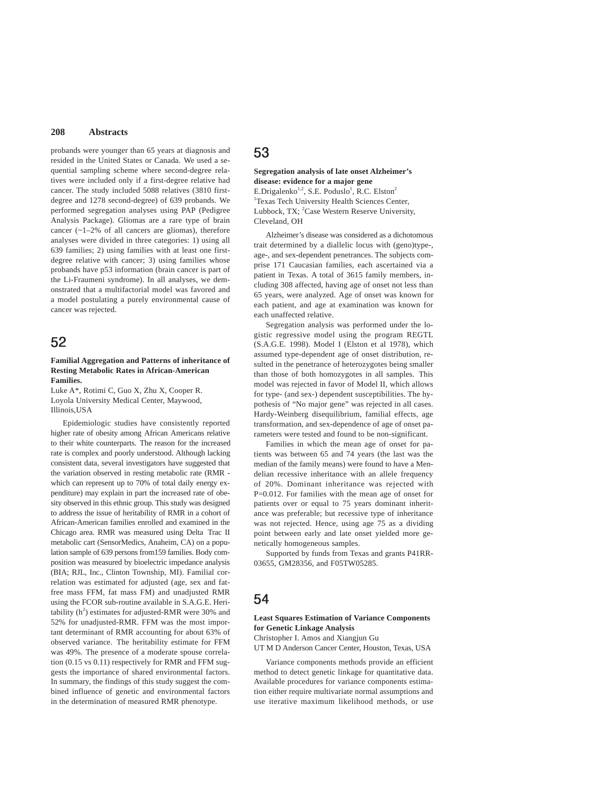probands were younger than 65 years at diagnosis and resided in the United States or Canada. We used a sequential sampling scheme where second-degree relatives were included only if a first-degree relative had cancer. The study included 5088 relatives (3810 firstdegree and 1278 second-degree) of 639 probands. We performed segregation analyses using PAP (Pedigree Analysis Package). Gliomas are a rare type of brain cancer  $(-1-2)$ % of all cancers are gliomas), therefore analyses were divided in three categories: 1) using all 639 families; 2) using families with at least one firstdegree relative with cancer; 3) using families whose probands have p53 information (brain cancer is part of the Li-Fraumeni syndrome). In all analyses, we demonstrated that a multifactorial model was favored and a model postulating a purely environmental cause of cancer was rejected.

## 52

#### **Familial Aggregation and Patterns of inheritance of Resting Metabolic Rates in African-American Families.**

Luke A\*, Rotimi C, Guo X, Zhu X, Cooper R. Loyola University Medical Center, Maywood, Illinois,USA

Epidemiologic studies have consistently reported higher rate of obesity among African Americans relative to their white counterparts. The reason for the increased rate is complex and poorly understood. Although lacking consistent data, several investigators have suggested that the variation observed in resting metabolic rate (RMR which can represent up to 70% of total daily energy expenditure) may explain in part the increased rate of obesity observed in this ethnic group. This study was designed to address the issue of heritability of RMR in a cohort of African-American families enrolled and examined in the Chicago area. RMR was measured using Delta Trac II metabolic cart (SensorMedics, Anaheim, CA) on a population sample of 639 persons from159 families. Body composition was measured by bioelectric impedance analysis (BIA; RJL, Inc., Clinton Township, MI). Familial correlation was estimated for adjusted (age, sex and fatfree mass FFM, fat mass FM) and unadjusted RMR using the FCOR sub-routine available in S.A.G.E. Heritability  $(h^2)$  estimates for adjusted-RMR were 30% and 52% for unadjusted-RMR. FFM was the most important determinant of RMR accounting for about 63% of observed variance. The heritability estimate for FFM was 49%. The presence of a moderate spouse correlation (0.15 vs 0.11) respectively for RMR and FFM suggests the importance of shared environmental factors. In summary, the findings of this study suggest the combined influence of genetic and environmental factors in the determination of measured RMR phenotype.

# 53

### **Segregation analysis of late onset Alzheimer's disease: evidence for a major gene** E.Drigalenko<sup>1,2</sup>, S.E. Poduslo<sup>1</sup>, R.C. Elston<sup>2</sup> <sup>1</sup>Texas Tech University Health Sciences Center, Lubbock, TX; <sup>2</sup>Case Western Reserve University, Cleveland, OH

Alzheimer's disease was considered as a dichotomous trait determined by a diallelic locus with (geno)type-, age-, and sex-dependent penetrances. The subjects comprise 171 Caucasian families, each ascertained via a patient in Texas. A total of 3615 family members, including 308 affected, having age of onset not less than 65 years, were analyzed. Age of onset was known for each patient, and age at examination was known for each unaffected relative.

Segregation analysis was performed under the logistic regressive model using the program REGTL (S.A.G.E. 1998). Model I (Elston et al 1978), which assumed type-dependent age of onset distribution, resulted in the penetrance of heterozygotes being smaller than those of both homozygotes in all samples. This model was rejected in favor of Model II, which allows for type- (and sex-) dependent susceptibilities. The hypothesis of "No major gene" was rejected in all cases. Hardy-Weinberg disequilibrium, familial effects, age transformation, and sex-dependence of age of onset parameters were tested and found to be non-significant.

Families in which the mean age of onset for patients was between 65 and 74 years (the last was the median of the family means) were found to have a Mendelian recessive inheritance with an allele frequency of 20%. Dominant inheritance was rejected with P=0.012. For families with the mean age of onset for patients over or equal to 75 years dominant inheritance was preferable; but recessive type of inheritance was not rejected. Hence, using age 75 as a dividing point between early and late onset yielded more genetically homogeneous samples.

Supported by funds from Texas and grants P41RR-03655, GM28356, and F05TW05285.

## 54

### **Least Squares Estimation of Variance Components for Genetic Linkage Analysis**

Christopher I. Amos and Xiangjun Gu

UT M D Anderson Cancer Center, Houston, Texas, USA

Variance components methods provide an efficient method to detect genetic linkage for quantitative data. Available procedures for variance components estimation either require multivariate normal assumptions and use iterative maximum likelihood methods, or use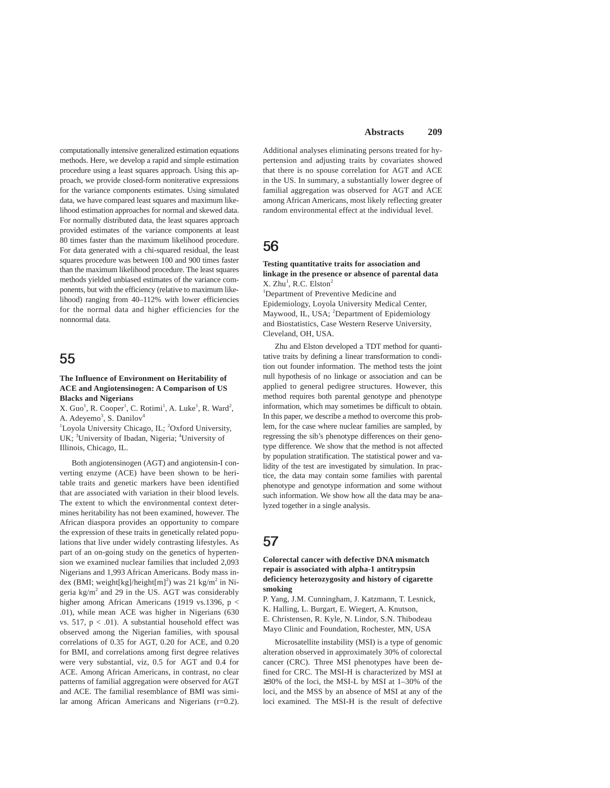computationally intensive generalized estimation equations methods. Here, we develop a rapid and simple estimation procedure using a least squares approach. Using this approach, we provide closed-form noniterative expressions for the variance components estimates. Using simulated data, we have compared least squares and maximum likelihood estimation approaches for normal and skewed data. For normally distributed data, the least squares approach provided estimates of the variance components at least 80 times faster than the maximum likelihood procedure. For data generated with a chi-squared residual, the least squares procedure was between 100 and 900 times faster than the maximum likelihood procedure. The least squares methods yielded unbiased estimates of the variance components, but with the efficiency (relative to maximum likelihood) ranging from 40–112% with lower efficiencies for the normal data and higher efficiencies for the nonnormal data.

## 55

### **The Influence of Environment on Heritability of ACE and Angiotensinogen: A Comparison of US Blacks and Nigerians**

X. Guo<sup>1</sup>, R. Cooper<sup>1</sup>, C. Rotimi<sup>1</sup>, A. Luke<sup>1</sup>, R. Ward<sup>2</sup>, A. Adeyemo<sup>3</sup>, S. Danilov<sup>4</sup>

<sup>1</sup>Loyola University Chicago, IL; <sup>2</sup>Oxford University, UK; <sup>3</sup>University of Ibadan, Nigeria; <sup>4</sup>University of Illinois, Chicago, IL.

Both angiotensinogen (AGT) and angiotensin-I converting enzyme (ACE) have been shown to be heritable traits and genetic markers have been identified that are associated with variation in their blood levels. The extent to which the environmental context determines heritability has not been examined, however. The African diaspora provides an opportunity to compare the expression of these traits in genetically related populations that live under widely contrasting lifestyles. As part of an on-going study on the genetics of hypertension we examined nuclear families that included 2,093 Nigerians and 1,993 African Americans. Body mass index (BMI; weight[kg]/height $[m]^2$ ) was 21 kg/m<sup>2</sup> in Nigeria  $\text{kg/m}^2$  and 29 in the US. AGT was considerably higher among African Americans (1919 vs.1396, p < .01), while mean ACE was higher in Nigerians (630 vs. 517,  $p < .01$ ). A substantial household effect was observed among the Nigerian families, with spousal correlations of 0.35 for AGT, 0.20 for ACE, and 0.20 for BMI, and correlations among first degree relatives were very substantial, viz, 0.5 for AGT and 0.4 for ACE. Among African Americans, in contrast, no clear patterns of familial aggregation were observed for AGT and ACE. The familial resemblance of BMI was similar among African Americans and Nigerians (r=0.2). Additional analyses eliminating persons treated for hypertension and adjusting traits by covariates showed that there is no spouse correlation for AGT and ACE in the US. In summary, a substantially lower degree of familial aggregation was observed for AGT and ACE among African Americans, most likely reflecting greater random environmental effect at the individual level.

## 56

### **Testing quantitative traits for association and linkage in the presence or absence of parental data**  $X.$  Zhu<sup>1</sup>, R.C. Elston<sup>2</sup>

<sup>1</sup>Department of Preventive Medicine and Epidemiology, Loyola University Medical Center, Maywood, IL, USA; <sup>2</sup>Department of Epidemiology and Biostatistics, Case Western Reserve University, Cleveland, OH, USA.

Zhu and Elston developed a TDT method for quantitative traits by defining a linear transformation to condition out founder information. The method tests the joint null hypothesis of no linkage or association and can be applied to general pedigree structures. However, this method requires both parental genotype and phenotype information, which may sometimes be difficult to obtain. In this paper, we describe a method to overcome this problem, for the case where nuclear families are sampled, by regressing the sib's phenotype differences on their genotype difference. We show that the method is not affected by population stratification. The statistical power and validity of the test are investigated by simulation. In practice, the data may contain some families with parental phenotype and genotype information and some without such information. We show how all the data may be analyzed together in a single analysis.

## 57

### **Colorectal cancer with defective DNA mismatch repair is associated with alpha-1 antitrypsin deficiency heterozygosity and history of cigarette smoking**

P. Yang, J.M. Cunningham, J. Katzmann, T. Lesnick, K. Halling, L. Burgart, E. Wiegert, A. Knutson, E. Christensen, R. Kyle, N. Lindor, S.N. Thibodeau Mayo Clinic and Foundation, Rochester, MN, USA

Microsatellite instability (MSI) is a type of genomic alteration observed in approximately 30% of colorectal cancer (CRC). Three MSI phenotypes have been defined for CRC. The MSI-H is characterized by MSI at ≥30% of the loci, the MSI-L by MSI at 1–30% of the loci, and the MSS by an absence of MSI at any of the loci examined. The MSI-H is the result of defective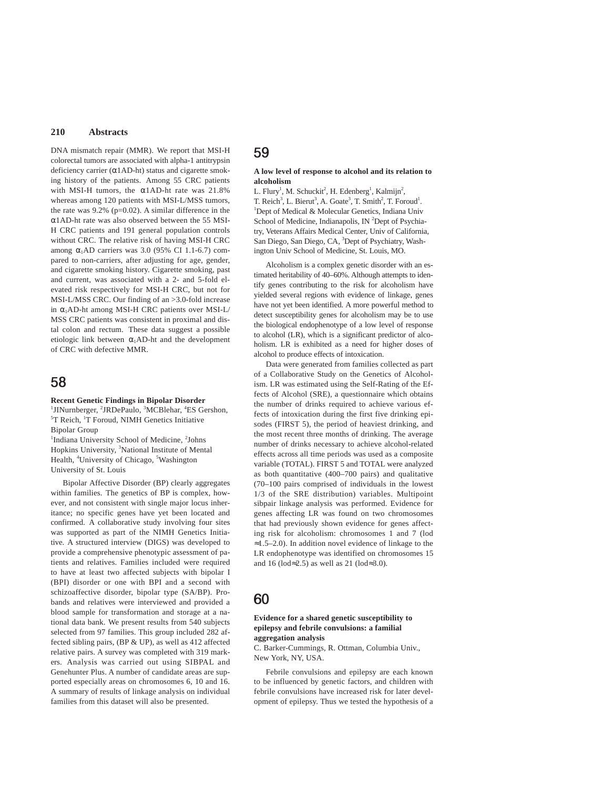DNA mismatch repair (MMR). We report that MSI-H colorectal tumors are associated with alpha-1 antitrypsin deficiency carrier (α1AD-ht) status and cigarette smoking history of the patients. Among 55 CRC patients with MSI-H tumors, the α1AD-ht rate was 21.8% whereas among 120 patients with MSI-L/MSS tumors, the rate was  $9.2\%$  (p=0.02). A similar difference in the α1AD-ht rate was also observed between the 55 MSI-H CRC patients and 191 general population controls without CRC. The relative risk of having MSI-H CRC among α<sub>1</sub>AD carriers was 3.0 (95% CI 1.1-6.7) compared to non-carriers, after adjusting for age, gender, and cigarette smoking history. Cigarette smoking, past and current, was associated with a 2- and 5-fold elevated risk respectively for MSI-H CRC, but not for MSI-L/MSS CRC. Our finding of an >3.0-fold increase in  $\alpha_1$ AD-ht among MSI-H CRC patients over MSI-L/ MSS CRC patients was consistent in proximal and distal colon and rectum. These data suggest a possible etiologic link between  $\alpha_1$ AD-ht and the development of CRC with defective MMR.

## 58

### **Recent Genetic Findings in Bipolar Disorder**

<sup>1</sup>JINurnberger, <sup>2</sup>JRDePaulo, <sup>3</sup>MCBlehar, <sup>4</sup>ES Gershon, <sup>5</sup>T Reich, <sup>1</sup>T Foroud, NIMH Genetics Initiative Bipolar Group

<sup>1</sup>Indiana University School of Medicine, <sup>2</sup>Johns Hopkins University, <sup>3</sup>National Institute of Mental Health, <sup>4</sup>University of Chicago, <sup>5</sup>Washington University of St. Louis

Bipolar Affective Disorder (BP) clearly aggregates within families. The genetics of BP is complex, however, and not consistent with single major locus inheritance; no specific genes have yet been located and confirmed. A collaborative study involving four sites was supported as part of the NIMH Genetics Initiative. A structured interview (DIGS) was developed to provide a comprehensive phenotypic assessment of patients and relatives. Families included were required to have at least two affected subjects with bipolar I (BPI) disorder or one with BPI and a second with schizoaffective disorder, bipolar type (SA/BP). Probands and relatives were interviewed and provided a blood sample for transformation and storage at a national data bank. We present results from 540 subjects selected from 97 families. This group included 282 affected sibling pairs, (BP & UP), as well as 412 affected relative pairs. A survey was completed with 319 markers. Analysis was carried out using SIBPAL and Genehunter Plus. A number of candidate areas are supported especially areas on chromosomes 6, 10 and 16. A summary of results of linkage analysis on individual families from this dataset will also be presented.

## 59

### **A low level of response to alcohol and its relation to alcoholism**

L. Flury<sup>1</sup>, M. Schuckit<sup>2</sup>, H. Edenberg<sup>1</sup>, Kalmijn<sup>2</sup>, T. Reich<sup>3</sup>, L. Bierut<sup>3</sup>, A. Goate<sup>3</sup>, T. Smith<sup>2</sup>, T. Foroud<sup>1</sup>. <sup>1</sup>Dept of Medical & Molecular Genetics, Indiana Univ School of Medicine, Indianapolis, IN<sup>2</sup>Dept of Psychiatry, Veterans Affairs Medical Center, Univ of California, San Diego, San Diego, CA, <sup>3</sup>Dept of Psychiatry, Washington Univ School of Medicine, St. Louis, MO.

Alcoholism is a complex genetic disorder with an estimated heritability of 40–60%. Although attempts to identify genes contributing to the risk for alcoholism have yielded several regions with evidence of linkage, genes have not yet been identified. A more powerful method to detect susceptibility genes for alcoholism may be to use the biological endophenotype of a low level of response to alcohol (LR), which is a significant predictor of alcoholism. LR is exhibited as a need for higher doses of alcohol to produce effects of intoxication.

Data were generated from families collected as part of a Collaborative Study on the Genetics of Alcoholism. LR was estimated using the Self-Rating of the Effects of Alcohol (SRE), a questionnaire which obtains the number of drinks required to achieve various effects of intoxication during the first five drinking episodes (FIRST 5), the period of heaviest drinking, and the most recent three months of drinking. The average number of drinks necessary to achieve alcohol-related effects across all time periods was used as a composite variable (TOTAL). FIRST 5 and TOTAL were analyzed as both quantitative (400–700 pairs) and qualitative (70–100 pairs comprised of individuals in the lowest 1/3 of the SRE distribution) variables. Multipoint sibpair linkage analysis was performed. Evidence for genes affecting LR was found on two chromosomes that had previously shown evidence for genes affecting risk for alcoholism: chromosomes 1 and 7 (lod ≈1.5–2.0). In addition novel evidence of linkage to the LR endophenotype was identified on chromosomes 15 and 16 (lod≈2.5) as well as 21 (lod≈3.0).

## 60

### **Evidence for a shared genetic susceptibility to epilepsy and febrile convulsions: a familial aggregation analysis**

C. Barker-Cummings, R. Ottman, Columbia Univ., New York, NY, USA.

Febrile convulsions and epilepsy are each known to be influenced by genetic factors, and children with febrile convulsions have increased risk for later development of epilepsy. Thus we tested the hypothesis of a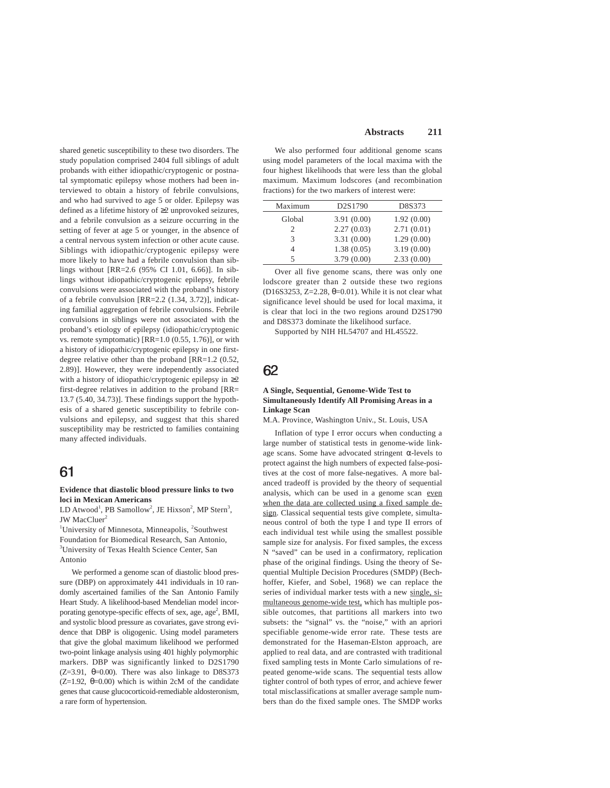shared genetic susceptibility to these two disorders. The study population comprised 2404 full siblings of adult probands with either idiopathic/cryptogenic or postnatal symptomatic epilepsy whose mothers had been interviewed to obtain a history of febrile convulsions, and who had survived to age 5 or older. Epilepsy was defined as a lifetime history of ≥2 unprovoked seizures, and a febrile convulsion as a seizure occurring in the setting of fever at age 5 or younger, in the absence of a central nervous system infection or other acute cause. Siblings with idiopathic/cryptogenic epilepsy were more likely to have had a febrile convulsion than siblings without [RR=2.6 (95% CI 1.01, 6.66)]. In siblings without idiopathic/cryptogenic epilepsy, febrile convulsions were associated with the proband's history of a febrile convulsion [RR=2.2 (1.34, 3.72)], indicating familial aggregation of febrile convulsions. Febrile convulsions in siblings were not associated with the proband's etiology of epilepsy (idiopathic/cryptogenic vs. remote symptomatic) [RR=1.0 (0.55, 1.76)], or with a history of idiopathic/cryptogenic epilepsy in one firstdegree relative other than the proband [RR=1.2 (0.52, 2.89)]. However, they were independently associated with a history of idiopathic/cryptogenic epilepsy in  $\geq 2$ first-degree relatives in addition to the proband [RR= 13.7 (5.40, 34.73)]. These findings support the hypothesis of a shared genetic susceptibility to febrile convulsions and epilepsy, and suggest that this shared susceptibility may be restricted to families containing many affected individuals.

# 61

#### **Evidence that diastolic blood pressure links to two loci in Mexican Americans**

LD Atwood<sup>1</sup>, PB Samollow<sup>2</sup>, JE Hixson<sup>2</sup>, MP Stern<sup>3</sup>, JW MacCluer<sup>2</sup>

<sup>1</sup>University of Minnesota, Minneapolis, <sup>2</sup>Southwest Foundation for Biomedical Research, San Antonio, <sup>3</sup>University of Texas Health Science Center, San Antonio

We performed a genome scan of diastolic blood pressure (DBP) on approximately 441 individuals in 10 randomly ascertained families of the San Antonio Family Heart Study. A likelihood-based Mendelian model incorporating genotype-specific effects of sex, age, age<sup>2</sup>, BMI, and systolic blood pressure as covariates, gave strong evidence that DBP is oligogenic. Using model parameters that give the global maximum likelihood we performed two-point linkage analysis using 401 highly polymorphic markers. DBP was significantly linked to D2S1790 ( $Z=3.91$ ,  $\theta=0.00$ ). There was also linkage to D8S373 ( $Z=1.92$ ,  $\theta=0.00$ ) which is within 2cM of the candidate genes that cause glucocorticoid-remediable aldosteronism, a rare form of hypertension.

We also performed four additional genome scans using model parameters of the local maxima with the four highest likelihoods that were less than the global maximum. Maximum lodscores (and recombination fractions) for the two markers of interest were:

| Maximum | D <sub>2</sub> S <sub>1790</sub> | D8S373     |
|---------|----------------------------------|------------|
| Global  | 3.91(0.00)                       | 1.92(0.00) |
| 2       | 2.27(0.03)                       | 2.71(0.01) |
| 3       | 3.31(0.00)                       | 1.29(0.00) |
|         | 1.38(0.05)                       | 3.19(0.00) |
| 5       | 3.79(0.00)                       | 2.33(0.00) |
|         |                                  |            |

Over all five genome scans, there was only one lodscore greater than 2 outside these two regions (D16S3253, Z=2.28,  $θ=0.01$ ). While it is not clear what significance level should be used for local maxima, it is clear that loci in the two regions around D2S1790 and D8S373 dominate the likelihood surface.

Supported by NIH HL54707 and HL45522.

# 62

#### **A Single, Sequential, Genome-Wide Test to Simultaneously Identify All Promising Areas in a Linkage Scan**

M.A. Province, Washington Univ., St. Louis, USA

Inflation of type I error occurs when conducting a large number of statistical tests in genome-wide linkage scans. Some have advocated stringent  $\alpha$ -levels to protect against the high numbers of expected false-positives at the cost of more false-negatives. A more balanced tradeoff is provided by the theory of sequential analysis, which can be used in a genome scan even when the data are collected using a fixed sample design. Classical sequential tests give complete, simultaneous control of both the type I and type II errors of each individual test while using the smallest possible sample size for analysis. For fixed samples, the excess N "saved" can be used in a confirmatory, replication phase of the original findings. Using the theory of Sequential Multiple Decision Procedures (SMDP) (Bechhoffer, Kiefer, and Sobel, 1968) we can replace the series of individual marker tests with a new single, simultaneous genome-wide test, which has multiple possible outcomes, that partitions all markers into two subsets: the "signal" vs. the "noise," with an apriori specifiable genome-wide error rate. These tests are demonstrated for the Haseman-Elston approach, are applied to real data, and are contrasted with traditional fixed sampling tests in Monte Carlo simulations of repeated genome-wide scans. The sequential tests allow tighter control of both types of error, and achieve fewer total misclassifications at smaller average sample numbers than do the fixed sample ones. The SMDP works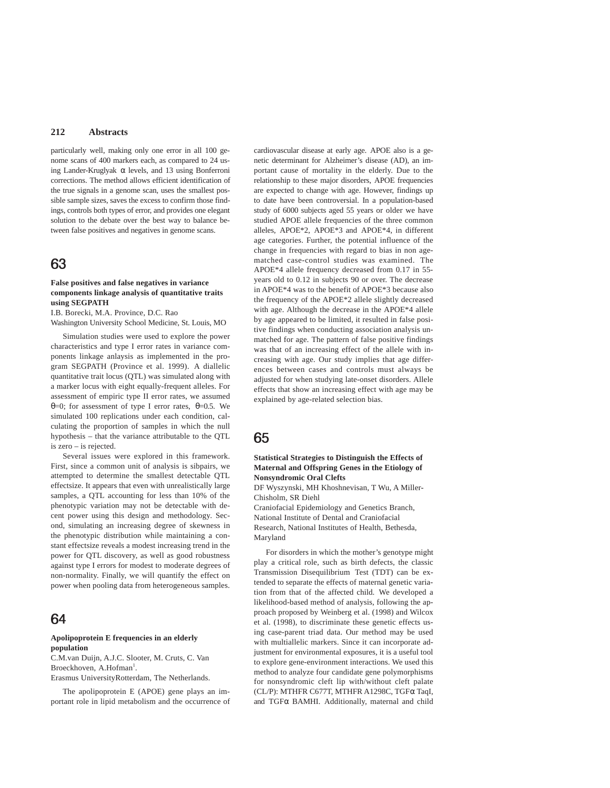particularly well, making only one error in all 100 genome scans of 400 markers each, as compared to 24 using Lander-Kruglyak α levels, and 13 using Bonferroni corrections. The method allows efficient identification of the true signals in a genome scan, uses the smallest possible sample sizes, saves the excess to confirm those findings, controls both types of error, and provides one elegant solution to the debate over the best way to balance between false positives and negatives in genome scans.

## 63

#### **False positives and false negatives in variance components linkage analysis of quantitative traits using SEGPATH**

I.B. Borecki, M.A. Province, D.C. Rao

Washington University School Medicine, St. Louis, MO

Simulation studies were used to explore the power characteristics and type I error rates in variance components linkage anlaysis as implemented in the program SEGPATH (Province et al. 1999). A diallelic quantitative trait locus (QTL) was simulated along with a marker locus with eight equally-frequent alleles. For assessment of empiric type II error rates, we assumed θ=0; for assessment of type I error rates,  $θ=0.5$ . We simulated 100 replications under each condition, calculating the proportion of samples in which the null hypothesis – that the variance attributable to the QTL is zero – is rejected.

Several issues were explored in this framework. First, since a common unit of analysis is sibpairs, we attempted to determine the smallest detectable QTL effectsize. It appears that even with unrealistically large samples, a QTL accounting for less than 10% of the phenotypic variation may not be detectable with decent power using this design and methodology. Second, simulating an increasing degree of skewness in the phenotypic distribution while maintaining a constant effectsize reveals a modest increasing trend in the power for QTL discovery, as well as good robustness against type I errors for modest to moderate degrees of non-normality. Finally, we will quantify the effect on power when pooling data from heterogeneous samples.

# 64

### **Apolipoprotein E frequencies in an elderly population**

C.M.van Duijn, A.J.C. Slooter, M. Cruts, C. Van Broeckhoven, A.Hofman<sup>1</sup>.

Erasmus UniversityRotterdam, The Netherlands.

The apolipoprotein E (APOE) gene plays an important role in lipid metabolism and the occurrence of

cardiovascular disease at early age. APOE also is a genetic determinant for Alzheimer's disease (AD), an important cause of mortality in the elderly. Due to the relationship to these major disorders, APOE frequencies are expected to change with age. However, findings up to date have been controversial. In a population-based study of 6000 subjects aged 55 years or older we have studied APOE allele frequencies of the three common alleles, APOE\*2, APOE\*3 and APOE\*4, in different age categories. Further, the potential influence of the change in frequencies with regard to bias in non agematched case-control studies was examined. The APOE\*4 allele frequency decreased from 0.17 in 55 years old to 0.12 in subjects 90 or over. The decrease in APOE\*4 was to the benefit of APOE\*3 because also the frequency of the APOE\*2 allele slightly decreased with age. Although the decrease in the APOE\*4 allele by age appeared to be limited, it resulted in false positive findings when conducting association analysis unmatched for age. The pattern of false positive findings was that of an increasing effect of the allele with increasing with age. Our study implies that age differences between cases and controls must always be adjusted for when studying late-onset disorders. Allele effects that show an increasing effect with age may be explained by age-related selection bias.

## 65

### **Statistical Strategies to Distinguish the Effects of Maternal and Offspring Genes in the Etiology of Nonsyndromic Oral Clefts**

DF Wyszynski, MH Khoshnevisan, T Wu, A Miller-Chisholm, SR Diehl

Craniofacial Epidemiology and Genetics Branch, National Institute of Dental and Craniofacial Research, National Institutes of Health, Bethesda, Maryland

For disorders in which the mother's genotype might play a critical role, such as birth defects, the classic Transmission Disequilibrium Test (TDT) can be extended to separate the effects of maternal genetic variation from that of the affected child. We developed a likelihood-based method of analysis, following the approach proposed by Weinberg et al. (1998) and Wilcox et al. (1998), to discriminate these genetic effects using case-parent triad data. Our method may be used with multiallelic markers. Since it can incorporate adjustment for environmental exposures, it is a useful tool to explore gene-environment interactions. We used this method to analyze four candidate gene polymorphisms for nonsyndromic cleft lip with/without cleft palate (CL/P): MTHFR C677T, MTHFR A1298C, TGF $\alpha$  TaqI, and TGFα BAMHI. Additionally, maternal and child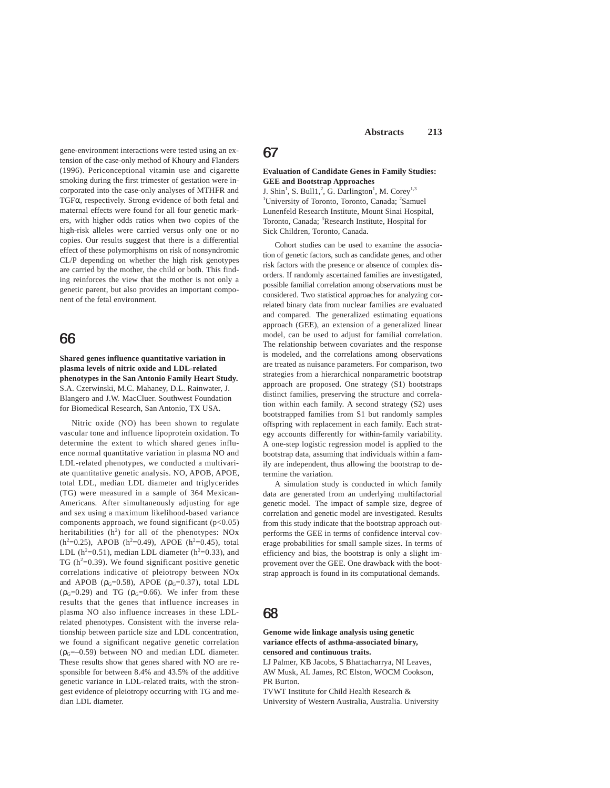gene-environment interactions were tested using an extension of the case-only method of Khoury and Flanders (1996). Periconceptional vitamin use and cigarette smoking during the first trimester of gestation were incorporated into the case-only analyses of MTHFR and TGFα, respectively. Strong evidence of both fetal and maternal effects were found for all four genetic markers, with higher odds ratios when two copies of the high-risk alleles were carried versus only one or no copies. Our results suggest that there is a differential effect of these polymorphisms on risk of nonsyndromic CL/P depending on whether the high risk genotypes are carried by the mother, the child or both. This finding reinforces the view that the mother is not only a genetic parent, but also provides an important component of the fetal environment.

## 66

**Shared genes influence quantitative variation in plasma levels of nitric oxide and LDL-related phenotypes in the San Antonio Family Heart Study.** S.A. Czerwinski, M.C. Mahaney, D.L. Rainwater, J. Blangero and J.W. MacCluer. Southwest Foundation for Biomedical Research, San Antonio, TX USA.

Nitric oxide (NO) has been shown to regulate vascular tone and influence lipoprotein oxidation. To determine the extent to which shared genes influence normal quantitative variation in plasma NO and LDL-related phenotypes, we conducted a multivariate quantitative genetic analysis. NO, APOB, APOE, total LDL, median LDL diameter and triglycerides (TG) were measured in a sample of 364 Mexican-Americans. After simultaneously adjusting for age and sex using a maximum likelihood-based variance components approach, we found significant  $(p<0.05)$ heritabilities  $(h^2)$  for all of the phenotypes: NOx  $(h^2=0.25)$ , APOB  $(h^2=0.49)$ , APOE  $(h^2=0.45)$ , total LDL ( $h^2$ =0.51), median LDL diameter ( $h^2$ =0.33), and TG ( $h^2$ =0.39). We found significant positive genetic correlations indicative of pleiotropy between NOx and APOB ( $\rho$ <sub>G</sub>=0.58), APOE ( $\rho$ <sub>G</sub>=0.37), total LDL  $(p_G=0.29)$  and TG ( $p_G=0.66$ ). We infer from these results that the genes that influence increases in plasma NO also influence increases in these LDLrelated phenotypes. Consistent with the inverse relationship between particle size and LDL concentration, we found a significant negative genetic correlation  $(p<sub>G</sub>=-0.59)$  between NO and median LDL diameter. These results show that genes shared with NO are responsible for between 8.4% and 43.5% of the additive genetic variance in LDL-related traits, with the strongest evidence of pleiotropy occurring with TG and median LDL diameter.

# 67

#### **Evaluation of Candidate Genes in Family Studies: GEE and Bootstrap Approaches**

J. Shin<sup>1</sup>, S. Bull1,<sup>2</sup>, G. Darlington<sup>1</sup>, M. Corey<sup>1,3</sup> <sup>1</sup>University of Toronto, Toronto, Canada; <sup>2</sup>Samuel Lunenfeld Research Institute, Mount Sinai Hospital, Toronto, Canada; <sup>3</sup>Research Institute, Hospital for Sick Children, Toronto, Canada.

Cohort studies can be used to examine the association of genetic factors, such as candidate genes, and other risk factors with the presence or absence of complex disorders. If randomly ascertained families are investigated, possible familial correlation among observations must be considered. Two statistical approaches for analyzing correlated binary data from nuclear families are evaluated and compared. The generalized estimating equations approach (GEE), an extension of a generalized linear model, can be used to adjust for familial correlation. The relationship between covariates and the response is modeled, and the correlations among observations are treated as nuisance parameters. For comparison, two strategies from a hierarchical nonparametric bootstrap approach are proposed. One strategy (S1) bootstraps distinct families, preserving the structure and correlation within each family. A second strategy (S2) uses bootstrapped families from S1 but randomly samples offspring with replacement in each family. Each strategy accounts differently for within-family variability. A one-step logistic regression model is applied to the bootstrap data, assuming that individuals within a family are independent, thus allowing the bootstrap to determine the variation.

A simulation study is conducted in which family data are generated from an underlying multifactorial genetic model. The impact of sample size, degree of correlation and genetic model are investigated. Results from this study indicate that the bootstrap approach outperforms the GEE in terms of confidence interval coverage probabilities for small sample sizes. In terms of efficiency and bias, the bootstrap is only a slight improvement over the GEE. One drawback with the bootstrap approach is found in its computational demands.

## 68

### **Genome wide linkage analysis using genetic variance effects of asthma-associated binary, censored and continuous traits.**

LJ Palmer, KB Jacobs, S Bhattacharrya, NI Leaves, AW Musk, AL James, RC Elston, WOCM Cookson, PR Burton.

TVWT Institute for Child Health Research & University of Western Australia, Australia. University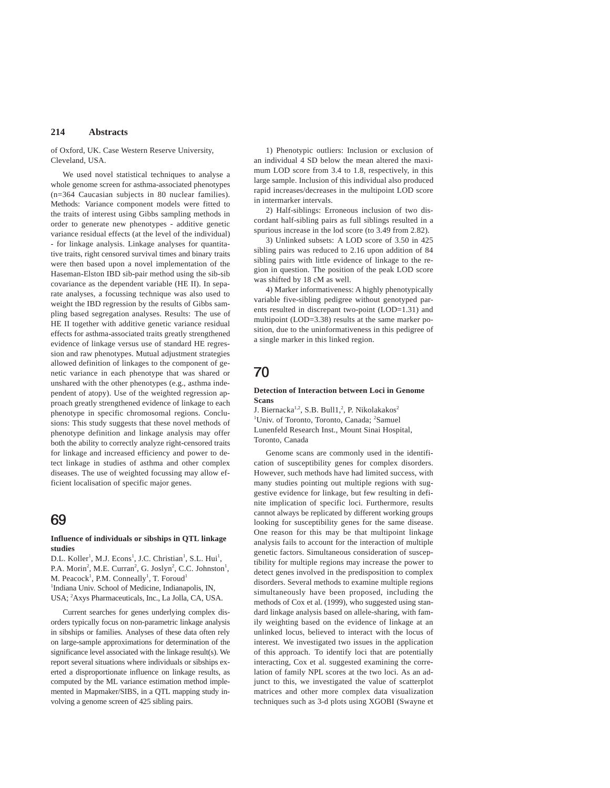of Oxford, UK. Case Western Reserve University, Cleveland, USA.

We used novel statistical techniques to analyse a whole genome screen for asthma-associated phenotypes (n=364 Caucasian subjects in 80 nuclear families). Methods: Variance component models were fitted to the traits of interest using Gibbs sampling methods in order to generate new phenotypes - additive genetic variance residual effects (at the level of the individual) - for linkage analysis. Linkage analyses for quantitative traits, right censored survival times and binary traits were then based upon a novel implementation of the Haseman-Elston IBD sib-pair method using the sib-sib covariance as the dependent variable (HE II). In separate analyses, a focussing technique was also used to weight the IBD regression by the results of Gibbs sampling based segregation analyses. Results: The use of HE II together with additive genetic variance residual effects for asthma-associated traits greatly strengthened evidence of linkage versus use of standard HE regression and raw phenotypes. Mutual adjustment strategies allowed definition of linkages to the component of genetic variance in each phenotype that was shared or unshared with the other phenotypes (e.g., asthma independent of atopy). Use of the weighted regression approach greatly strengthened evidence of linkage to each phenotype in specific chromosomal regions. Conclusions: This study suggests that these novel methods of phenotype definition and linkage analysis may offer both the ability to correctly analyze right-censored traits for linkage and increased efficiency and power to detect linkage in studies of asthma and other complex diseases. The use of weighted focussing may allow efficient localisation of specific major genes.

# 69

### **Influence of individuals or sibships in QTL linkage studies**

D.L. Koller<sup>1</sup>, M.J. Econs<sup>1</sup>, J.C. Christian<sup>1</sup>, S.L. Hui<sup>1</sup>, P.A. Morin<sup>2</sup>, M.E. Curran<sup>2</sup>, G. Joslyn<sup>2</sup>, C.C. Johnston<sup>1</sup>, M. Peacock<sup>1</sup>, P.M. Conneally<sup>1</sup>, T. Foroud<sup>1</sup> <sup>1</sup>Indiana Univ. School of Medicine, Indianapolis, IN, USA; <sup>2</sup>Axys Pharmaceuticals, Inc., La Jolla, CA, USA.

Current searches for genes underlying complex disorders typically focus on non-parametric linkage analysis in sibships or families. Analyses of these data often rely on large-sample approximations for determination of the significance level associated with the linkage result(s). We report several situations where individuals or sibships exerted a disproportionate influence on linkage results, as computed by the ML variance estimation method implemented in Mapmaker/SIBS, in a QTL mapping study involving a genome screen of 425 sibling pairs.

1) Phenotypic outliers: Inclusion or exclusion of an individual 4 SD below the mean altered the maximum LOD score from 3.4 to 1.8, respectively, in this large sample. Inclusion of this individual also produced rapid increases/decreases in the multipoint LOD score in intermarker intervals.

2) Half-siblings: Erroneous inclusion of two discordant half-sibling pairs as full siblings resulted in a spurious increase in the lod score (to 3.49 from 2.82).

3) Unlinked subsets: A LOD score of 3.50 in 425 sibling pairs was reduced to 2.16 upon addition of 84 sibling pairs with little evidence of linkage to the region in question. The position of the peak LOD score was shifted by 18 cM as well.

4) Marker informativeness: A highly phenotypically variable five-sibling pedigree without genotyped parents resulted in discrepant two-point (LOD=1.31) and multipoint (LOD=3.38) results at the same marker position, due to the uninformativeness in this pedigree of a single marker in this linked region.

# 70

#### **Detection of Interaction between Loci in Genome Scans**

J. Biernacka<sup>1,2</sup>, S.B. Bull1,<sup>2</sup>, P. Nikolakakos<sup>2</sup> <sup>1</sup>Univ. of Toronto, Toronto, Canada; <sup>2</sup>Samuel Lunenfeld Research Inst., Mount Sinai Hospital, Toronto, Canada

Genome scans are commonly used in the identification of susceptibility genes for complex disorders. However, such methods have had limited success, with many studies pointing out multiple regions with suggestive evidence for linkage, but few resulting in definite implication of specific loci. Furthermore, results cannot always be replicated by different working groups looking for susceptibility genes for the same disease. One reason for this may be that multipoint linkage analysis fails to account for the interaction of multiple genetic factors. Simultaneous consideration of susceptibility for multiple regions may increase the power to detect genes involved in the predisposition to complex disorders. Several methods to examine multiple regions simultaneously have been proposed, including the methods of Cox et al. (1999), who suggested using standard linkage analysis based on allele-sharing, with family weighting based on the evidence of linkage at an unlinked locus, believed to interact with the locus of interest. We investigated two issues in the application of this approach. To identify loci that are potentially interacting, Cox et al. suggested examining the correlation of family NPL scores at the two loci. As an adjunct to this, we investigated the value of scatterplot matrices and other more complex data visualization techniques such as 3-d plots using XGOBI (Swayne et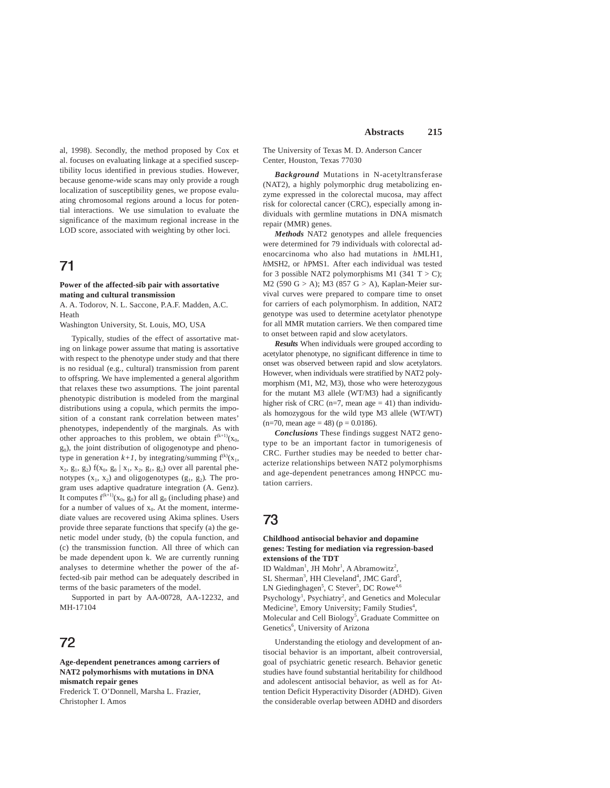al, 1998). Secondly, the method proposed by Cox et al. focuses on evaluating linkage at a specified susceptibility locus identified in previous studies. However, because genome-wide scans may only provide a rough localization of susceptibility genes, we propose evaluating chromosomal regions around a locus for potential interactions. We use simulation to evaluate the significance of the maximum regional increase in the LOD score, associated with weighting by other loci.

# 71

### **Power of the affected-sib pair with assortative mating and cultural transmission**

A. A. Todorov, N. L. Saccone, P.A.F. Madden, A.C. Heath

Washington University, St. Louis, MO, USA

Typically, studies of the effect of assortative mating on linkage power assume that mating is assortative with respect to the phenotype under study and that there is no residual (e.g., cultural) transmission from parent to offspring. We have implemented a general algorithm that relaxes these two assumptions. The joint parental phenotypic distribution is modeled from the marginal distributions using a copula, which permits the imposition of a constant rank correlation between mates' phenotypes, independently of the marginals. As with other approaches to this problem, we obtain  $f^{(k+1)}(x_0,$  $g<sub>0</sub>$ ), the joint distribution of oligogenotype and phenotype in generation  $k+1$ , by integrating/summing  $f^{(k)}(x_1,$  $x_2, g_1, g_2$ ) f( $x_0, g_0 | x_1, x_2, g_1, g_2$ ) over all parental phenotypes  $(x_1, x_2)$  and oligogenotypes  $(g_1, g_2)$ . The program uses adaptive quadrature integration (A. Genz). It computes  $f^{(k+1)}(x_0, g_0)$  for all  $g_0$  (including phase) and for a number of values of  $x_0$ . At the moment, intermediate values are recovered using Akima splines. Users provide three separate functions that specify (a) the genetic model under study, (b) the copula function, and (c) the transmission function. All three of which can be made dependent upon k. We are currently running analyses to determine whether the power of the affected-sib pair method can be adequately described in terms of the basic parameters of the model.

Supported in part by AA-00728, AA-12232, and MH-17104

## 72

**Age-dependent penetrances among carriers of NAT2 polymorhisms with mutations in DNA mismatch repair genes**

Frederick T. O'Donnell, Marsha L. Frazier, Christopher I. Amos

**Abstracts 215**

The University of Texas M. D. Anderson Cancer Center, Houston, Texas 77030

*Background* Mutations in N-acetyltransferase (NAT2), a highly polymorphic drug metabolizing enzyme expressed in the colorectal mucosa, may affect risk for colorectal cancer (CRC), especially among individuals with germline mutations in DNA mismatch repair (MMR) genes.

*Methods* NAT2 genotypes and allele frequencies were determined for 79 individuals with colorectal adenocarcinoma who also had mutations in *h*MLH1, *h*MSH2, or *h*PMS1. After each individual was tested for 3 possible NAT2 polymorphisms M1 (341 T  $>$  C); M2 (590 G > A); M3 (857 G > A), Kaplan-Meier survival curves were prepared to compare time to onset for carriers of each polymorphism. In addition, NAT2 genotype was used to determine acetylator phenotype for all MMR mutation carriers. We then compared time to onset between rapid and slow acetylators.

*Results* When individuals were grouped according to acetylator phenotype, no significant difference in time to onset was observed between rapid and slow acetylators. However, when individuals were stratified by NAT2 polymorphism (M1, M2, M3), those who were heterozygous for the mutant M3 allele (WT/M3) had a significantly higher risk of CRC (n=7, mean age  $=$  41) than individuals homozygous for the wild type M3 allele (WT/WT)  $(n=70, \text{ mean age} = 48) (p = 0.0186).$ 

*Conclusions* These findings suggest NAT2 genotype to be an important factor in tumorigenesis of CRC. Further studies may be needed to better characterize relationships between NAT2 polymorphisms and age-dependent penetrances among HNPCC mutation carriers.

# 73

### **Childhood antisocial behavior and dopamine genes: Testing for mediation via regression-based extensions of the TDT**

ID Waldman<sup>1</sup>, JH Mohr<sup>1</sup>, A Abramowitz<sup>2</sup>, SL Sherman<sup>3</sup>, HH Cleveland<sup>4</sup>, JMC Gard<sup>5</sup>, LN Giedinghagen<sup>5</sup>, C Stever<sup>5</sup>, DC Rowe<sup>4,6</sup> Psychology<sup>1</sup>, Psychiatry<sup>2</sup>, and Genetics and Molecular Medicine<sup>3</sup>, Emory University; Family Studies<sup>4</sup>, Molecular and Cell Biology<sup>5</sup>, Graduate Committee on Genetics<sup>6</sup>, University of Arizona

Understanding the etiology and development of antisocial behavior is an important, albeit controversial, goal of psychiatric genetic research. Behavior genetic studies have found substantial heritability for childhood and adolescent antisocial behavior, as well as for Attention Deficit Hyperactivity Disorder (ADHD). Given the considerable overlap between ADHD and disorders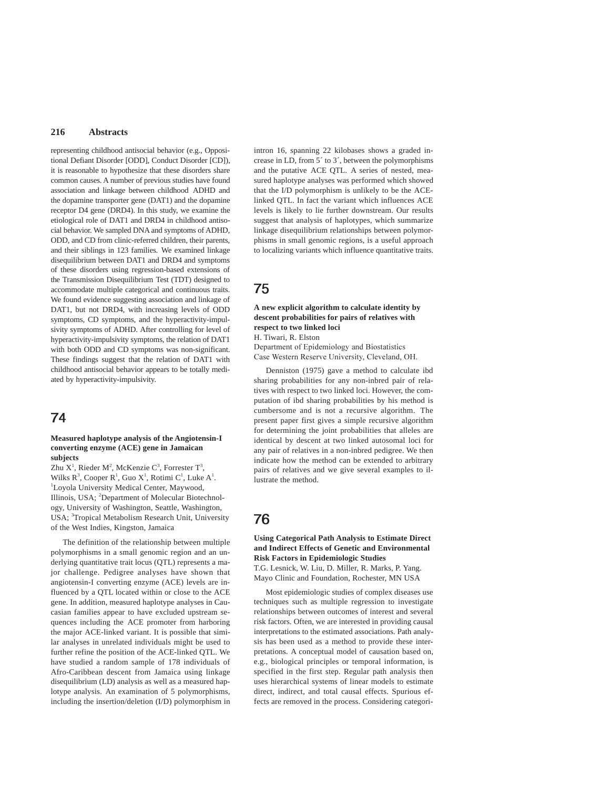representing childhood antisocial behavior (e.g., Oppositional Defiant Disorder [ODD], Conduct Disorder [CD]), it is reasonable to hypothesize that these disorders share common causes. A number of previous studies have found association and linkage between childhood ADHD and the dopamine transporter gene (DAT1) and the dopamine receptor D4 gene (DRD4). In this study, we examine the etiological role of DAT1 and DRD4 in childhood antisocial behavior. We sampled DNA and symptoms of ADHD, ODD, and CD from clinic-referred children, their parents, and their siblings in 123 families. We examined linkage disequilibrium between DAT1 and DRD4 and symptoms of these disorders using regression-based extensions of the Transmission Disequilibrium Test (TDT) designed to accommodate multiple categorical and continuous traits. We found evidence suggesting association and linkage of DAT1, but not DRD4, with increasing levels of ODD symptoms, CD symptoms, and the hyperactivity-impulsivity symptoms of ADHD. After controlling for level of hyperactivity-impulsivity symptoms, the relation of DAT1 with both ODD and CD symptoms was non-significant. These findings suggest that the relation of DAT1 with childhood antisocial behavior appears to be totally mediated by hyperactivity-impulsivity.

# 74

#### **Measured haplotype analysis of the Angiotensin-I converting enzyme (ACE) gene in Jamaican subjects**

Zhu  $X^1$ , Rieder M<sup>2</sup>, McKenzie C<sup>3</sup>, Forrester T<sup>3</sup>, Wilks  $R^3$ , Cooper  $R^1$ , Guo  $X^1$ , Rotimi C<sup>1</sup>, Luke A<sup>1</sup>. <sup>1</sup>Loyola University Medical Center, Maywood, Illinois, USA; <sup>2</sup>Department of Molecular Biotechnology, University of Washington, Seattle, Washington, USA; <sup>3</sup>Tropical Metabolism Research Unit, University of the West Indies, Kingston, Jamaica

The definition of the relationship between multiple polymorphisms in a small genomic region and an underlying quantitative trait locus (QTL) represents a major challenge. Pedigree analyses have shown that angiotensin-I converting enzyme (ACE) levels are influenced by a QTL located within or close to the ACE gene. In addition, measured haplotype analyses in Caucasian families appear to have excluded upstream sequences including the ACE promoter from harboring the major ACE-linked variant. It is possible that similar analyses in unrelated individuals might be used to further refine the position of the ACE-linked QTL. We have studied a random sample of 178 individuals of Afro-Caribbean descent from Jamaica using linkage disequilibrium (LD) analysis as well as a measured haplotype analysis. An examination of 5 polymorphisms, including the insertion/deletion (I/D) polymorphism in

intron 16, spanning 22 kilobases shows a graded increase in LD, from 5´ to 3´, between the polymorphisms and the putative ACE QTL. A series of nested, measured haplotype analyses was performed which showed that the I/D polymorphism is unlikely to be the ACElinked QTL. In fact the variant which influences ACE levels is likely to lie further downstream. Our results suggest that analysis of haplotypes, which summarize linkage disequilibrium relationships between polymorphisms in small genomic regions, is a useful approach to localizing variants which influence quantitative traits.

# 75

### **A new explicit algorithm to calculate identity by descent probabilities for pairs of relatives with respect to two linked loci**

H. Tiwari, R. Elston

Department of Epidemiology and Biostatistics Case Western Reserve University, Cleveland, OH.

Denniston (1975) gave a method to calculate ibd sharing probabilities for any non-inbred pair of relatives with respect to two linked loci. However, the computation of ibd sharing probabilities by his method is cumbersome and is not a recursive algorithm. The present paper first gives a simple recursive algorithm for determining the joint probabilities that alleles are identical by descent at two linked autosomal loci for any pair of relatives in a non-inbred pedigree. We then indicate how the method can be extended to arbitrary pairs of relatives and we give several examples to illustrate the method.

## 76

### **Using Categorical Path Analysis to Estimate Direct and Indirect Effects of Genetic and Environmental Risk Factors in Epidemiologic Studies**

T.G. Lesnick, W. Liu, D. Miller, R. Marks, P. Yang. Mayo Clinic and Foundation, Rochester, MN USA

Most epidemiologic studies of complex diseases use techniques such as multiple regression to investigate relationships between outcomes of interest and several risk factors. Often, we are interested in providing causal interpretations to the estimated associations. Path analysis has been used as a method to provide these interpretations. A conceptual model of causation based on, e.g., biological principles or temporal information, is specified in the first step. Regular path analysis then uses hierarchical systems of linear models to estimate direct, indirect, and total causal effects. Spurious effects are removed in the process. Considering categori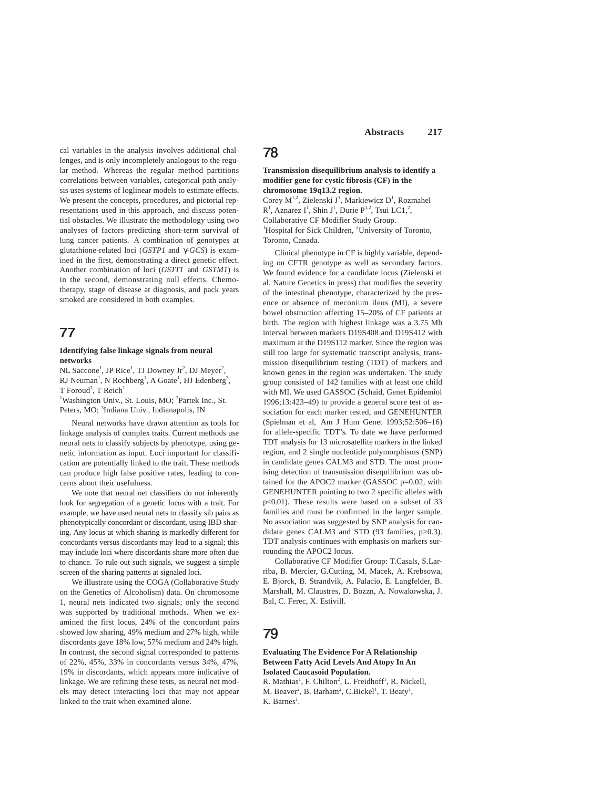cal variables in the analysis involves additional challenges, and is only incompletely analogous to the regular method. Whereas the regular method partitions correlations between variables, categorical path analysis uses systems of loglinear models to estimate effects. We present the concepts, procedures, and pictorial representations used in this approach, and discuss potential obstacles. We illustrate the methodology using two analyses of factors predicting short-term survival of lung cancer patients. A combination of genotypes at glutathione-related loci (*GSTP1* and γ-*GCS*) is examined in the first, demonstrating a direct genetic effect. Another combination of loci (*GSTT1* and *GSTM1*) is in the second, demonstrating null effects. Chemotherapy, stage of disease at diagnosis, and pack years smoked are considered in both examples.

## 77

### **Identifying false linkage signals from neural networks**

NL Saccone<sup>1</sup>, JP Rice<sup>1</sup>, TJ Downey Jr<sup>2</sup>, DJ Meyer<sup>2</sup>, RJ Neuman<sup>1</sup>, N Rochberg<sup>1</sup>, A Goate<sup>1</sup>, HJ Edenberg<sup>3</sup>, T Foroud<sup>3</sup>, T Reich<sup>1</sup>

<sup>1</sup>Washington Univ., St. Louis, MO; <sup>2</sup>Partek Inc., St. Peters, MO; <sup>3</sup>Indiana Univ., Indianapolis, IN

Neural networks have drawn attention as tools for linkage analysis of complex traits. Current methods use neural nets to classify subjects by phenotype, using genetic information as input. Loci important for classification are potentially linked to the trait. These methods can produce high false positive rates, leading to concerns about their usefulness.

We note that neural net classifiers do not inherently look for segregation of a genetic locus with a trait. For example, we have used neural nets to classify sib pairs as phenotypically concordant or discordant, using IBD sharing. Any locus at which sharing is markedly different for concordants versus discordants may lead to a signal; this may include loci where discordants share more often due to chance. To rule out such signals, we suggest a simple screen of the sharing patterns at signaled loci.

We illustrate using the COGA (Collaborative Study on the Genetics of Alcoholism) data. On chromosome 1, neural nets indicated two signals; only the second was supported by traditional methods. When we examined the first locus, 24% of the concordant pairs showed low sharing, 49% medium and 27% high, while discordants gave 18% low, 57% medium and 24% high. In contrast, the second signal corresponded to patterns of 22%, 45%, 33% in concordants versus 34%, 47%, 19% in discordants, which appears more indicative of linkage. We are refining these tests, as neural net models may detect interacting loci that may not appear linked to the trait when examined alone.

## 78

### **Transmission disequilibrium analysis to identify a modifier gene for cystic fibrosis (CF) in the chromosome 19q13.2 region.** Corey M<sup>1,2</sup>, Zielenski J<sup>1</sup>, Markiewicz D<sup>1</sup>, Rozmahel

 $R<sup>1</sup>$ , Aznarez I<sup>1</sup>, Shin J<sup>1</sup>, Durie P<sup>1,2</sup>, Tsui LC1,<sup>2</sup>, Collaborative CF Modifier Study Group. <sup>1</sup>Hospital for Sick Children, <sup>2</sup>University of Toronto, Toronto, Canada.

Clinical phenotype in CF is highly variable, depending on CFTR genotype as well as secondary factors. We found evidence for a candidate locus (Zielenski et al. Nature Genetics in press) that modifies the severity of the intestinal phenotype, characterized by the presence or absence of meconium ileus (MI), a severe bowel obstruction affecting 15–20% of CF patients at birth. The region with highest linkage was a 3.75 Mb interval between markers D19S408 and D19S412 with maximum at the D19S112 marker. Since the region was still too large for systematic transcript analysis, transmission disequilibrium testing (TDT) of markers and known genes in the region was undertaken. The study group consisted of 142 families with at least one child with MI. We used GASSOC (Schaid, Genet Epidemiol 1996;13:423–49) to provide a general score test of association for each marker tested, and GENEHUNTER (Spielman et al, Am J Hum Genet 1993;52:506–16) for allele-specific TDT's. To date we have performed TDT analysis for 13 microsatellite markers in the linked region, and 2 single nucleotide polymorphisms (SNP) in candidate genes CALM3 and STD. The most promising detection of transmission disequilibrium was obtained for the APOC2 marker (GASSOC p=0.02, with GENEHUNTER pointing to two 2 specific alleles with p<0.01). These results were based on a subset of 33 families and must be confirmed in the larger sample. No association was suggested by SNP analysis for candidate genes CALM3 and STD (93 families, p>0.3). TDT analysis continues with emphasis on markers surrounding the APOC2 locus.

Collaborative CF Modifier Group: T.Casals, S.Larriba, B. Mercier, G.Cutting, M. Macek, A. Krebsowa, E. Bjorck, B. Strandvik, A. Palacio, E. Langfelder, B. Marshall, M. Claustres, D. Bozzn, A. Nowakowska, J. Bal, C. Ferec, X. Estivill.

# 79

### **Evaluating The Evidence For A Relationship Between Fatty Acid Levels And Atopy In An Isolated Caucasoid Population.**

R. Mathias<sup>1</sup>, F. Chilton<sup>2</sup>, L. Freidhoff<sup>1</sup>, R. Nickell, M. Beaver<sup>2</sup>, B. Barham<sup>2</sup>, C.Bickel<sup>1</sup>, T. Beaty<sup>1</sup>, K. Barnes<sup>1</sup>.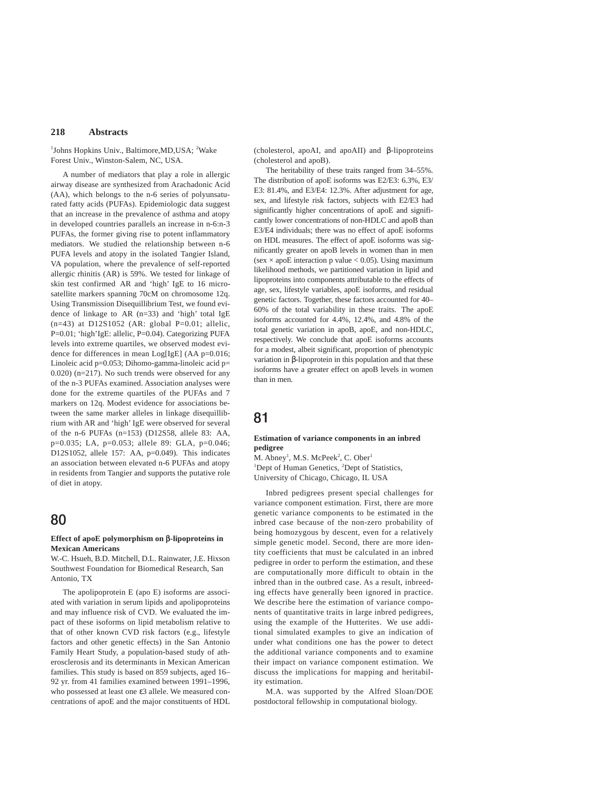### <sup>1</sup>Johns Hopkins Univ., Baltimore, MD, USA; <sup>2</sup>Wake Forest Univ., Winston-Salem, NC, USA.

A number of mediators that play a role in allergic airway disease are synthesized from Arachadonic Acid (AA), which belongs to the n-6 series of polyunsaturated fatty acids (PUFAs). Epidemiologic data suggest that an increase in the prevalence of asthma and atopy in developed countries parallels an increase in n-6:n-3 PUFAs, the former giving rise to potent inflammatory mediators. We studied the relationship between n-6 PUFA levels and atopy in the isolated Tangier Island, VA population, where the prevalence of self-reported allergic rhinitis (AR) is 59%. We tested for linkage of skin test confirmed AR and 'high' IgE to 16 microsatellite markers spanning 70cM on chromosome 12q. Using Transmission Disequillibrium Test, we found evidence of linkage to AR (n=33) and 'high' total IgE  $(n=43)$  at D12S1052 (AR: global P=0.01; allelic, P=0.01; 'high'IgE: allelic, P=0.04). Categorizing PUFA levels into extreme quartiles, we observed modest evidence for differences in mean Log[IgE] (AA p=0.016; Linoleic acid p=0.053; Dihomo-gamma-linoleic acid p= 0.020) (n=217). No such trends were observed for any of the n-3 PUFAs examined. Association analyses were done for the extreme quartiles of the PUFAs and 7 markers on 12q. Modest evidence for associations between the same marker alleles in linkage disequillibrium with AR and 'high' IgE were observed for several of the n-6 PUFAs (n=153) (D12S58, allele 83: AA, p=0.035; LA, p=0.053; allele 89: GLA, p=0.046; D12S1052, allele 157: AA, p=0.049). This indicates an association between elevated n-6 PUFAs and atopy in residents from Tangier and supports the putative role of diet in atopy.

## 80

### **Effect of apoE polymorphism on b-lipoproteins in Mexican Americans**

W.-C. Hsueh, B.D. Mitchell, D.L. Rainwater, J.E. Hixson Southwest Foundation for Biomedical Research, San Antonio, TX

The apolipoprotein E (apo E) isoforms are associated with variation in serum lipids and apolipoproteins and may influence risk of CVD. We evaluated the impact of these isoforms on lipid metabolism relative to that of other known CVD risk factors (e.g., lifestyle factors and other genetic effects) in the San Antonio Family Heart Study, a population-based study of atherosclerosis and its determinants in Mexican American families. This study is based on 859 subjects, aged 16– 92 yr. from 41 families examined between 1991–1996, who possessed at least one ε3 allele. We measured concentrations of apoE and the major constituents of HDL (cholesterol, apoAI, and apoAII) and β-lipoproteins (cholesterol and apoB).

The heritability of these traits ranged from 34–55%. The distribution of apoE isoforms was E2/E3: 6.3%, E3/ E3: 81.4%, and E3/E4: 12.3%. After adjustment for age, sex, and lifestyle risk factors, subjects with E2/E3 had significantly higher concentrations of apoE and significantly lower concentrations of non-HDLC and apoB than E3/E4 individuals; there was no effect of apoE isoforms on HDL measures. The effect of apoE isoforms was significantly greater on apoB levels in women than in men (sex  $\times$  apoE interaction p value  $< 0.05$ ). Using maximum likelihood methods, we partitioned variation in lipid and lipoproteins into components attributable to the effects of age, sex, lifestyle variables, apoE isoforms, and residual genetic factors. Together, these factors accounted for 40– 60% of the total variability in these traits. The apoE isoforms accounted for 4.4%, 12.4%, and 4.8% of the total genetic variation in apoB, apoE, and non-HDLC, respectively. We conclude that apoE isoforms accounts for a modest, albeit significant, proportion of phenotypic variation in β-lipoprotein in this population and that these isoforms have a greater effect on apoB levels in women than in men.

# 81

### **Estimation of variance components in an inbred pedigree**

M. Abney<sup>1</sup>, M.S. McPeek<sup>2</sup>, C. Ober<sup>1</sup> <sup>1</sup>Dept of Human Genetics, <sup>2</sup>Dept of Statistics, University of Chicago, Chicago, IL USA

Inbred pedigrees present special challenges for variance component estimation. First, there are more genetic variance components to be estimated in the inbred case because of the non-zero probability of being homozygous by descent, even for a relatively simple genetic model. Second, there are more identity coefficients that must be calculated in an inbred pedigree in order to perform the estimation, and these are computationally more difficult to obtain in the inbred than in the outbred case. As a result, inbreeding effects have generally been ignored in practice. We describe here the estimation of variance components of quantitative traits in large inbred pedigrees, using the example of the Hutterites. We use additional simulated examples to give an indication of under what conditions one has the power to detect the additional variance components and to examine their impact on variance component estimation. We discuss the implications for mapping and heritability estimation.

M.A. was supported by the Alfred Sloan/DOE postdoctoral fellowship in computational biology.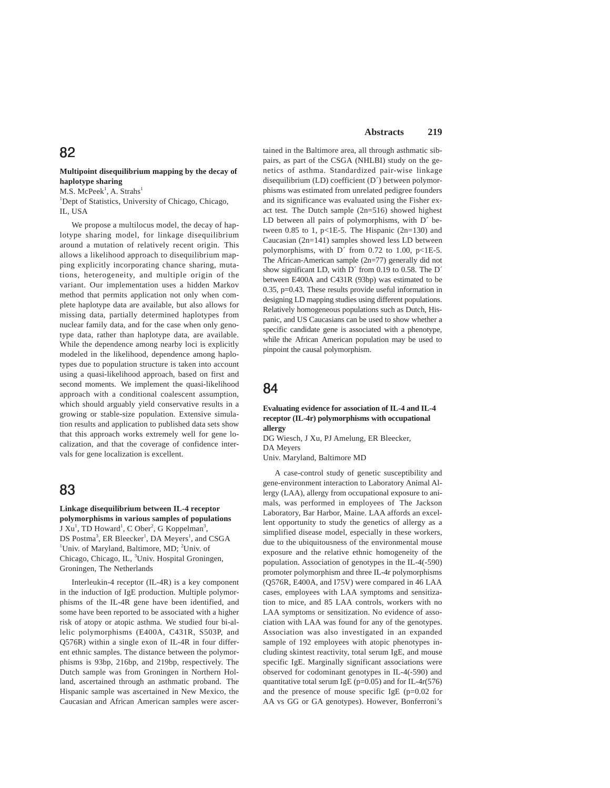## 82

### **Multipoint disequilibrium mapping by the decay of haplotype sharing**

 $M.S.$  McPeek<sup>1</sup>, A. Strahs<sup>1</sup>

<sup>1</sup>Dept of Statistics, University of Chicago, Chicago, IL, USA

We propose a multilocus model, the decay of haplotype sharing model, for linkage disequilibrium around a mutation of relatively recent origin. This allows a likelihood approach to disequilibrium mapping explicitly incorporating chance sharing, mutations, heterogeneity, and multiple origin of the variant. Our implementation uses a hidden Markov method that permits application not only when complete haplotype data are available, but also allows for missing data, partially determined haplotypes from nuclear family data, and for the case when only genotype data, rather than haplotype data, are available. While the dependence among nearby loci is explicitly modeled in the likelihood, dependence among haplotypes due to population structure is taken into account using a quasi-likelihood approach, based on first and second moments. We implement the quasi-likelihood approach with a conditional coalescent assumption, which should arguably yield conservative results in a growing or stable-size population. Extensive simulation results and application to published data sets show that this approach works extremely well for gene localization, and that the coverage of confidence intervals for gene localization is excellent.

## 83

**Linkage disequilibrium between IL-4 receptor polymorphisms in various samples of populations** J Xu<sup>1</sup>, TD Howard<sup>1</sup>, C Ober<sup>2</sup>, G Koppelman<sup>3</sup>, DS Postma<sup>3</sup>, ER Bleecker<sup>1</sup>, DA Meyers<sup>1</sup>, and CSGA <sup>1</sup>Univ. of Maryland, Baltimore, MD; <sup>2</sup>Univ. of Chicago, Chicago, IL, <sup>3</sup>Univ. Hospital Groningen, Groningen, The Netherlands

Interleukin-4 receptor (IL-4R) is a key component in the induction of IgE production. Multiple polymorphisms of the IL-4R gene have been identified, and some have been reported to be associated with a higher risk of atopy or atopic asthma. We studied four bi-allelic polymorphisms (E400A, C431R, S503P, and Q576R) within a single exon of IL-4R in four different ethnic samples. The distance between the polymorphisms is 93bp, 216bp, and 219bp, respectively. The Dutch sample was from Groningen in Northern Holland, ascertained through an asthmatic proband. The Hispanic sample was ascertained in New Mexico, the Caucasian and African American samples were ascer-

### **Abstracts 219**

tained in the Baltimore area, all through asthmatic sibpairs, as part of the CSGA (NHLBI) study on the genetics of asthma. Standardized pair-wise linkage disequilibrium (LD) coefficient (D´) between polymorphisms was estimated from unrelated pedigree founders and its significance was evaluated using the Fisher exact test. The Dutch sample (2n=516) showed highest LD between all pairs of polymorphisms, with D´ between 0.85 to 1, p<1E-5. The Hispanic  $(2n=130)$  and Caucasian (2n=141) samples showed less LD between polymorphisms, with D´ from 0.72 to 1.00, p<1E-5. The African-American sample (2n=77) generally did not show significant LD, with D' from 0.19 to 0.58. The D' between E400A and C431R (93bp) was estimated to be 0.35, p=0.43. These results provide useful information in designing LD mapping studies using different populations. Relatively homogeneous populations such as Dutch, Hispanic, and US Caucasians can be used to show whether a specific candidate gene is associated with a phenotype, while the African American population may be used to pinpoint the causal polymorphism.

## 84

#### **Evaluating evidence for association of IL-4 and IL-4 receptor (IL-4r) polymorphisms with occupational allergy**

DG Wiesch, J Xu, PJ Amelung, ER Bleecker, DA Meyers

Univ. Maryland, Baltimore MD

A case-control study of genetic susceptibility and gene-environment interaction to Laboratory Animal Allergy (LAA), allergy from occupational exposure to animals, was performed in employees of The Jackson Laboratory, Bar Harbor, Maine. LAA affords an excellent opportunity to study the genetics of allergy as a simplified disease model, especially in these workers, due to the ubiquitousness of the environmental mouse exposure and the relative ethnic homogeneity of the population. Association of genotypes in the IL-4(-590) promoter polymorphism and three IL-4r polymorphisms (Q576R, E400A, and I75V) were compared in 46 LAA cases, employees with LAA symptoms and sensitization to mice, and 85 LAA controls, workers with no LAA symptoms or sensitization. No evidence of association with LAA was found for any of the genotypes. Association was also investigated in an expanded sample of 192 employees with atopic phenotypes including skintest reactivity, total serum IgE, and mouse specific IgE. Marginally significant associations were observed for codominant genotypes in IL-4(-590) and quantitative total serum IgE ( $p=0.05$ ) and for IL-4r(576) and the presence of mouse specific IgE (p=0.02 for AA vs GG or GA genotypes). However, Bonferroni's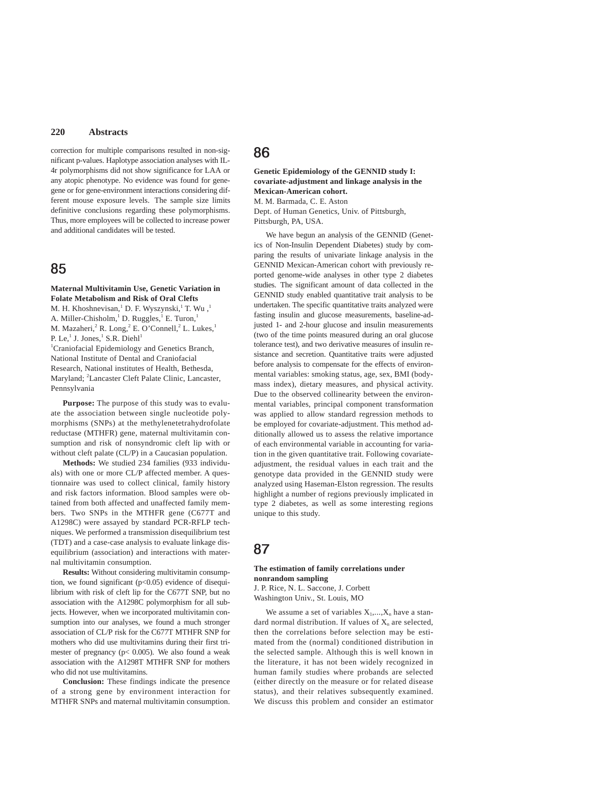correction for multiple comparisons resulted in non-significant p-values. Haplotype association analyses with IL-4r polymorphisms did not show significance for LAA or any atopic phenotype. No evidence was found for genegene or for gene-environment interactions considering different mouse exposure levels. The sample size limits definitive conclusions regarding these polymorphisms. Thus, more employees will be collected to increase power and additional candidates will be tested.

## 85

### **Maternal Multivitamin Use, Genetic Variation in Folate Metabolism and Risk of Oral Clefts**

M. H. Khoshnevisan, <sup>1</sup> D. F. Wyszynski, <sup>1</sup> T. Wu, <sup>1</sup> A. Miller-Chisholm,<sup>1</sup> D. Ruggles,<sup>1</sup> E. Turon,<sup>1</sup> M. Mazaheri,  $2^2$  R. Long,  $2^2$  E. O'Connell,  $2^2$  L. Lukes,  $1$ P. Le, $<sup>1</sup>$  J. Jones, $<sup>1</sup>$  S.R. Diehl $<sup>1</sup>$ </sup></sup></sup>

<sup>1</sup>Craniofacial Epidemiology and Genetics Branch, National Institute of Dental and Craniofacial Research, National institutes of Health, Bethesda, Maryland; <sup>2</sup>Lancaster Cleft Palate Clinic, Lancaster, Pennsylvania

**Purpose:** The purpose of this study was to evaluate the association between single nucleotide polymorphisms (SNPs) at the methylenetetrahydrofolate reductase (MTHFR) gene, maternal multivitamin consumption and risk of nonsyndromic cleft lip with or without cleft palate (CL/P) in a Caucasian population.

**Methods:** We studied 234 families (933 individuals) with one or more CL/P affected member. A questionnaire was used to collect clinical, family history and risk factors information. Blood samples were obtained from both affected and unaffected family members. Two SNPs in the MTHFR gene (C677T and A1298C) were assayed by standard PCR-RFLP techniques. We performed a transmission disequilibrium test (TDT) and a case-case analysis to evaluate linkage disequilibrium (association) and interactions with maternal multivitamin consumption.

**Results:** Without considering multivitamin consumption, we found significant  $(p<0.05)$  evidence of disequilibrium with risk of cleft lip for the C677T SNP, but no association with the A1298C polymorphism for all subjects. However, when we incorporated multivitamin consumption into our analyses, we found a much stronger association of CL/P risk for the C677T MTHFR SNP for mothers who did use multivitamins during their first trimester of pregnancy ( $p < 0.005$ ). We also found a weak association with the A1298T MTHFR SNP for mothers who did not use multivitamins.

**Conclusion:** These findings indicate the presence of a strong gene by environment interaction for MTHFR SNPs and maternal multivitamin consumption.

## 86

### **Genetic Epidemiology of the GENNID study I: covariate-adjustment and linkage analysis in the Mexican-American cohort.** M. M. Barmada, C. E. Aston

Dept. of Human Genetics, Univ. of Pittsburgh, Pittsburgh, PA, USA.

We have begun an analysis of the GENNID (Genetics of Non-Insulin Dependent Diabetes) study by comparing the results of univariate linkage analysis in the GENNID Mexican-American cohort with previously reported genome-wide analyses in other type 2 diabetes studies. The significant amount of data collected in the GENNID study enabled quantitative trait analysis to be undertaken. The specific quantitative traits analyzed were fasting insulin and glucose measurements, baseline-adjusted 1- and 2-hour glucose and insulin measurements (two of the time points measured during an oral glucose tolerance test), and two derivative measures of insulin resistance and secretion. Quantitative traits were adjusted before analysis to compensate for the effects of environmental variables: smoking status, age, sex, BMI (bodymass index), dietary measures, and physical activity. Due to the observed collinearity between the environmental variables, principal component transformation was applied to allow standard regression methods to be employed for covariate-adjustment. This method additionally allowed us to assess the relative importance of each environmental variable in accounting for variation in the given quantitative trait. Following covariateadjustment, the residual values in each trait and the genotype data provided in the GENNID study were analyzed using Haseman-Elston regression. The results highlight a number of regions previously implicated in type 2 diabetes, as well as some interesting regions unique to this study.

# 87

### **The estimation of family correlations under nonrandom sampling**

J. P. Rice, N. L. Saccone, J. Corbett Washington Univ., St. Louis, MO

We assume a set of variables  $X_1, \ldots, X_n$  have a standard normal distribution. If values of  $X_n$  are selected, then the correlations before selection may be estimated from the (normal) conditioned distribution in the selected sample. Although this is well known in the literature, it has not been widely recognized in human family studies where probands are selected (either directly on the measure or for related disease status), and their relatives subsequently examined. We discuss this problem and consider an estimator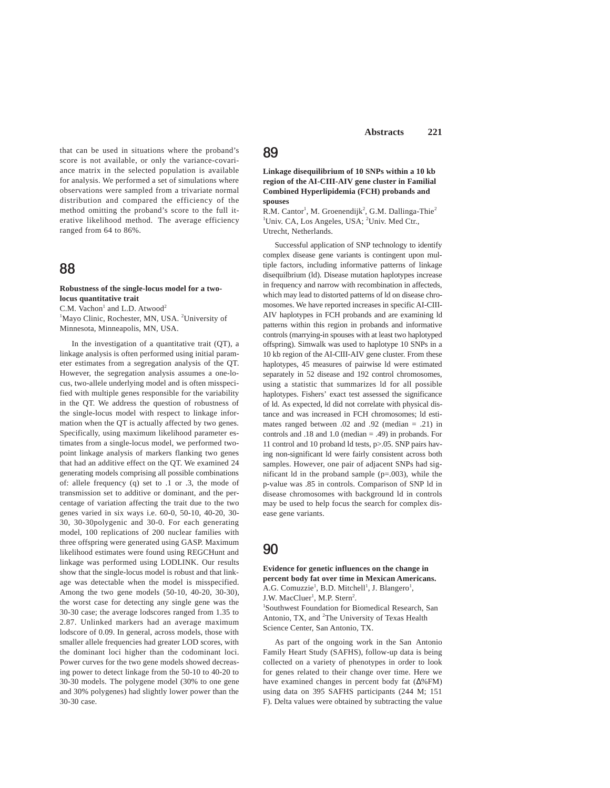that can be used in situations where the proband's score is not available, or only the variance-covariance matrix in the selected population is available for analysis. We performed a set of simulations where observations were sampled from a trivariate normal distribution and compared the efficiency of the method omitting the proband's score to the full iterative likelihood method. The average efficiency ranged from 64 to 86%.

## 88

#### **Robustness of the single-locus model for a twolocus quantitative trait**

C.M. Vachon<sup>1</sup> and L.D. Atwood<sup>2</sup>

<sup>1</sup>Mayo Clinic, Rochester, MN, USA. <sup>2</sup>University of Minnesota, Minneapolis, MN, USA.

In the investigation of a quantitative trait (QT), a linkage analysis is often performed using initial parameter estimates from a segregation analysis of the QT. However, the segregation analysis assumes a one-locus, two-allele underlying model and is often misspecified with multiple genes responsible for the variability in the QT. We address the question of robustness of the single-locus model with respect to linkage information when the QT is actually affected by two genes. Specifically, using maximum likelihood parameter estimates from a single-locus model, we performed twopoint linkage analysis of markers flanking two genes that had an additive effect on the QT. We examined 24 generating models comprising all possible combinations of: allele frequency (q) set to .1 or .3, the mode of transmission set to additive or dominant, and the percentage of variation affecting the trait due to the two genes varied in six ways i.e. 60-0, 50-10, 40-20, 30- 30, 30-30polygenic and 30-0. For each generating model, 100 replications of 200 nuclear families with three offspring were generated using GASP. Maximum likelihood estimates were found using REGCHunt and linkage was performed using LODLINK. Our results show that the single-locus model is robust and that linkage was detectable when the model is misspecified. Among the two gene models (50-10, 40-20, 30-30), the worst case for detecting any single gene was the 30-30 case; the average lodscores ranged from 1.35 to 2.87. Unlinked markers had an average maximum lodscore of 0.09. In general, across models, those with smaller allele frequencies had greater LOD scores, with the dominant loci higher than the codominant loci. Power curves for the two gene models showed decreasing power to detect linkage from the 50-10 to 40-20 to 30-30 models. The polygene model (30% to one gene and 30% polygenes) had slightly lower power than the 30-30 case.

## 89

### **Linkage disequilibrium of 10 SNPs within a 10 kb region of the AI-CIII-AIV gene cluster in Familial Combined Hyperlipidemia (FCH) probands and spouses**

R.M. Cantor<sup>1</sup>, M. Groenendijk<sup>2</sup>, G.M. Dallinga-Thie<sup>2</sup> <sup>1</sup>Univ. CA, Los Angeles, USA; <sup>2</sup>Univ. Med Ctr., Utrecht, Netherlands.

Successful application of SNP technology to identify complex disease gene variants is contingent upon multiple factors, including informative patterns of linkage disequilbrium (ld). Disease mutation haplotypes increase in frequency and narrow with recombination in affecteds, which may lead to distorted patterns of ld on disease chromosomes. We have reported increases in specific AI-CIII-AIV haplotypes in FCH probands and are examining ld patterns within this region in probands and informative controls (marrying-in spouses with at least two haplotyped offspring). Simwalk was used to haplotype 10 SNPs in a 10 kb region of the AI-CIII-AIV gene cluster. From these haplotypes, 45 measures of pairwise ld were estimated separately in 52 disease and 192 control chromosomes, using a statistic that summarizes ld for all possible haplotypes. Fishers' exact test assessed the significance of ld. As expected, ld did not correlate with physical distance and was increased in FCH chromosomes; ld estimates ranged between .02 and .92 (median = .21) in controls and .18 and 1.0 (median = .49) in probands. For 11 control and 10 proband ld tests, p>.05. SNP pairs having non-significant ld were fairly consistent across both samples. However, one pair of adjacent SNPs had significant  $Id$  in the proband sample ( $p=.003$ ), while the p-value was .85 in controls. Comparison of SNP ld in disease chromosomes with background ld in controls may be used to help focus the search for complex disease gene variants.

## 90

**Evidence for genetic influences on the change in percent body fat over time in Mexican Americans.** A.G. Comuzzie<sup>1</sup>, B.D. Mitchell<sup>1</sup>, J. Blangero<sup>1</sup>, J.W. MacCluer<sup>1</sup>, M.P. Stern<sup>2</sup>.

1 Southwest Foundation for Biomedical Research, San Antonio, TX, and <sup>2</sup>The University of Texas Health Science Center, San Antonio, TX.

As part of the ongoing work in the San Antonio Family Heart Study (SAFHS), follow-up data is being collected on a variety of phenotypes in order to look for genes related to their change over time. Here we have examined changes in percent body fat (∆%FM) using data on 395 SAFHS participants (244 M; 151 F). Delta values were obtained by subtracting the value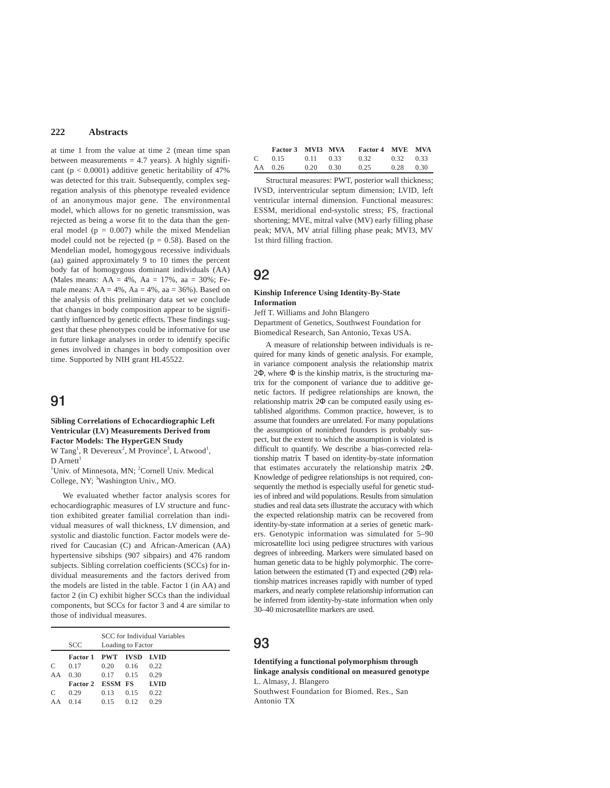at time 1 from the value at time 2 (mean time span between measurements  $= 4.7$  years). A highly significant ( $p < 0.0001$ ) additive genetic heritability of 47% was detected for this trait. Subsequently, complex segregation analysis of this phenotype revealed evidence of an anonymous major gene. The environmental model, which allows for no genetic transmission, was rejected as being a worse fit to the data than the general model ( $p = 0.007$ ) while the mixed Mendelian model could not be rejected ( $p = 0.58$ ). Based on the Mendelian model, homogygous recessive individuals (aa) gained approximately 9 to 10 times the percent body fat of homogygous dominant individuals (AA) (Males means: AA = 4%, Aa = 17%, aa = 30%; Female means:  $AA = 4\%$ ,  $Aa = 4\%$ , aa = 36%). Based on the analysis of this preliminary data set we conclude that changes in body composition appear to be significantly influenced by genetic effects. These findings suggest that these phenotypes could be informative for use in future linkage analyses in order to identify specific genes involved in changes in body composition over time. Supported by NIH grant HL45522.

## 91

### **Sibling Correlations of Echocardiographic Left Ventricular (LV) Measurements Derived from Factor Models: The HyperGEN Study**

W Tang<sup>1</sup>, R Devereux<sup>2</sup>, M Province<sup>3</sup>, L Atwood<sup>1</sup>,  $D$  Arnett<sup>1</sup>

<sup>1</sup>Univ. of Minnesota, MN; <sup>2</sup>Cornell Univ. Medical College, NY; <sup>3</sup>Washington Univ., MO.

We evaluated whether factor analysis scores for echocardiographic measures of LV structure and function exhibited greater familial correlation than individual measures of wall thickness, LV dimension, and systolic and diastolic function. Factor models were derived for Caucasian (C) and African-American (AA) hypertensive sibships (907 sibpairs) and 476 random subjects. Sibling correlation coefficients (SCCs) for individual measurements and the factors derived from the models are listed in the table. Factor 1 (in AA) and factor 2 (in C) exhibit higher SCCs than the individual components, but SCCs for factor 3 and 4 are similar to those of individual measures.

|                  | <b>SCC</b> | SCC for Individual Variables<br>Loading to Factor |      |             |  |
|------------------|------------|---------------------------------------------------|------|-------------|--|
|                  | Factor 1   | <b>PWT</b> IVSD                                   |      | <b>LVID</b> |  |
| C                | 0.17       | 0.20                                              | 0.16 | 0.22        |  |
| AA               | 0.30       | 0.17                                              | 0.15 | 0.29        |  |
|                  | Factor 2   | <b>ESSM FS</b>                                    |      | <b>LVID</b> |  |
| C                | 0.29       | 0.13                                              | 0.15 | 0.22        |  |
| $A \overline{A}$ | 0.14       | 0.15                                              | 0.12 | 0.29        |  |

|    | Factor 3 MVI3 MVA |      |      | Factor 4 MVE MVA |                   |      |
|----|-------------------|------|------|------------------|-------------------|------|
| C. | 0.15              | 0.11 | 0.33 | 0.32             | $0.32 \quad 0.33$ |      |
|    | AA 0.26           | 0.20 | 0.30 | 0.25             | 0.28              | 0.30 |

Structural measures: PWT, posterior wall thickness; IVSD, interventricular septum dimension; LVID, left ventricular internal dimension. Functional measures: ESSM, meridional end-systolic stress; FS, fractional shortening; MVE, mitral valve (MV) early filling phase peak; MVA, MV atrial filling phase peak; MVI3, MV 1st third filling fraction.

## 92

#### **Kinship Inference Using Identity-By-State Information**

Jeff T. Williams and John Blangero

Department of Genetics, Southwest Foundation for Biomedical Research, San Antonio, Texas USA.

A measure of relationship between individuals is required for many kinds of genetic analysis. For example, in variance component analysis the relationship matrix  $2\Phi$ , where  $\Phi$  is the kinship matrix, is the structuring matrix for the component of variance due to additive genetic factors. If pedigree relationships are known, the relationship matrix 2Φ can be computed easily using established algorithms. Common practice, however, is to assume that founders are unrelated. For many populations the assumption of noninbred founders is probably suspect, but the extent to which the assumption is violated is difficult to quantify. We describe a bias-corrected relationship matrix Τ based on identity-by-state information that estimates accurately the relationship matrix 2Φ. Knowledge of pedigree relationships is not required, consequently the method is especially useful for genetic studies of inbred and wild populations. Results from simulation studies and real data sets illustrate the accuracy with which the expected relationship matrix can be recovered from identity-by-state information at a series of genetic markers. Genotypic information was simulated for 5–90 microsatellite loci using pedigree structures with various degrees of inbreeding. Markers were simulated based on human genetic data to be highly polymorphic. The correlation between the estimated (T) and expected (2Φ) relationship matrices increases rapidly with number of typed markers, and nearly complete relationship information can be inferred from identity-by-state information when only 30–40 microsatellite markers are used.

## 93

#### **Identifying a functional polymorphism through linkage analysis conditional on measured genotype**

L. Almasy, J. Blangero

Southwest Foundation for Biomed. Res., San Antonio TX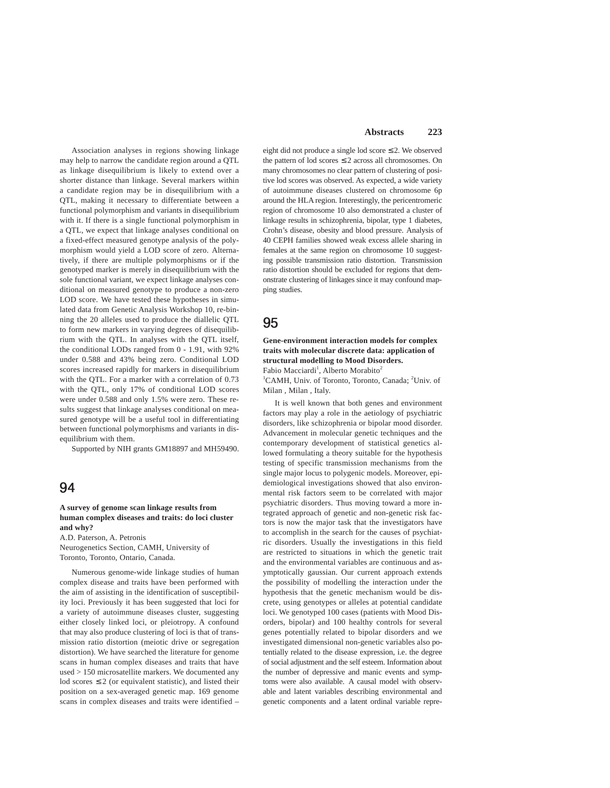Association analyses in regions showing linkage may help to narrow the candidate region around a QTL as linkage disequilibrium is likely to extend over a shorter distance than linkage. Several markers within a candidate region may be in disequilibrium with a QTL, making it necessary to differentiate between a functional polymorphism and variants in disequilibrium with it. If there is a single functional polymorphism in a QTL, we expect that linkage analyses conditional on a fixed-effect measured genotype analysis of the polymorphism would yield a LOD score of zero. Alternatively, if there are multiple polymorphisms or if the genotyped marker is merely in disequilibrium with the sole functional variant, we expect linkage analyses conditional on measured genotype to produce a non-zero LOD score. We have tested these hypotheses in simulated data from Genetic Analysis Workshop 10, re-binning the 20 alleles used to produce the diallelic QTL to form new markers in varying degrees of disequilibrium with the QTL. In analyses with the QTL itself, the conditional LODs ranged from 0 - 1.91, with 92% under 0.588 and 43% being zero. Conditional LOD scores increased rapidly for markers in disequilibrium with the QTL. For a marker with a correlation of 0.73 with the QTL, only 17% of conditional LOD scores were under 0.588 and only 1.5% were zero. These results suggest that linkage analyses conditional on measured genotype will be a useful tool in differentiating between functional polymorphisms and variants in disequilibrium with them.

Supported by NIH grants GM18897 and MH59490.

## 94

### **A survey of genome scan linkage results from human complex diseases and traits: do loci cluster and why?**

A.D. Paterson, A. Petronis Neurogenetics Section, CAMH, University of Toronto, Toronto, Ontario, Canada.

Numerous genome-wide linkage studies of human complex disease and traits have been performed with the aim of assisting in the identification of susceptibility loci. Previously it has been suggested that loci for a variety of autoimmune diseases cluster, suggesting either closely linked loci, or pleiotropy. A confound that may also produce clustering of loci is that of transmission ratio distortion (meiotic drive or segregation distortion). We have searched the literature for genome scans in human complex diseases and traits that have used > 150 microsatellite markers. We documented any lod scores  $\leq 2$  (or equivalent statistic), and listed their position on a sex-averaged genetic map. 169 genome scans in complex diseases and traits were identified –

### **Abstracts 223**

eight did not produce a single lod score  $\leq 2$ . We observed the pattern of lod scores ≤ 2 across all chromosomes. On many chromosomes no clear pattern of clustering of positive lod scores was observed. As expected, a wide variety of autoimmune diseases clustered on chromosome 6p around the HLA region. Interestingly, the pericentromeric region of chromosome 10 also demonstrated a cluster of linkage results in schizophrenia, bipolar, type 1 diabetes, Crohn's disease, obesity and blood pressure. Analysis of 40 CEPH families showed weak excess allele sharing in females at the same region on chromosome 10 suggesting possible transmission ratio distortion. Transmission ratio distortion should be excluded for regions that demonstrate clustering of linkages since it may confound mapping studies.

## 95

### **Gene-environment interaction models for complex traits with molecular discrete data: application of structural modelling to Mood Disorders.** Fabio Macciardi<sup>1</sup>, Alberto Morabito<sup>2</sup>

<sup>1</sup>CAMH, Univ. of Toronto, Toronto, Canada; <sup>2</sup>Univ. of Milan , Milan , Italy.

It is well known that both genes and environment factors may play a role in the aetiology of psychiatric disorders, like schizophrenia or bipolar mood disorder. Advancement in molecular genetic techniques and the contemporary development of statistical genetics allowed formulating a theory suitable for the hypothesis testing of specific transmission mechanisms from the single major locus to polygenic models. Moreover, epidemiological investigations showed that also environmental risk factors seem to be correlated with major psychiatric disorders. Thus moving toward a more integrated approach of genetic and non-genetic risk factors is now the major task that the investigators have to accomplish in the search for the causes of psychiatric disorders. Usually the investigations in this field are restricted to situations in which the genetic trait and the environmental variables are continuous and asymptotically gaussian. Our current approach extends the possibility of modelling the interaction under the hypothesis that the genetic mechanism would be discrete, using genotypes or alleles at potential candidate loci. We genotyped 100 cases (patients with Mood Disorders, bipolar) and 100 healthy controls for several genes potentially related to bipolar disorders and we investigated dimensional non-genetic variables also potentially related to the disease expression, i.e. the degree of social adjustment and the self esteem. Information about the number of depressive and manic events and symptoms were also available. A causal model with observable and latent variables describing environmental and genetic components and a latent ordinal variable repre-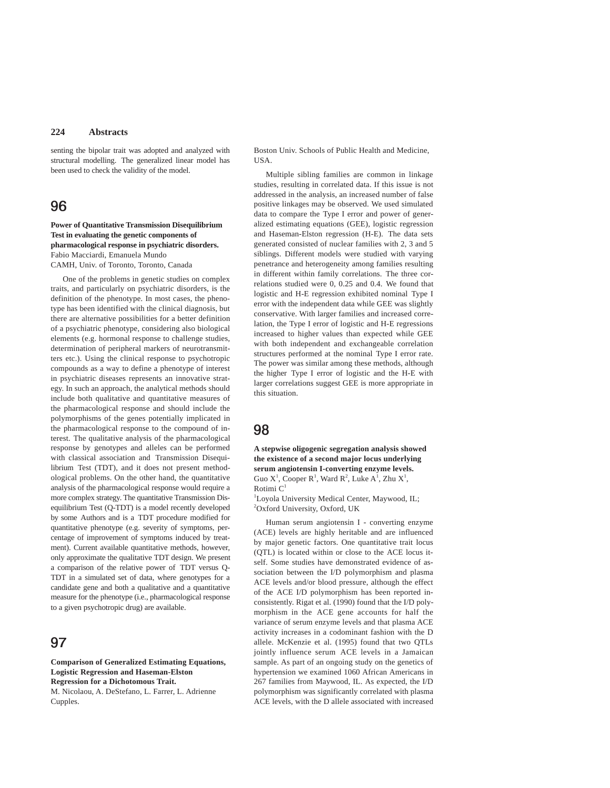senting the bipolar trait was adopted and analyzed with structural modelling. The generalized linear model has been used to check the validity of the model.

## 96

### **Power of Quantitative Transmission Disequilibrium Test in evaluating the genetic components of pharmacological response in psychiatric disorders.** Fabio Macciardi, Emanuela Mundo

CAMH, Univ. of Toronto, Toronto, Canada

One of the problems in genetic studies on complex traits, and particularly on psychiatric disorders, is the definition of the phenotype. In most cases, the phenotype has been identified with the clinical diagnosis, but there are alternative possibilities for a better definition of a psychiatric phenotype, considering also biological elements (e.g. hormonal response to challenge studies, determination of peripheral markers of neurotransmitters etc.). Using the clinical response to psychotropic compounds as a way to define a phenotype of interest in psychiatric diseases represents an innovative strategy. In such an approach, the analytical methods should include both qualitative and quantitative measures of the pharmacological response and should include the polymorphisms of the genes potentially implicated in the pharmacological response to the compound of interest. The qualitative analysis of the pharmacological response by genotypes and alleles can be performed with classical association and Transmission Disequilibrium Test (TDT), and it does not present methodological problems. On the other hand, the quantitative analysis of the pharmacological response would require a more complex strategy. The quantitative Transmission Disequilibrium Test (Q-TDT) is a model recently developed by some Authors and is a TDT procedure modified for quantitative phenotype (e.g. severity of symptoms, percentage of improvement of symptoms induced by treatment). Current available quantitative methods, however, only approximate the qualitative TDT design. We present a comparison of the relative power of TDT versus Q-TDT in a simulated set of data, where genotypes for a candidate gene and both a qualitative and a quantitative measure for the phenotype (i.e., pharmacological response to a given psychotropic drug) are available.

## 97

**Comparison of Generalized Estimating Equations, Logistic Regression and Haseman-Elston Regression for a Dichotomous Trait.**

M. Nicolaou, A. DeStefano, L. Farrer, L. Adrienne Cupples.

Boston Univ. Schools of Public Health and Medicine, USA.

Multiple sibling families are common in linkage studies, resulting in correlated data. If this issue is not addressed in the analysis, an increased number of false positive linkages may be observed. We used simulated data to compare the Type I error and power of generalized estimating equations (GEE), logistic regression and Haseman-Elston regression (H-E). The data sets generated consisted of nuclear families with 2, 3 and 5 siblings. Different models were studied with varying penetrance and heterogeneity among families resulting in different within family correlations. The three correlations studied were 0, 0.25 and 0.4. We found that logistic and H-E regression exhibited nominal Type I error with the independent data while GEE was slightly conservative. With larger families and increased correlation, the Type I error of logistic and H-E regressions increased to higher values than expected while GEE with both independent and exchangeable correlation structures performed at the nominal Type I error rate. The power was similar among these methods, although the higher Type I error of logistic and the H-E with larger correlations suggest GEE is more appropriate in this situation.

## 98

**A stepwise oligogenic segregation analysis showed the existence of a second major locus underlying serum angiotensin I-converting enzyme levels.** Guo X<sup>1</sup>, Cooper R<sup>1</sup>, Ward R<sup>2</sup>, Luke A<sup>1</sup>, Zhu X<sup>1</sup>, Rotimi C<sup>1</sup>

<sup>1</sup>Loyola University Medical Center, Maywood, IL; 2 Oxford University, Oxford, UK

Human serum angiotensin I - converting enzyme (ACE) levels are highly heritable and are influenced by major genetic factors. One quantitative trait locus (QTL) is located within or close to the ACE locus itself. Some studies have demonstrated evidence of association between the I/D polymorphism and plasma ACE levels and/or blood pressure, although the effect of the ACE I/D polymorphism has been reported inconsistently. Rigat et al. (1990) found that the I/D polymorphism in the ACE gene accounts for half the variance of serum enzyme levels and that plasma ACE activity increases in a codominant fashion with the D allele. McKenzie et al. (1995) found that two QTLs jointly influence serum ACE levels in a Jamaican sample. As part of an ongoing study on the genetics of hypertension we examined 1060 African Americans in 267 families from Maywood, IL. As expected, the I/D polymorphism was significantly correlated with plasma ACE levels, with the D allele associated with increased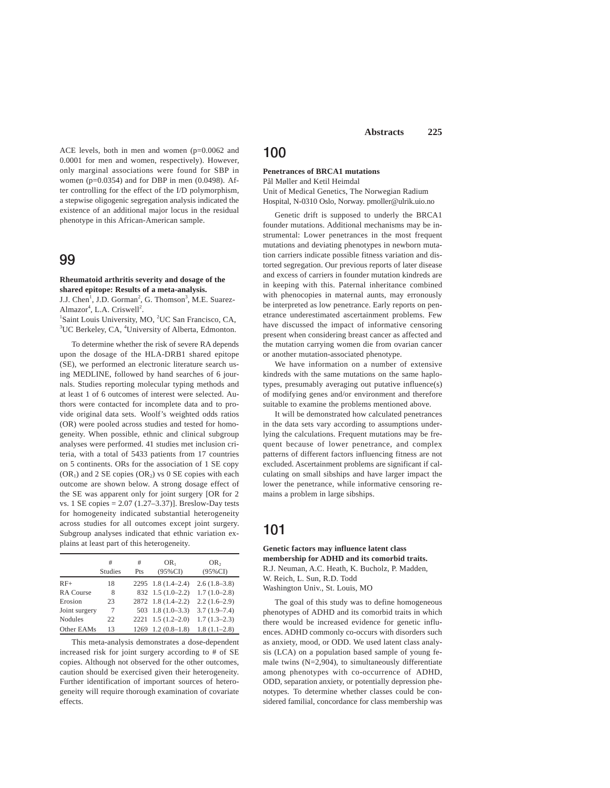ACE levels, both in men and women (p=0.0062 and 0.0001 for men and women, respectively). However, only marginal associations were found for SBP in women (p=0.0354) and for DBP in men (0.0498). After controlling for the effect of the I/D polymorphism, a stepwise oligogenic segregation analysis indicated the existence of an additional major locus in the residual phenotype in this African-American sample.

## 99

#### **Rheumatoid arthritis severity and dosage of the shared epitope: Results of a meta-analysis.**

J.J. Chen<sup>1</sup>, J.D. Gorman<sup>2</sup>, G. Thomson<sup>3</sup>, M.E. Suarez-Almazor<sup>4</sup>, L.A. Criswell<sup>2</sup>.

<sup>1</sup>Saint Louis University, MO, <sup>2</sup>UC San Francisco, CA, <sup>3</sup>UC Berkeley, CA, <sup>4</sup>University of Alberta, Edmonton.

To determine whether the risk of severe RA depends upon the dosage of the HLA-DRB1 shared epitope (SE), we performed an electronic literature search using MEDLINE, followed by hand searches of 6 journals. Studies reporting molecular typing methods and at least 1 of 6 outcomes of interest were selected. Authors were contacted for incomplete data and to provide original data sets. Woolf's weighted odds ratios (OR) were pooled across studies and tested for homogeneity. When possible, ethnic and clinical subgroup analyses were performed. 41 studies met inclusion criteria, with a total of 5433 patients from 17 countries on 5 continents. ORs for the association of 1 SE copy  $(OR<sub>1</sub>)$  and 2 SE copies  $(OR<sub>2</sub>)$  vs 0 SE copies with each outcome are shown below. A strong dosage effect of the SE was apparent only for joint surgery [OR for 2 vs. 1 SE copies = 2.07 (1.27–3.37)]. Breslow-Day tests for homogeneity indicated substantial heterogeneity across studies for all outcomes except joint surgery. Subgroup analyses indicated that ethnic variation explains at least part of this heterogeneity.

|                | #<br>Studies | #<br>Pts | OR <sub>1</sub><br>$(95\%CI)$ | OR <sub>2</sub><br>$(95\%CI)$ |
|----------------|--------------|----------|-------------------------------|-------------------------------|
| $RF+$          | 18           |          | $2295$ 1.8 (1.4-2.4)          | $2.6(1.8-3.8)$                |
| RA Course      | 8            |          | $832$ 1.5 (1.0-2.2)           | $1.7(1.0-2.8)$                |
| Erosion        | 23           |          | 2872 1.8 (1.4–2.2)            | $2.2(1.6-2.9)$                |
| Joint surgery  | 7            |          | $503$ 1.8 $(1.0-3.3)$         | $3.7(1.9 - 7.4)$              |
| <b>Nodules</b> | 22           | 2221     | $1.5(1.2-2.0)$                | $1.7(1.3-2.3)$                |
| Other EAMs     | 13           | 1269     | $1.2(0.8-1.8)$                | $1.8(1.1-2.8)$                |

This meta-analysis demonstrates a dose-dependent increased risk for joint surgery according to # of SE copies. Although not observed for the other outcomes, caution should be exercised given their heterogeneity. Further identification of important sources of heterogeneity will require thorough examination of covariate effects.

# 100

### **Penetrances of BRCA1 mutations**

Pål Møller and Ketil Heimdal Unit of Medical Genetics, The Norwegian Radium Hospital, N-0310 Oslo, Norway. pmoller@ulrik.uio.no

Genetic drift is supposed to underly the BRCA1 founder mutations. Additional mechanisms may be instrumental: Lower penetrances in the most frequent mutations and deviating phenotypes in newborn mutation carriers indicate possible fitness variation and distorted segregation. Our previous reports of later disease and excess of carriers in founder mutation kindreds are in keeping with this. Paternal inheritance combined with phenocopies in maternal aunts, may erronously be interpreted as low penetrance. Early reports on penetrance underestimated ascertainment problems. Few have discussed the impact of informative censoring present when considering breast cancer as affected and the mutation carrying women die from ovarian cancer or another mutation-associated phenotype.

We have information on a number of extensive kindreds with the same mutations on the same haplotypes, presumably averaging out putative influence(s) of modifying genes and/or environment and therefore suitable to examine the problems mentioned above.

It will be demonstrated how calculated penetrances in the data sets vary according to assumptions underlying the calculations. Frequent mutations may be frequent because of lower penetrance, and complex patterns of different factors influencing fitness are not excluded. Ascertainment problems are significant if calculating on small sibships and have larger impact the lower the penetrance, while informative censoring remains a problem in large sibships.

# 101

**Genetic factors may influence latent class membership for ADHD and its comorbid traits.** R.J. Neuman, A.C. Heath, K. Bucholz, P. Madden, W. Reich, L. Sun, R.D. Todd Washington Univ., St. Louis, MO

The goal of this study was to define homogeneous phenotypes of ADHD and its comorbid traits in which there would be increased evidence for genetic influences. ADHD commonly co-occurs with disorders such as anxiety, mood, or ODD. We used latent class analysis (LCA) on a population based sample of young female twins (N=2,904), to simultaneously differentiate among phenotypes with co-occurrence of ADHD, ODD, separation anxiety, or potentially depression phenotypes. To determine whether classes could be considered familial, concordance for class membership was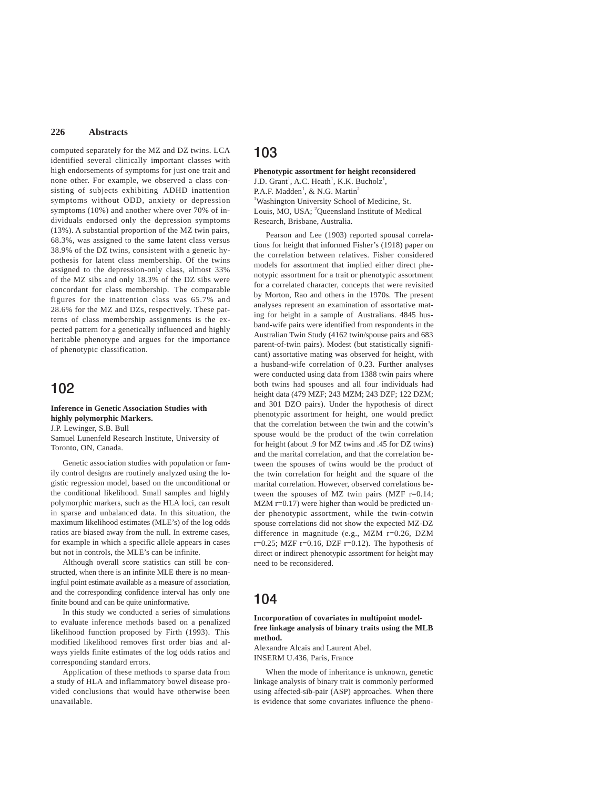computed separately for the MZ and DZ twins. LCA identified several clinically important classes with high endorsements of symptoms for just one trait and none other. For example, we observed a class consisting of subjects exhibiting ADHD inattention symptoms without ODD, anxiety or depression symptoms (10%) and another where over 70% of individuals endorsed only the depression symptoms (13%). A substantial proportion of the MZ twin pairs, 68.3%, was assigned to the same latent class versus 38.9% of the DZ twins, consistent with a genetic hypothesis for latent class membership. Of the twins assigned to the depression-only class, almost 33% of the MZ sibs and only 18.3% of the DZ sibs were concordant for class membership. The comparable figures for the inattention class was 65.7% and 28.6% for the MZ and DZs, respectively. These patterns of class membership assignments is the expected pattern for a genetically influenced and highly heritable phenotype and argues for the importance of phenotypic classification.

## 102

**Inference in Genetic Association Studies with highly polymorphic Markers.** J.P. Lewinger, S.B. Bull

Samuel Lunenfeld Research Institute, University of Toronto, ON, Canada.

Genetic association studies with population or family control designs are routinely analyzed using the logistic regression model, based on the unconditional or the conditional likelihood. Small samples and highly polymorphic markers, such as the HLA loci, can result in sparse and unbalanced data. In this situation, the maximum likelihood estimates (MLE's) of the log odds ratios are biased away from the null. In extreme cases, for example in which a specific allele appears in cases but not in controls, the MLE's can be infinite.

Although overall score statistics can still be constructed, when there is an infinite MLE there is no meaningful point estimate available as a measure of association, and the corresponding confidence interval has only one finite bound and can be quite uninformative.

In this study we conducted a series of simulations to evaluate inference methods based on a penalized likelihood function proposed by Firth (1993). This modified likelihood removes first order bias and always yields finite estimates of the log odds ratios and corresponding standard errors.

Application of these methods to sparse data from a study of HLA and inflammatory bowel disease provided conclusions that would have otherwise been unavailable.

# 103

**Phenotypic assortment for height reconsidered** J.D. Grant<sup>1</sup>, A.C. Heath<sup>1</sup>, K.K. Bucholz<sup>1</sup>, P.A.F. Madden<sup>1</sup>, & N.G. Martin<sup>2</sup> <sup>1</sup>Washington University School of Medicine, St. Louis, MO, USA; <sup>2</sup>Queensland Institute of Medical Research, Brisbane, Australia.

Pearson and Lee (1903) reported spousal correlations for height that informed Fisher's (1918) paper on the correlation between relatives. Fisher considered models for assortment that implied either direct phenotypic assortment for a trait or phenotypic assortment for a correlated character, concepts that were revisited by Morton, Rao and others in the 1970s. The present analyses represent an examination of assortative mating for height in a sample of Australians. 4845 husband-wife pairs were identified from respondents in the Australian Twin Study (4162 twin/spouse pairs and 683 parent-of-twin pairs). Modest (but statistically significant) assortative mating was observed for height, with a husband-wife correlation of 0.23. Further analyses were conducted using data from 1388 twin pairs where both twins had spouses and all four individuals had height data (479 MZF; 243 MZM; 243 DZF; 122 DZM; and 301 DZO pairs). Under the hypothesis of direct phenotypic assortment for height, one would predict that the correlation between the twin and the cotwin's spouse would be the product of the twin correlation for height (about .9 for MZ twins and .45 for DZ twins) and the marital correlation, and that the correlation between the spouses of twins would be the product of the twin correlation for height and the square of the marital correlation. However, observed correlations between the spouses of MZ twin pairs (MZF  $r=0.14$ ; MZM r=0.17) were higher than would be predicted under phenotypic assortment, while the twin-cotwin spouse correlations did not show the expected MZ-DZ difference in magnitude (e.g., MZM r=0.26, DZM  $r=0.25$ ; MZF  $r=0.16$ , DZF  $r=0.12$ ). The hypothesis of direct or indirect phenotypic assortment for height may need to be reconsidered.

## 104

**Incorporation of covariates in multipoint modelfree linkage analysis of binary traits using the MLB method.**

Alexandre Alcaïs and Laurent Abel. INSERM U.436, Paris, France

When the mode of inheritance is unknown, genetic linkage analysis of binary trait is commonly performed using affected-sib-pair (ASP) approaches. When there is evidence that some covariates influence the pheno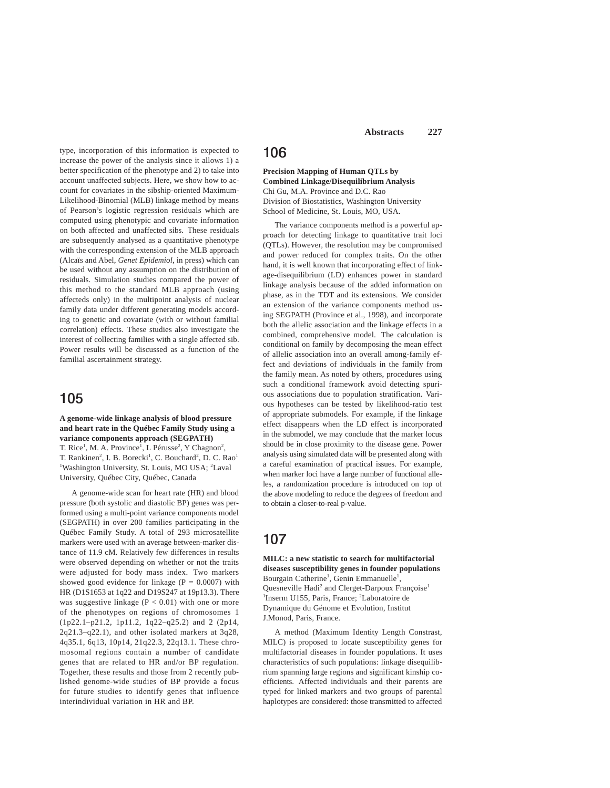type, incorporation of this information is expected to increase the power of the analysis since it allows 1) a better specification of the phenotype and 2) to take into account unaffected subjects. Here, we show how to account for covariates in the sibship-oriented Maximum-Likelihood-Binomial (MLB) linkage method by means of Pearson's logistic regression residuals which are computed using phenotypic and covariate information on both affected and unaffected sibs. These residuals are subsequently analysed as a quantitative phenotype with the corresponding extension of the MLB approach (Alcaïs and Abel, *Genet Epidemiol*, in press) which can be used without any assumption on the distribution of residuals. Simulation studies compared the power of this method to the standard MLB approach (using affecteds only) in the multipoint analysis of nuclear family data under different generating models according to genetic and covariate (with or without familial correlation) effects. These studies also investigate the interest of collecting families with a single affected sib. Power results will be discussed as a function of the familial ascertainment strategy.

# 105

### **A genome-wide linkage analysis of blood pressure and heart rate in the Québec Family Study using a variance components approach (SEGPATH)**

T. Rice<sup>1</sup>, M. A. Province<sup>1</sup>, L Pérusse<sup>2</sup>, Y Chagnon<sup>2</sup>, T. Rankinen<sup>2</sup>, I. B. Borecki<sup>1</sup>, C. Bouchard<sup>2</sup>, D. C. Rao<sup>1</sup> <sup>1</sup>Washington University, St. Louis, MO USA; <sup>2</sup>Laval University, Québec City, Québec, Canada

A genome-wide scan for heart rate (HR) and blood pressure (both systolic and diastolic BP) genes was performed using a multi-point variance components model (SEGPATH) in over 200 families participating in the Québec Family Study. A total of 293 microsatellite markers were used with an average between-marker distance of 11.9 cM. Relatively few differences in results were observed depending on whether or not the traits were adjusted for body mass index. Two markers showed good evidence for linkage ( $P = 0.0007$ ) with HR (D1S1653 at 1q22 and D19S247 at 19p13.3). There was suggestive linkage  $(P < 0.01)$  with one or more of the phenotypes on regions of chromosomes 1 (1p22.1–p21.2, 1p11.2, 1q22–q25.2) and 2 (2p14, 2q21.3–q22.1), and other isolated markers at 3q28, 4q35.1, 6q13, 10p14, 21q22.3, 22q13.1. These chromosomal regions contain a number of candidate genes that are related to HR and/or BP regulation. Together, these results and those from 2 recently published genome-wide studies of BP provide a focus for future studies to identify genes that influence interindividual variation in HR and BP.

# 106

### **Precision Mapping of Human QTLs by Combined Linkage/Disequilibrium Analysis** Chi Gu, M.A. Province and D.C. Rao Division of Biostatistics, Washington University School of Medicine, St. Louis, MO, USA.

The variance components method is a powerful approach for detecting linkage to quantitative trait loci (QTLs). However, the resolution may be compromised and power reduced for complex traits. On the other hand, it is well known that incorporating effect of linkage-disequilibrium (LD) enhances power in standard linkage analysis because of the added information on phase, as in the TDT and its extensions. We consider an extension of the variance components method using SEGPATH (Province et al., 1998), and incorporate both the allelic association and the linkage effects in a combined, comprehensive model. The calculation is conditional on family by decomposing the mean effect of allelic association into an overall among-family effect and deviations of individuals in the family from the family mean. As noted by others, procedures using such a conditional framework avoid detecting spurious associations due to population stratification. Various hypotheses can be tested by likelihood-ratio test of appropriate submodels. For example, if the linkage effect disappears when the LD effect is incorporated in the submodel, we may conclude that the marker locus should be in close proximity to the disease gene. Power analysis using simulated data will be presented along with a careful examination of practical issues. For example, when marker loci have a large number of functional alleles, a randomization procedure is introduced on top of the above modeling to reduce the degrees of freedom and to obtain a closer-to-real p-value.

# 107

**MILC: a new statistic to search for multifactorial diseases susceptibility genes in founder populations** Bourgain Catherine<sup>1</sup>, Genin Emmanuelle<sup>1</sup>, Quesneville Hadi<sup>2</sup> and Clerget-Darpoux Françoise<sup>1</sup> <sup>1</sup>Inserm U155, Paris, France; <sup>2</sup>Laboratoire de Dynamique du Génome et Evolution, Institut J.Monod, Paris, France.

A method (Maximum Identity Length Constrast, MILC) is proposed to locate susceptibility genes for multifactorial diseases in founder populations. It uses characteristics of such populations: linkage disequilibrium spanning large regions and significant kinship coefficients. Affected individuals and their parents are typed for linked markers and two groups of parental haplotypes are considered: those transmitted to affected

**Abstracts 227**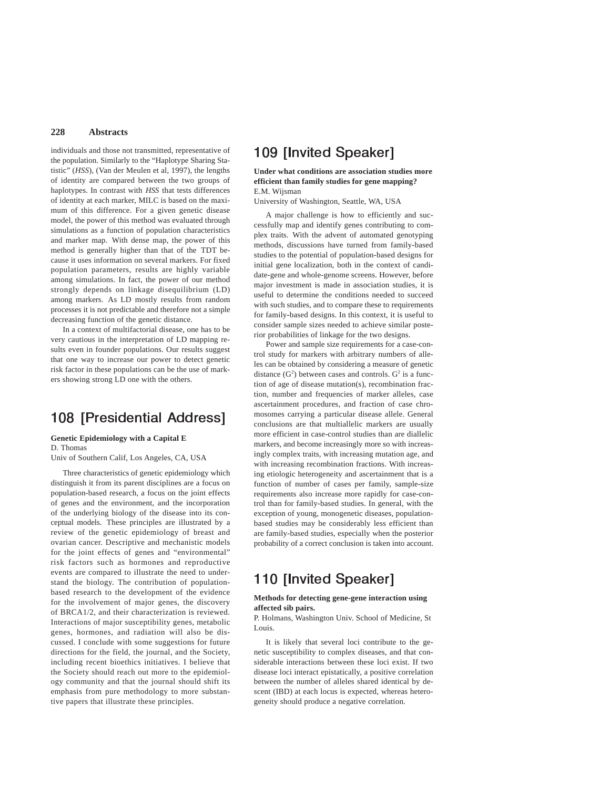individuals and those not transmitted, representative of the population. Similarly to the "Haplotype Sharing Statistic" (*HSS*), (Van der Meulen et al, 1997), the lengths of identity are compared between the two groups of haplotypes. In contrast with *HSS* that tests differences of identity at each marker, MILC is based on the maximum of this difference. For a given genetic disease model, the power of this method was evaluated through simulations as a function of population characteristics and marker map. With dense map, the power of this method is generally higher than that of the TDT because it uses information on several markers. For fixed population parameters, results are highly variable among simulations. In fact, the power of our method strongly depends on linkage disequilibrium (LD) among markers. As LD mostly results from random processes it is not predictable and therefore not a simple decreasing function of the genetic distance.

In a context of multifactorial disease, one has to be very cautious in the interpretation of LD mapping results even in founder populations. Our results suggest that one way to increase our power to detect genetic risk factor in these populations can be the use of markers showing strong LD one with the others.

# 108 [Presidential Address]

#### **Genetic Epidemiology with a Capital E** D. Thomas

Univ of Southern Calif, Los Angeles, CA, USA

Three characteristics of genetic epidemiology which distinguish it from its parent disciplines are a focus on population-based research, a focus on the joint effects of genes and the environment, and the incorporation of the underlying biology of the disease into its conceptual models. These principles are illustrated by a review of the genetic epidemiology of breast and ovarian cancer. Descriptive and mechanistic models for the joint effects of genes and "environmental" risk factors such as hormones and reproductive events are compared to illustrate the need to understand the biology. The contribution of populationbased research to the development of the evidence for the involvement of major genes, the discovery of BRCA1/2, and their characterization is reviewed. Interactions of major susceptibility genes, metabolic genes, hormones, and radiation will also be discussed. I conclude with some suggestions for future directions for the field, the journal, and the Society, including recent bioethics initiatives. I believe that the Society should reach out more to the epidemiology community and that the journal should shift its emphasis from pure methodology to more substantive papers that illustrate these principles.

# 109 [Invited Speaker]

### **Under what conditions are association studies more efficient than family studies for gene mapping?** E.M. Wijsman

University of Washington, Seattle, WA, USA

A major challenge is how to efficiently and successfully map and identify genes contributing to complex traits. With the advent of automated genotyping methods, discussions have turned from family-based studies to the potential of population-based designs for initial gene localization, both in the context of candidate-gene and whole-genome screens. However, before major investment is made in association studies, it is useful to determine the conditions needed to succeed with such studies, and to compare these to requirements for family-based designs. In this context, it is useful to consider sample sizes needed to achieve similar posterior probabilities of linkage for the two designs.

Power and sample size requirements for a case-control study for markers with arbitrary numbers of alleles can be obtained by considering a measure of genetic distance  $(G^2)$  between cases and controls.  $G^2$  is a function of age of disease mutation(s), recombination fraction, number and frequencies of marker alleles, case ascertainment procedures, and fraction of case chromosomes carrying a particular disease allele. General conclusions are that multiallelic markers are usually more efficient in case-control studies than are diallelic markers, and become increasingly more so with increasingly complex traits, with increasing mutation age, and with increasing recombination fractions. With increasing etiologic heterogeneity and ascertainment that is a function of number of cases per family, sample-size requirements also increase more rapidly for case-control than for family-based studies. In general, with the exception of young, monogenetic diseases, populationbased studies may be considerably less efficient than are family-based studies, especially when the posterior probability of a correct conclusion is taken into account.

# 110 [Invited Speaker]

#### **Methods for detecting gene-gene interaction using affected sib pairs.**

P. Holmans, Washington Univ. School of Medicine, St Louis.

It is likely that several loci contribute to the genetic susceptibility to complex diseases, and that considerable interactions between these loci exist. If two disease loci interact epistatically, a positive correlation between the number of alleles shared identical by descent (IBD) at each locus is expected, whereas heterogeneity should produce a negative correlation.